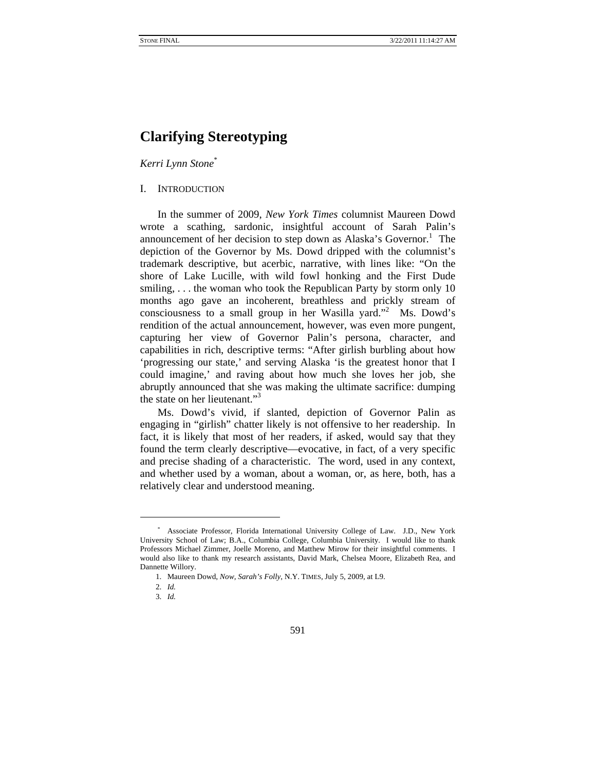# **Clarifying Stereotyping**

*Kerri Lynn Stone*\*

## I. INTRODUCTION

In the summer of 2009, *New York Times* columnist Maureen Dowd wrote a scathing, sardonic, insightful account of Sarah Palin's announcement of her decision to step down as Alaska's Governor.<sup>1</sup> The depiction of the Governor by Ms. Dowd dripped with the columnist's trademark descriptive, but acerbic, narrative, with lines like: "On the shore of Lake Lucille, with wild fowl honking and the First Dude smiling, ... the woman who took the Republican Party by storm only 10 months ago gave an incoherent, breathless and prickly stream of consciousness to a small group in her Wasilla yard."<sup>2</sup> Ms. Dowd's rendition of the actual announcement, however, was even more pungent, capturing her view of Governor Palin's persona, character, and capabilities in rich, descriptive terms: "After girlish burbling about how 'progressing our state,' and serving Alaska 'is the greatest honor that I could imagine,' and raving about how much she loves her job, she abruptly announced that she was making the ultimate sacrifice: dumping the state on her lieutenant."<sup>3</sup>

Ms. Dowd's vivid, if slanted, depiction of Governor Palin as engaging in "girlish" chatter likely is not offensive to her readership. In fact, it is likely that most of her readers, if asked, would say that they found the term clearly descriptive—evocative, in fact, of a very specific and precise shading of a characteristic. The word, used in any context, and whether used by a woman, about a woman, or, as here, both, has a relatively clear and understood meaning.

<sup>\*</sup> Associate Professor, Florida International University College of Law. J.D., New York University School of Law; B.A., Columbia College, Columbia University. I would like to thank Professors Michael Zimmer, Joelle Moreno, and Matthew Mirow for their insightful comments. I would also like to thank my research assistants, David Mark, Chelsea Moore, Elizabeth Rea, and Dannette Willory.

 <sup>1.</sup> Maureen Dowd, *Now, Sarah's Folly*, N.Y. TIMES, July 5, 2009, at L9.

<sup>2.</sup> *Id.*

<sup>3.</sup> *Id.*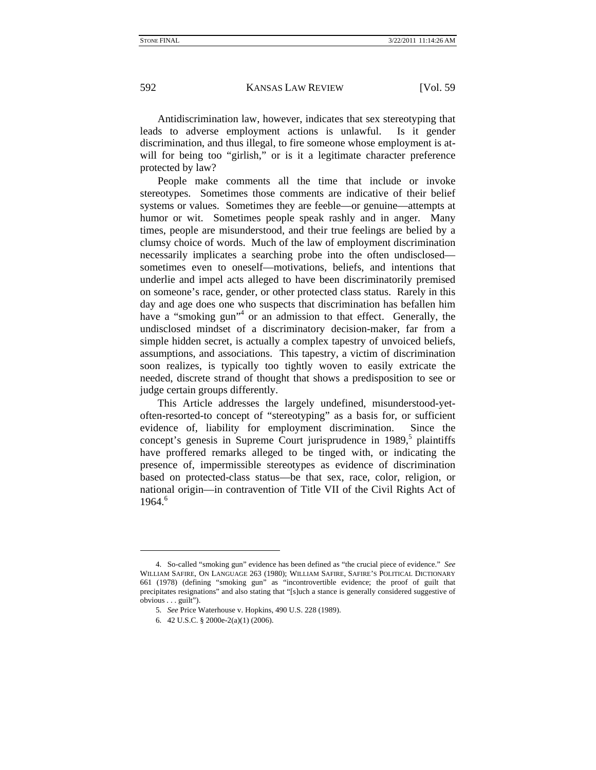Antidiscrimination law, however, indicates that sex stereotyping that leads to adverse employment actions is unlawful. Is it gender discrimination, and thus illegal, to fire someone whose employment is atwill for being too "girlish," or is it a legitimate character preference protected by law?

People make comments all the time that include or invoke stereotypes. Sometimes those comments are indicative of their belief systems or values. Sometimes they are feeble—or genuine—attempts at humor or wit. Sometimes people speak rashly and in anger. Many times, people are misunderstood, and their true feelings are belied by a clumsy choice of words. Much of the law of employment discrimination necessarily implicates a searching probe into the often undisclosed sometimes even to oneself—motivations, beliefs, and intentions that underlie and impel acts alleged to have been discriminatorily premised on someone's race, gender, or other protected class status. Rarely in this day and age does one who suspects that discrimination has befallen him have a "smoking gun"<sup>4</sup> or an admission to that effect. Generally, the undisclosed mindset of a discriminatory decision-maker, far from a simple hidden secret, is actually a complex tapestry of unvoiced beliefs, assumptions, and associations. This tapestry, a victim of discrimination soon realizes, is typically too tightly woven to easily extricate the needed, discrete strand of thought that shows a predisposition to see or judge certain groups differently.

This Article addresses the largely undefined, misunderstood-yetoften-resorted-to concept of "stereotyping" as a basis for, or sufficient evidence of, liability for employment discrimination. Since the concept's genesis in Supreme Court jurisprudence in  $1989$ ,<sup>5</sup> plaintiffs have proffered remarks alleged to be tinged with, or indicating the presence of, impermissible stereotypes as evidence of discrimination based on protected-class status—be that sex, race, color, religion, or national origin—in contravention of Title VII of the Civil Rights Act of 1964.<sup>6</sup>

-

 <sup>4.</sup> So-called "smoking gun" evidence has been defined as "the crucial piece of evidence." *See*  WILLIAM SAFIRE, ON LANGUAGE 263 (1980); WILLIAM SAFIRE, SAFIRE'S POLITICAL DICTIONARY 661 (1978) (defining "smoking gun" as "incontrovertible evidence; the proof of guilt that precipitates resignations" and also stating that "[s]uch a stance is generally considered suggestive of obvious . . . guilt").

<sup>5.</sup> *See* Price Waterhouse v. Hopkins, 490 U.S. 228 (1989).

 <sup>6. 42</sup> U.S.C. § 2000e-2(a)(1) (2006).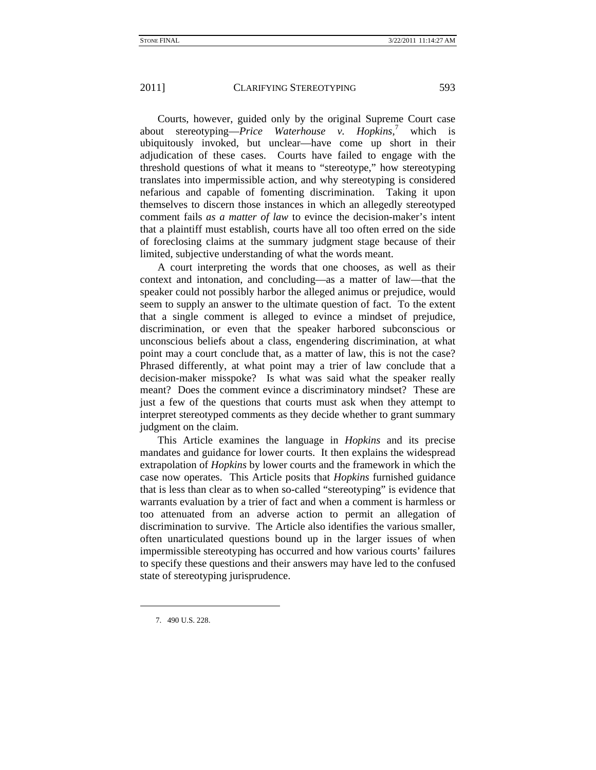Courts, however, guided only by the original Supreme Court case about stereotyping—*Price* 7 which is ubiquitously invoked, but unclear—have come up short in their adjudication of these cases. Courts have failed to engage with the threshold questions of what it means to "stereotype," how stereotyping translates into impermissible action, and why stereotyping is considered nefarious and capable of fomenting discrimination. Taking it upon themselves to discern those instances in which an allegedly stereotyped comment fails *as a matter of law* to evince the decision-maker's intent that a plaintiff must establish, courts have all too often erred on the side of foreclosing claims at the summary judgment stage because of their limited, subjective understanding of what the words meant.

A court interpreting the words that one chooses, as well as their context and intonation, and concluding—as a matter of law—that the speaker could not possibly harbor the alleged animus or prejudice, would seem to supply an answer to the ultimate question of fact. To the extent that a single comment is alleged to evince a mindset of prejudice, discrimination, or even that the speaker harbored subconscious or unconscious beliefs about a class, engendering discrimination, at what point may a court conclude that, as a matter of law, this is not the case? Phrased differently, at what point may a trier of law conclude that a decision-maker misspoke? Is what was said what the speaker really meant? Does the comment evince a discriminatory mindset? These are just a few of the questions that courts must ask when they attempt to interpret stereotyped comments as they decide whether to grant summary judgment on the claim.

This Article examines the language in *Hopkins* and its precise mandates and guidance for lower courts. It then explains the widespread extrapolation of *Hopkins* by lower courts and the framework in which the case now operates. This Article posits that *Hopkins* furnished guidance that is less than clear as to when so-called "stereotyping" is evidence that warrants evaluation by a trier of fact and when a comment is harmless or too attenuated from an adverse action to permit an allegation of discrimination to survive. The Article also identifies the various smaller, often unarticulated questions bound up in the larger issues of when impermissible stereotyping has occurred and how various courts' failures to specify these questions and their answers may have led to the confused state of stereotyping jurisprudence.

7. 490 U.S. 228.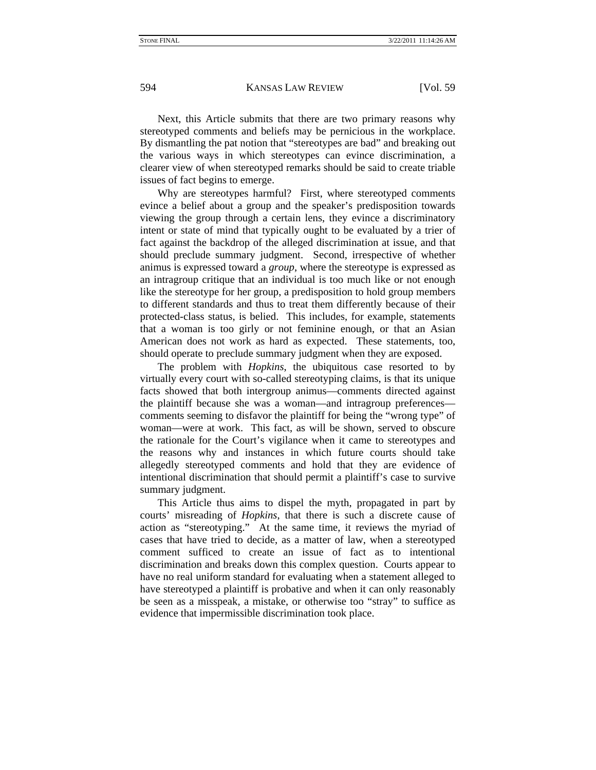Next, this Article submits that there are two primary reasons why stereotyped comments and beliefs may be pernicious in the workplace. By dismantling the pat notion that "stereotypes are bad" and breaking out the various ways in which stereotypes can evince discrimination, a clearer view of when stereotyped remarks should be said to create triable issues of fact begins to emerge.

Why are stereotypes harmful? First, where stereotyped comments evince a belief about a group and the speaker's predisposition towards viewing the group through a certain lens, they evince a discriminatory intent or state of mind that typically ought to be evaluated by a trier of fact against the backdrop of the alleged discrimination at issue, and that should preclude summary judgment. Second, irrespective of whether animus is expressed toward a *group*, where the stereotype is expressed as an intragroup critique that an individual is too much like or not enough like the stereotype for her group, a predisposition to hold group members to different standards and thus to treat them differently because of their protected-class status, is belied. This includes, for example, statements that a woman is too girly or not feminine enough, or that an Asian American does not work as hard as expected. These statements, too, should operate to preclude summary judgment when they are exposed.

The problem with *Hopkins*, the ubiquitous case resorted to by virtually every court with so-called stereotyping claims, is that its unique facts showed that both intergroup animus—comments directed against the plaintiff because she was a woman—and intragroup preferences comments seeming to disfavor the plaintiff for being the "wrong type" of woman—were at work. This fact, as will be shown, served to obscure the rationale for the Court's vigilance when it came to stereotypes and the reasons why and instances in which future courts should take allegedly stereotyped comments and hold that they are evidence of intentional discrimination that should permit a plaintiff's case to survive summary judgment.

This Article thus aims to dispel the myth, propagated in part by courts' misreading of *Hopkins*, that there is such a discrete cause of action as "stereotyping." At the same time, it reviews the myriad of cases that have tried to decide, as a matter of law, when a stereotyped comment sufficed to create an issue of fact as to intentional discrimination and breaks down this complex question. Courts appear to have no real uniform standard for evaluating when a statement alleged to have stereotyped a plaintiff is probative and when it can only reasonably be seen as a misspeak, a mistake, or otherwise too "stray" to suffice as evidence that impermissible discrimination took place.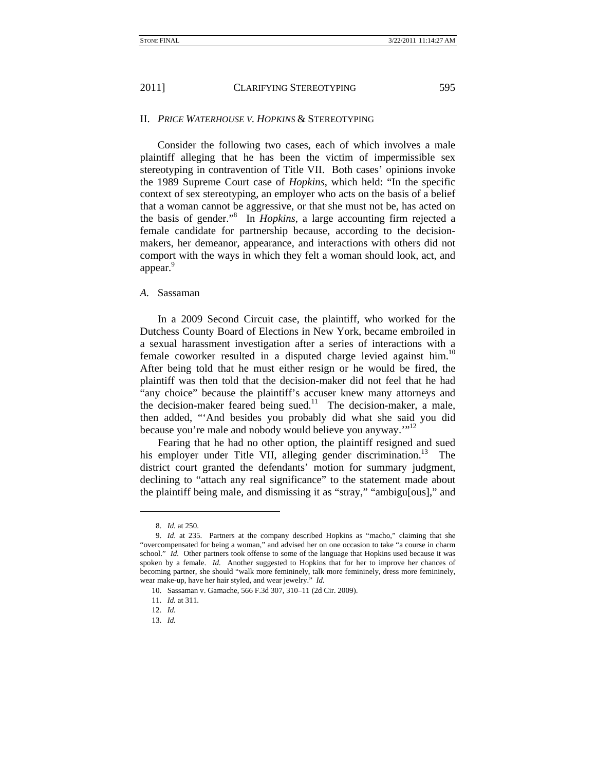## II. *PRICE WATERHOUSE V. HOPKINS* & STEREOTYPING

Consider the following two cases, each of which involves a male plaintiff alleging that he has been the victim of impermissible sex stereotyping in contravention of Title VII. Both cases' opinions invoke the 1989 Supreme Court case of *Hopkins*, which held: "In the specific context of sex stereotyping, an employer who acts on the basis of a belief that a woman cannot be aggressive, or that she must not be, has acted on the basis of gender."<sup>8</sup> In *Hopkins*, a large accounting firm rejected a female candidate for partnership because, according to the decisionmakers, her demeanor, appearance, and interactions with others did not comport with the ways in which they felt a woman should look, act, and appear.<sup>9</sup>

## *A.* Sassaman

In a 2009 Second Circuit case, the plaintiff, who worked for the Dutchess County Board of Elections in New York, became embroiled in a sexual harassment investigation after a series of interactions with a female coworker resulted in a disputed charge levied against him.<sup>10</sup> After being told that he must either resign or he would be fired, the plaintiff was then told that the decision-maker did not feel that he had "any choice" because the plaintiff's accuser knew many attorneys and the decision-maker feared being sued.<sup>11</sup> The decision-maker, a male, then added, "'And besides you probably did what she said you did because you're male and nobody would believe you anyway."<sup>12</sup>

Fearing that he had no other option, the plaintiff resigned and sued his employer under Title VII, alleging gender discrimination.<sup>13</sup> The district court granted the defendants' motion for summary judgment, declining to "attach any real significance" to the statement made about the plaintiff being male, and dismissing it as "stray," "ambigu[ous]," and

1

13. *Id.*

<sup>8.</sup> *Id.* at 250.

<sup>9.</sup> *Id*. at 235. Partners at the company described Hopkins as "macho," claiming that she "overcompensated for being a woman," and advised her on one occasion to take "a course in charm school." *Id.* Other partners took offense to some of the language that Hopkins used because it was spoken by a female. *Id.* Another suggested to Hopkins that for her to improve her chances of becoming partner, she should "walk more femininely, talk more femininely, dress more femininely, wear make-up, have her hair styled, and wear jewelry." *Id.*

 <sup>10.</sup> Sassaman v. Gamache, 566 F.3d 307, 310–11 (2d Cir. 2009).

<sup>11.</sup> *Id.* at 311.

<sup>12.</sup> *Id.*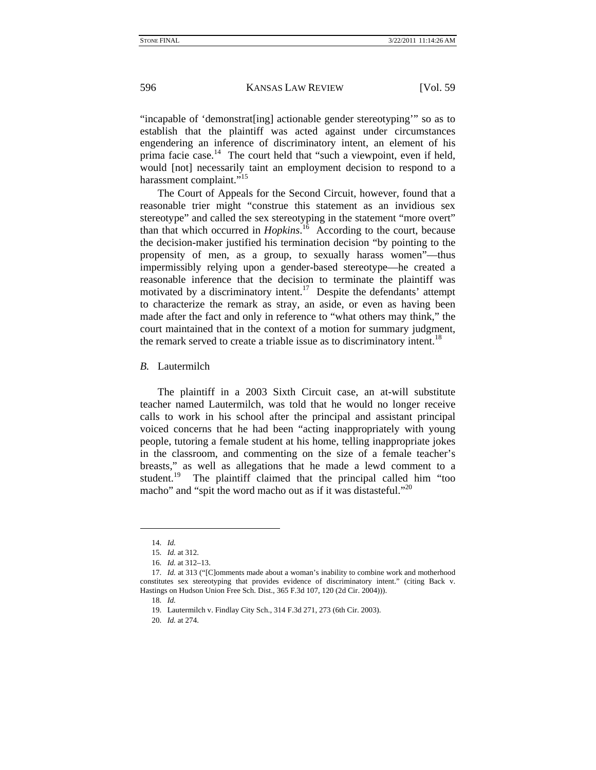"incapable of 'demonstrat[ing] actionable gender stereotyping'" so as to establish that the plaintiff was acted against under circumstances engendering an inference of discriminatory intent, an element of his prima facie case.<sup>14</sup> The court held that "such a viewpoint, even if held, would [not] necessarily taint an employment decision to respond to a harassment complaint."<sup>15</sup>

The Court of Appeals for the Second Circuit, however, found that a reasonable trier might "construe this statement as an invidious sex stereotype" and called the sex stereotyping in the statement "more overt" than that which occurred in *Hopkins*. 16 According to the court, because the decision-maker justified his termination decision "by pointing to the propensity of men, as a group, to sexually harass women"—thus impermissibly relying upon a gender-based stereotype—he created a reasonable inference that the decision to terminate the plaintiff was motivated by a discriminatory intent.<sup>17</sup> Despite the defendants' attempt to characterize the remark as stray, an aside, or even as having been made after the fact and only in reference to "what others may think," the court maintained that in the context of a motion for summary judgment, the remark served to create a triable issue as to discriminatory intent.<sup>18</sup>

#### *B.* Lautermilch

The plaintiff in a 2003 Sixth Circuit case, an at-will substitute teacher named Lautermilch, was told that he would no longer receive calls to work in his school after the principal and assistant principal voiced concerns that he had been "acting inappropriately with young people, tutoring a female student at his home, telling inappropriate jokes in the classroom, and commenting on the size of a female teacher's breasts," as well as allegations that he made a lewd comment to a student.<sup>19</sup> The plaintiff claimed that the principal called him "too macho" and "spit the word macho out as if it was distasteful."<sup>20</sup>

 $\overline{\phantom{a}}$ 

<sup>14.</sup> *Id.*

<sup>15.</sup> *Id.* at 312.

<sup>16.</sup> *Id.* at 312–13.

<sup>17.</sup> *Id.* at 313 ("[C]omments made about a woman's inability to combine work and motherhood constitutes sex stereotyping that provides evidence of discriminatory intent." (citing Back v. Hastings on Hudson Union Free Sch. Dist., 365 F.3d 107, 120 (2d Cir. 2004))).

<sup>18.</sup> *Id.*

 <sup>19.</sup> Lautermilch v. Findlay City Sch., 314 F.3d 271, 273 (6th Cir. 2003).

<sup>20.</sup> *Id.* at 274.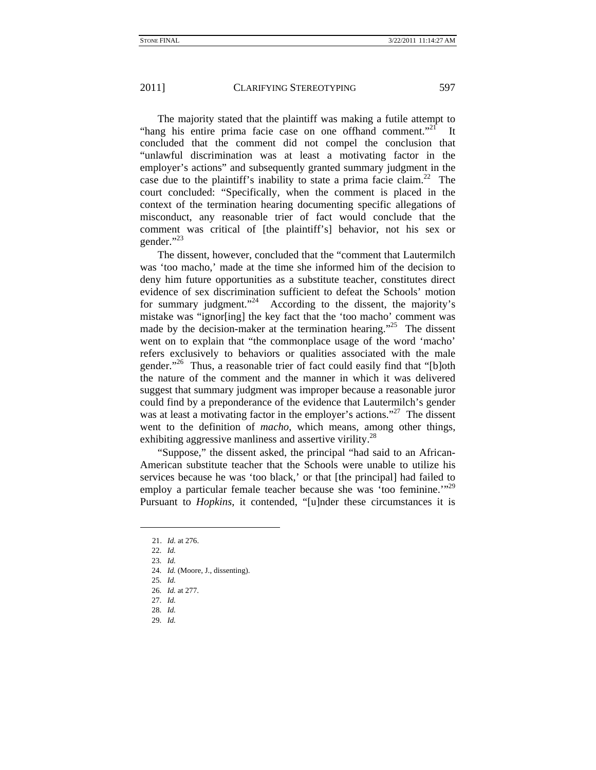The majority stated that the plaintiff was making a futile attempt to "hang his entire prima facie case on one offhand comment."<sup>21</sup> It concluded that the comment did not compel the conclusion that "unlawful discrimination was at least a motivating factor in the employer's actions" and subsequently granted summary judgment in the case due to the plaintiff's inability to state a prima facie claim.<sup>22</sup> The court concluded: "Specifically, when the comment is placed in the context of the termination hearing documenting specific allegations of misconduct, any reasonable trier of fact would conclude that the comment was critical of [the plaintiff's] behavior, not his sex or gender."23

The dissent, however, concluded that the "comment that Lautermilch was 'too macho,' made at the time she informed him of the decision to deny him future opportunities as a substitute teacher, constitutes direct evidence of sex discrimination sufficient to defeat the Schools' motion for summary judgment."<sup>24</sup> According to the dissent, the majority's mistake was "ignor[ing] the key fact that the 'too macho' comment was made by the decision-maker at the termination hearing."<sup>25</sup> The dissent went on to explain that "the commonplace usage of the word 'macho' refers exclusively to behaviors or qualities associated with the male gender."<sup>26</sup> Thus, a reasonable trier of fact could easily find that "[b]oth the nature of the comment and the manner in which it was delivered suggest that summary judgment was improper because a reasonable juror could find by a preponderance of the evidence that Lautermilch's gender was at least a motivating factor in the employer's actions."<sup>27</sup> The dissent went to the definition of *macho*, which means, among other things, exhibiting aggressive manliness and assertive virility.<sup>28</sup>

"Suppose," the dissent asked, the principal "had said to an African-American substitute teacher that the Schools were unable to utilize his services because he was 'too black,' or that [the principal] had failed to employ a particular female teacher because she was 'too feminine.'"<sup>29</sup> Pursuant to *Hopkins*, it contended, "[u]nder these circumstances it is

1

23. *Id.*

29. *Id.*

 <sup>21.</sup> *Id.* at 276.

<sup>22.</sup> *Id.*

<sup>24.</sup> *Id.* (Moore, J., dissenting).

<sup>25.</sup> *Id.*

<sup>26.</sup> *Id.* at 277.

<sup>27.</sup> *Id.*

<sup>28.</sup> *Id.*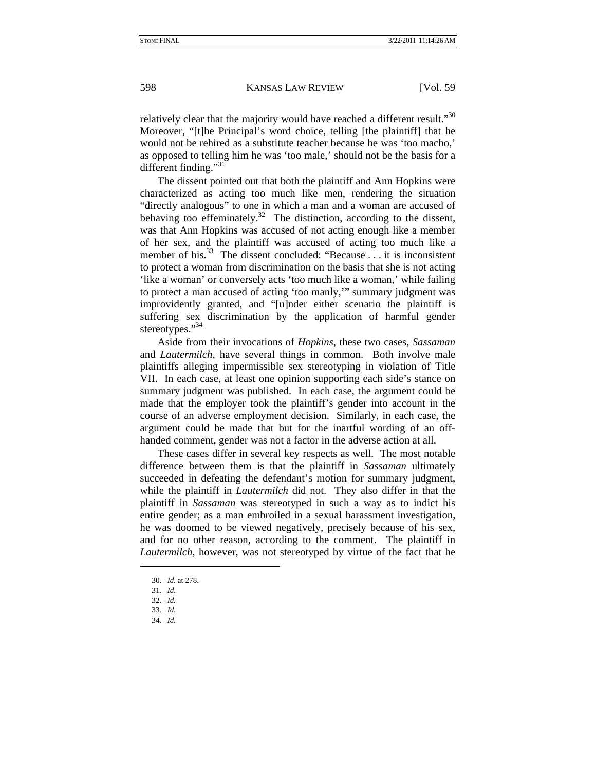relatively clear that the majority would have reached a different result."<sup>30</sup> Moreover, "[t]he Principal's word choice, telling [the plaintiff] that he would not be rehired as a substitute teacher because he was 'too macho,' as opposed to telling him he was 'too male,' should not be the basis for a different finding."<sup>31</sup>

The dissent pointed out that both the plaintiff and Ann Hopkins were characterized as acting too much like men, rendering the situation "directly analogous" to one in which a man and a woman are accused of behaving too effeminately.<sup>32</sup> The distinction, according to the dissent, was that Ann Hopkins was accused of not acting enough like a member of her sex, and the plaintiff was accused of acting too much like a member of his.<sup>33</sup> The dissent concluded: "Because  $\dots$  it is inconsistent to protect a woman from discrimination on the basis that she is not acting 'like a woman' or conversely acts 'too much like a woman,' while failing to protect a man accused of acting 'too manly,'" summary judgment was improvidently granted, and "[u]nder either scenario the plaintiff is suffering sex discrimination by the application of harmful gender stereotypes."<sup>34</sup>

Aside from their invocations of *Hopkins*, these two cases, *Sassaman* and *Lautermilch*, have several things in common. Both involve male plaintiffs alleging impermissible sex stereotyping in violation of Title VII. In each case, at least one opinion supporting each side's stance on summary judgment was published. In each case, the argument could be made that the employer took the plaintiff's gender into account in the course of an adverse employment decision. Similarly, in each case, the argument could be made that but for the inartful wording of an offhanded comment, gender was not a factor in the adverse action at all.

These cases differ in several key respects as well. The most notable difference between them is that the plaintiff in *Sassaman* ultimately succeeded in defeating the defendant's motion for summary judgment, while the plaintiff in *Lautermilch* did not. They also differ in that the plaintiff in *Sassaman* was stereotyped in such a way as to indict his entire gender; as a man embroiled in a sexual harassment investigation, he was doomed to be viewed negatively, precisely because of his sex, and for no other reason, according to the comment. The plaintiff in *Lautermilch*, however, was not stereotyped by virtue of the fact that he

<sup>30.</sup> *Id.* at 278.

<sup>31.</sup> *Id.*

<sup>32.</sup> *Id.*

<sup>33.</sup> *Id.*

<sup>34.</sup> *Id.*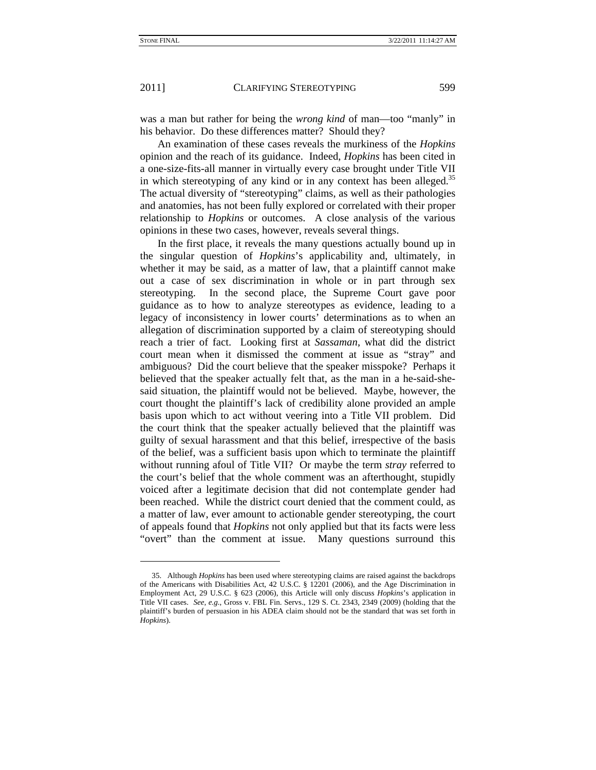1

## 2011] CLARIFYING STEREOTYPING 599

was a man but rather for being the *wrong kind* of man—too "manly" in his behavior. Do these differences matter? Should they?

An examination of these cases reveals the murkiness of the *Hopkins* opinion and the reach of its guidance. Indeed, *Hopkins* has been cited in a one-size-fits-all manner in virtually every case brought under Title VII in which stereotyping of any kind or in any context has been alleged.<sup>35</sup> The actual diversity of "stereotyping" claims, as well as their pathologies and anatomies, has not been fully explored or correlated with their proper relationship to *Hopkins* or outcomes. A close analysis of the various opinions in these two cases, however, reveals several things.

In the first place, it reveals the many questions actually bound up in the singular question of *Hopkins*'s applicability and, ultimately, in whether it may be said, as a matter of law, that a plaintiff cannot make out a case of sex discrimination in whole or in part through sex stereotyping. In the second place, the Supreme Court gave poor guidance as to how to analyze stereotypes as evidence, leading to a legacy of inconsistency in lower courts' determinations as to when an allegation of discrimination supported by a claim of stereotyping should reach a trier of fact. Looking first at *Sassaman*, what did the district court mean when it dismissed the comment at issue as "stray" and ambiguous? Did the court believe that the speaker misspoke? Perhaps it believed that the speaker actually felt that, as the man in a he-said-shesaid situation, the plaintiff would not be believed. Maybe, however, the court thought the plaintiff's lack of credibility alone provided an ample basis upon which to act without veering into a Title VII problem. Did the court think that the speaker actually believed that the plaintiff was guilty of sexual harassment and that this belief, irrespective of the basis of the belief, was a sufficient basis upon which to terminate the plaintiff without running afoul of Title VII? Or maybe the term *stray* referred to the court's belief that the whole comment was an afterthought, stupidly voiced after a legitimate decision that did not contemplate gender had been reached. While the district court denied that the comment could, as a matter of law, ever amount to actionable gender stereotyping, the court of appeals found that *Hopkins* not only applied but that its facts were less "overt" than the comment at issue. Many questions surround this

 <sup>35.</sup> Although *Hopkins* has been used where stereotyping claims are raised against the backdrops of the Americans with Disabilities Act, 42 U.S.C. § 12201 (2006), and the Age Discrimination in Employment Act, 29 U.S.C. § 623 (2006), this Article will only discuss *Hopkins*'s application in Title VII cases. *See, e.g.*, Gross v. FBL Fin. Servs., 129 S. Ct. 2343, 2349 (2009) (holding that the plaintiff's burden of persuasion in his ADEA claim should not be the standard that was set forth in *Hopkins*).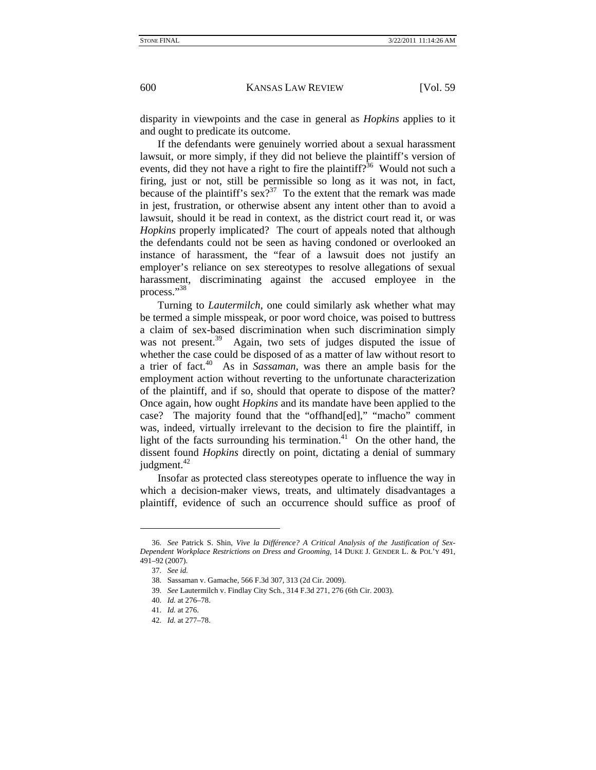disparity in viewpoints and the case in general as *Hopkins* applies to it and ought to predicate its outcome.

If the defendants were genuinely worried about a sexual harassment lawsuit, or more simply, if they did not believe the plaintiff's version of events, did they not have a right to fire the plaintiff?<sup>36</sup> Would not such a firing, just or not, still be permissible so long as it was not, in fact, because of the plaintiff's  $sex?^{37}$  To the extent that the remark was made in jest, frustration, or otherwise absent any intent other than to avoid a lawsuit, should it be read in context, as the district court read it, or was *Hopkins* properly implicated? The court of appeals noted that although the defendants could not be seen as having condoned or overlooked an instance of harassment, the "fear of a lawsuit does not justify an employer's reliance on sex stereotypes to resolve allegations of sexual harassment, discriminating against the accused employee in the process."<sup>38</sup>

Turning to *Lautermilch*, one could similarly ask whether what may be termed a simple misspeak, or poor word choice, was poised to buttress a claim of sex-based discrimination when such discrimination simply was not present.<sup>39</sup> Again, two sets of judges disputed the issue of whether the case could be disposed of as a matter of law without resort to a trier of fact.40 As in *Sassaman*, was there an ample basis for the employment action without reverting to the unfortunate characterization of the plaintiff, and if so, should that operate to dispose of the matter? Once again, how ought *Hopkins* and its mandate have been applied to the case? The majority found that the "offhand[ed]," "macho" comment was, indeed, virtually irrelevant to the decision to fire the plaintiff, in light of the facts surrounding his termination.<sup>41</sup> On the other hand, the dissent found *Hopkins* directly on point, dictating a denial of summary judgment.<sup>42</sup>

Insofar as protected class stereotypes operate to influence the way in which a decision-maker views, treats, and ultimately disadvantages a plaintiff, evidence of such an occurrence should suffice as proof of

-

<sup>36.</sup> *See* Patrick S. Shin, *Vive la Différence? A Critical Analysis of the Justification of Sex-Dependent Workplace Restrictions on Dress and Grooming*, 14 DUKE J. GENDER L. & POL'Y 491, 491–92 (2007).

<sup>37.</sup> *See id.*

 <sup>38.</sup> Sassaman v. Gamache, 566 F.3d 307, 313 (2d Cir. 2009).

<sup>39.</sup> *See* Lautermilch v. Findlay City Sch., 314 F.3d 271, 276 (6th Cir. 2003).

<sup>40.</sup> *Id.* at 276–78.

<sup>41.</sup> *Id.* at 276.

<sup>42.</sup> *Id.* at 277–78.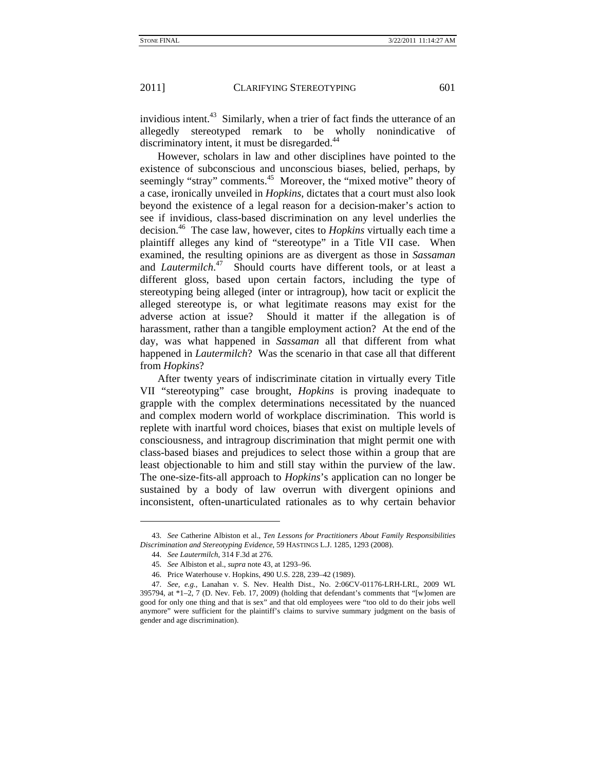invidious intent.<sup>43</sup> Similarly, when a trier of fact finds the utterance of an allegedly stereotyped remark to be wholly nonindicative of discriminatory intent, it must be disregarded.<sup>44</sup>

However, scholars in law and other disciplines have pointed to the existence of subconscious and unconscious biases, belied, perhaps, by seemingly "stray" comments.<sup>45</sup> Moreover, the "mixed motive" theory of a case, ironically unveiled in *Hopkins*, dictates that a court must also look beyond the existence of a legal reason for a decision-maker's action to see if invidious, class-based discrimination on any level underlies the decision.46 The case law, however, cites to *Hopkins* virtually each time a plaintiff alleges any kind of "stereotype" in a Title VII case. When examined, the resulting opinions are as divergent as those in *Sassaman* and *Lautermilch*. 47 Should courts have different tools, or at least a different gloss, based upon certain factors, including the type of stereotyping being alleged (inter or intragroup), how tacit or explicit the alleged stereotype is, or what legitimate reasons may exist for the adverse action at issue? Should it matter if the allegation is of harassment, rather than a tangible employment action? At the end of the day, was what happened in *Sassaman* all that different from what happened in *Lautermilch*? Was the scenario in that case all that different from *Hopkins*?

After twenty years of indiscriminate citation in virtually every Title VII "stereotyping" case brought, *Hopkins* is proving inadequate to grapple with the complex determinations necessitated by the nuanced and complex modern world of workplace discrimination. This world is replete with inartful word choices, biases that exist on multiple levels of consciousness, and intragroup discrimination that might permit one with class-based biases and prejudices to select those within a group that are least objectionable to him and still stay within the purview of the law. The one-size-fits-all approach to *Hopkins*'s application can no longer be sustained by a body of law overrun with divergent opinions and inconsistent, often-unarticulated rationales as to why certain behavior

<sup>43.</sup> *See* Catherine Albiston et al., *Ten Lessons for Practitioners About Family Responsibilities Discrimination and Stereotyping Evidence*, 59 HASTINGS L.J. 1285, 1293 (2008).

<sup>44.</sup> *See Lautermilch*, 314 F.3d at 276.

<sup>45.</sup> *See* Albiston et al., *supra* note 43, at 1293–96.

 <sup>46.</sup> Price Waterhouse v. Hopkins, 490 U.S. 228, 239–42 (1989).

<sup>47.</sup> *See, e.g.*, Lanahan v. S. Nev. Health Dist., No. 2:06CV-01176-LRH-LRL, 2009 WL 395794, at \*1–2, 7 (D. Nev. Feb. 17, 2009) (holding that defendant's comments that "[w]omen are good for only one thing and that is sex" and that old employees were "too old to do their jobs well anymore" were sufficient for the plaintiff's claims to survive summary judgment on the basis of gender and age discrimination).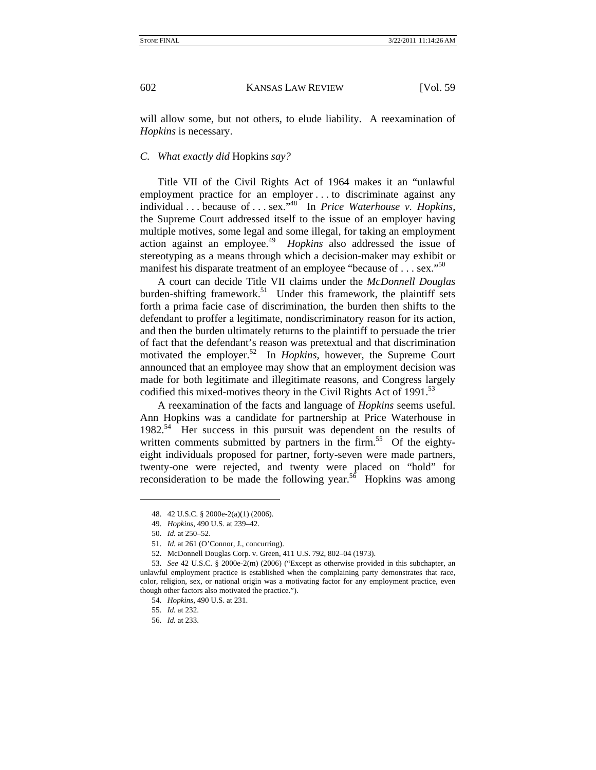will allow some, but not others, to elude liability. A reexamination of *Hopkins* is necessary.

#### *C. What exactly did* Hopkins *say?*

Title VII of the Civil Rights Act of 1964 makes it an "unlawful employment practice for an employer . . . to discriminate against any individual . . . because of . . . sex."<sup>48</sup> In *Price Waterhouse v. Hopkins*, the Supreme Court addressed itself to the issue of an employer having multiple motives, some legal and some illegal, for taking an employment action against an employee.49 *Hopkins* also addressed the issue of stereotyping as a means through which a decision-maker may exhibit or manifest his disparate treatment of an employee "because of . . . sex."<sup>50</sup>

A court can decide Title VII claims under the *McDonnell Douglas* burden-shifting framework.<sup>51</sup> Under this framework, the plaintiff sets forth a prima facie case of discrimination, the burden then shifts to the defendant to proffer a legitimate, nondiscriminatory reason for its action, and then the burden ultimately returns to the plaintiff to persuade the trier of fact that the defendant's reason was pretextual and that discrimination motivated the employer.52 In *Hopkins*, however, the Supreme Court announced that an employee may show that an employment decision was made for both legitimate and illegitimate reasons, and Congress largely codified this mixed-motives theory in the Civil Rights Act of 1991.<sup>33</sup>

A reexamination of the facts and language of *Hopkins* seems useful. Ann Hopkins was a candidate for partnership at Price Waterhouse in 1982.<sup>54</sup> Her success in this pursuit was dependent on the results of written comments submitted by partners in the firm.<sup>55</sup> Of the eightyeight individuals proposed for partner, forty-seven were made partners, twenty-one were rejected, and twenty were placed on "hold" for reconsideration to be made the following year.<sup>56</sup> Hopkins was among

 <sup>48. 42</sup> U.S.C. § 2000e-2(a)(1) (2006).

 <sup>49.</sup> *Hopkins*, 490 U.S. at 239–42.

<sup>50.</sup> *Id.* at 250–52.

<sup>51.</sup> *Id.* at 261 (O'Connor, J., concurring).

 <sup>52.</sup> McDonnell Douglas Corp. v. Green, 411 U.S. 792, 802–04 (1973).

<sup>53.</sup> *See* 42 U.S.C. § 2000e-2(m) (2006) ("Except as otherwise provided in this subchapter, an unlawful employment practice is established when the complaining party demonstrates that race, color, religion, sex, or national origin was a motivating factor for any employment practice, even though other factors also motivated the practice.").

<sup>54.</sup> *Hopkins*, 490 U.S. at 231.

<sup>55.</sup> *Id.* at 232.

<sup>56.</sup> *Id.* at 233.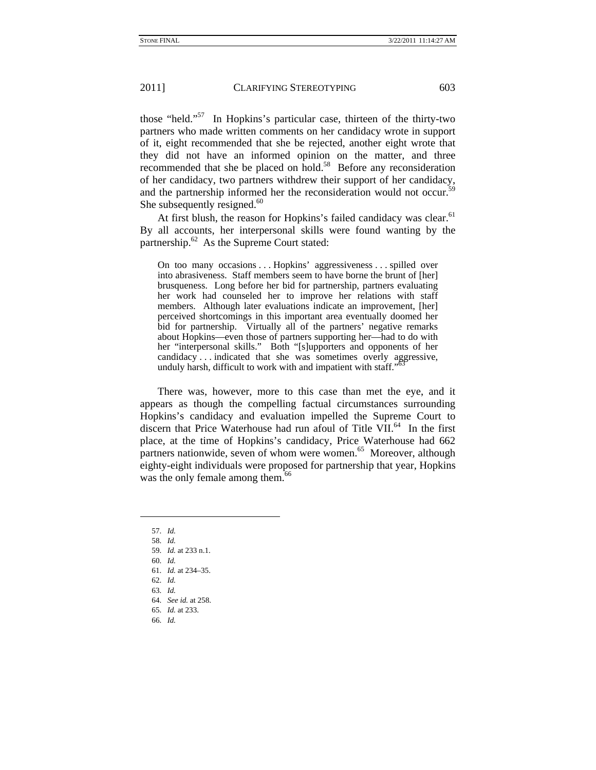those "held."57 In Hopkins's particular case, thirteen of the thirty-two partners who made written comments on her candidacy wrote in support of it, eight recommended that she be rejected, another eight wrote that they did not have an informed opinion on the matter, and three recommended that she be placed on hold.<sup>58</sup> Before any reconsideration of her candidacy, two partners withdrew their support of her candidacy, and the partnership informed her the reconsideration would not occur.<sup>5</sup> She subsequently resigned. $60$ 

At first blush, the reason for Hopkins's failed candidacy was clear.<sup>61</sup> By all accounts, her interpersonal skills were found wanting by the partnership.<sup>62</sup> As the Supreme Court stated:

On too many occasions . . . Hopkins' aggressiveness . . . spilled over into abrasiveness. Staff members seem to have borne the brunt of [her] brusqueness. Long before her bid for partnership, partners evaluating her work had counseled her to improve her relations with staff members. Although later evaluations indicate an improvement, [her] perceived shortcomings in this important area eventually doomed her bid for partnership. Virtually all of the partners' negative remarks about Hopkins—even those of partners supporting her—had to do with her "interpersonal skills." Both "[s]upporters and opponents of her candidacy ... indicated that she was sometimes overly aggressive, unduly harsh, difficult to work with and impatient with staff."

There was, however, more to this case than met the eye, and it appears as though the compelling factual circumstances surrounding Hopkins's candidacy and evaluation impelled the Supreme Court to discern that Price Waterhouse had run afoul of Title VII.<sup>64</sup> In the first place, at the time of Hopkins's candidacy, Price Waterhouse had 662 partners nationwide, seven of whom were women.<sup>65</sup> Moreover, although eighty-eight individuals were proposed for partnership that year, Hopkins was the only female among them.<sup>66</sup>

57. *Id.*

l

59. *Id.* at 233 n.1. 60. *Id.*

- 61. *Id.* at 234–35.
- 62. *Id.*
- 63. *Id.*

64. *See id.* at 258.

65. *Id.* at 233.

66. *Id.*

<sup>58.</sup> *Id.*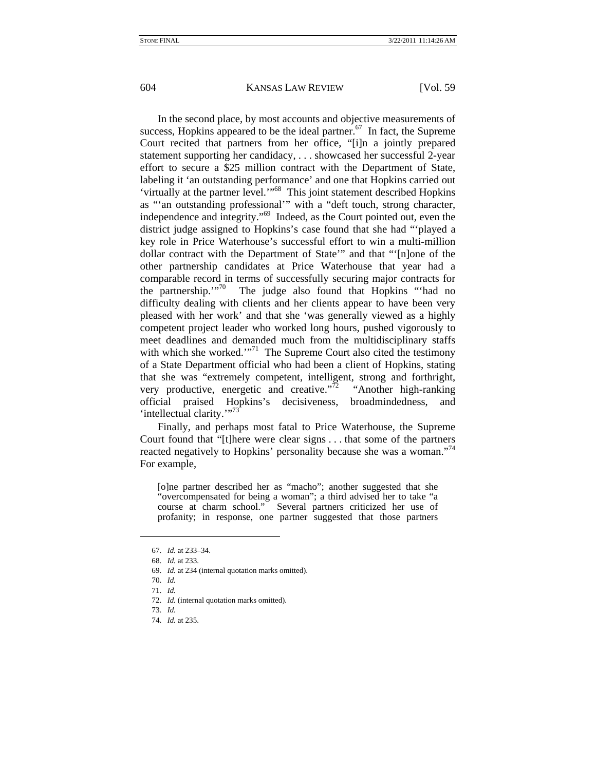In the second place, by most accounts and objective measurements of success, Hopkins appeared to be the ideal partner.<sup>67</sup> In fact, the Supreme Court recited that partners from her office, "[i]n a jointly prepared statement supporting her candidacy, . . . showcased her successful 2-year effort to secure a \$25 million contract with the Department of State, labeling it 'an outstanding performance' and one that Hopkins carried out 'virtually at the partner level.'"68 This joint statement described Hopkins as "'an outstanding professional'" with a "deft touch, strong character, independence and integrity."69 Indeed, as the Court pointed out, even the district judge assigned to Hopkins's case found that she had "'played a key role in Price Waterhouse's successful effort to win a multi-million dollar contract with the Department of State'" and that "'[n]one of the other partnership candidates at Price Waterhouse that year had a comparable record in terms of successfully securing major contracts for the partnership.'"70 The judge also found that Hopkins "'had no difficulty dealing with clients and her clients appear to have been very pleased with her work' and that she 'was generally viewed as a highly competent project leader who worked long hours, pushed vigorously to meet deadlines and demanded much from the multidisciplinary staffs with which she worked."<sup>71</sup> The Supreme Court also cited the testimony of a State Department official who had been a client of Hopkins, stating that she was "extremely competent, intelligent, strong and forthright, very productive, energetic and creative."<sup>72</sup> "Another high-ranking official praised Hopkins's decisiveness, broadmindedness, and 'intellectual clarity."<sup>73</sup>

Finally, and perhaps most fatal to Price Waterhouse, the Supreme Court found that "[t]here were clear signs . . . that some of the partners reacted negatively to Hopkins' personality because she was a woman."<sup>74</sup> For example,

[o]ne partner described her as "macho"; another suggested that she "overcompensated for being a woman"; a third advised her to take "a course at charm school." Several partners criticized her use of profanity; in response, one partner suggested that those partners

69. *Id.* at 234 (internal quotation marks omitted).

 $\overline{\phantom{a}}$ 

<sup>67.</sup> *Id.* at 233–34.

<sup>68.</sup> *Id.* at 233.

<sup>70.</sup> *Id.*

<sup>71.</sup> *Id.*

<sup>72.</sup> *Id.* (internal quotation marks omitted).

<sup>73.</sup> *Id.*

<sup>74.</sup> *Id.* at 235.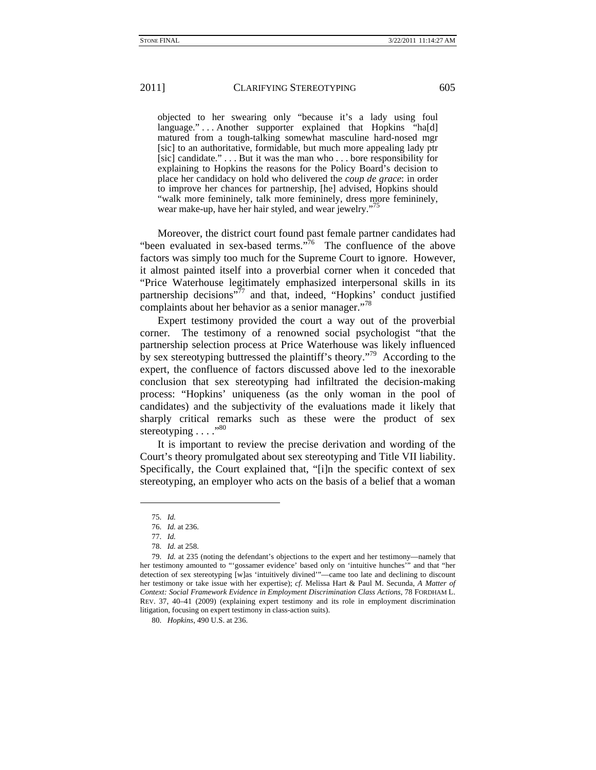objected to her swearing only "because it's a lady using foul language." . . . Another supporter explained that Hopkins "ha[d] matured from a tough-talking somewhat masculine hard-nosed mgr [sic] to an authoritative, formidable, but much more appealing lady ptr [sic] candidate." . . . But it was the man who . . . bore responsibility for explaining to Hopkins the reasons for the Policy Board's decision to place her candidacy on hold who delivered the *coup de grace*: in order to improve her chances for partnership, [he] advised, Hopkins should "walk more femininely, talk more femininely, dress more femininely, wear make-up, have her hair styled, and wear jewelry."<sup>75</sup>

Moreover, the district court found past female partner candidates had "been evaluated in sex-based terms."<sup>76</sup> The confluence of the above factors was simply too much for the Supreme Court to ignore. However, it almost painted itself into a proverbial corner when it conceded that "Price Waterhouse legitimately emphasized interpersonal skills in its partnership decisions $\sqrt[3]{7}$  and that, indeed, "Hopkins' conduct justified complaints about her behavior as a senior manager."<sup>78</sup>

Expert testimony provided the court a way out of the proverbial corner. The testimony of a renowned social psychologist "that the partnership selection process at Price Waterhouse was likely influenced by sex stereotyping buttressed the plaintiff's theory."<sup>79</sup> According to the expert, the confluence of factors discussed above led to the inexorable conclusion that sex stereotyping had infiltrated the decision-making process: "Hopkins' uniqueness (as the only woman in the pool of candidates) and the subjectivity of the evaluations made it likely that sharply critical remarks such as these were the product of sex stereotyping  $\ldots$ ."<sup>80</sup>

It is important to review the precise derivation and wording of the Court's theory promulgated about sex stereotyping and Title VII liability. Specifically, the Court explained that, "[i]n the specific context of sex stereotyping, an employer who acts on the basis of a belief that a woman

<sup>75.</sup> *Id.*

<sup>76.</sup> *Id.* at 236.

<sup>77.</sup> *Id.*

<sup>78.</sup> *Id.* at 258.

<sup>79.</sup> *Id.* at 235 (noting the defendant's objections to the expert and her testimony—namely that her testimony amounted to "'gossamer evidence' based only on 'intuitive hunches'" and that "her detection of sex stereotyping [w]as 'intuitively divined'"—came too late and declining to discount her testimony or take issue with her expertise); *cf.* Melissa Hart & Paul M. Secunda, *A Matter of Context: Social Framework Evidence in Employment Discrimination Class Actions*, 78 FORDHAM L. REV. 37, 40–41 (2009) (explaining expert testimony and its role in employment discrimination litigation, focusing on expert testimony in class-action suits).

<sup>80.</sup> *Hopkins*, 490 U.S. at 236.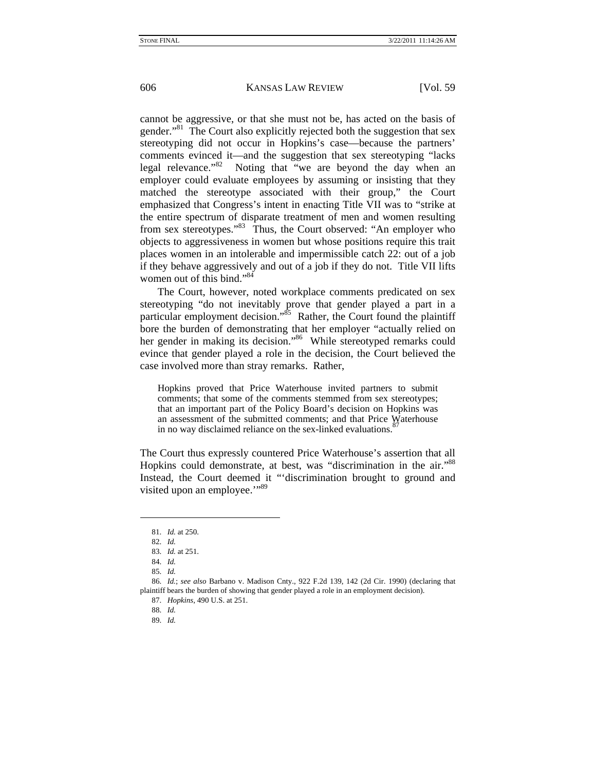cannot be aggressive, or that she must not be, has acted on the basis of gender."<sup>81</sup> The Court also explicitly rejected both the suggestion that sex stereotyping did not occur in Hopkins's case—because the partners' comments evinced it—and the suggestion that sex stereotyping "lacks legal relevance."<sup>82</sup> Noting that "we are beyond the day when an employer could evaluate employees by assuming or insisting that they matched the stereotype associated with their group," the Court emphasized that Congress's intent in enacting Title VII was to "strike at the entire spectrum of disparate treatment of men and women resulting from sex stereotypes."<sup>83</sup> Thus, the Court observed: "An employer who objects to aggressiveness in women but whose positions require this trait places women in an intolerable and impermissible catch 22: out of a job if they behave aggressively and out of a job if they do not. Title VII lifts women out of this bind."<sup>84</sup>

The Court, however, noted workplace comments predicated on sex stereotyping "do not inevitably prove that gender played a part in a particular employment decision." $\frac{85}{100}$  Rather, the Court found the plaintiff bore the burden of demonstrating that her employer "actually relied on her gender in making its decision."<sup>86</sup> While stereotyped remarks could evince that gender played a role in the decision, the Court believed the case involved more than stray remarks. Rather,

Hopkins proved that Price Waterhouse invited partners to submit comments; that some of the comments stemmed from sex stereotypes; that an important part of the Policy Board's decision on Hopkins was an assessment of the submitted comments; and that Price Waterhouse in no way disclaimed reliance on the sex-linked evaluations.

The Court thus expressly countered Price Waterhouse's assertion that all Hopkins could demonstrate, at best, was "discrimination in the air."<sup>88</sup> Instead, the Court deemed it "'discrimination brought to ground and visited upon an employee."<sup>89</sup>

<sup>81.</sup> *Id.* at 250.

<sup>82.</sup> *Id.*

<sup>83.</sup> *Id.* at 251.

<sup>84.</sup> *Id.*

<sup>85.</sup> *Id.*

<sup>86.</sup> *Id.*; *see also* Barbano v. Madison Cnty., 922 F.2d 139, 142 (2d Cir. 1990) (declaring that plaintiff bears the burden of showing that gender played a role in an employment decision).

<sup>87.</sup> *Hopkins*, 490 U.S. at 251.

<sup>88.</sup> *Id.*

<sup>89.</sup> *Id.*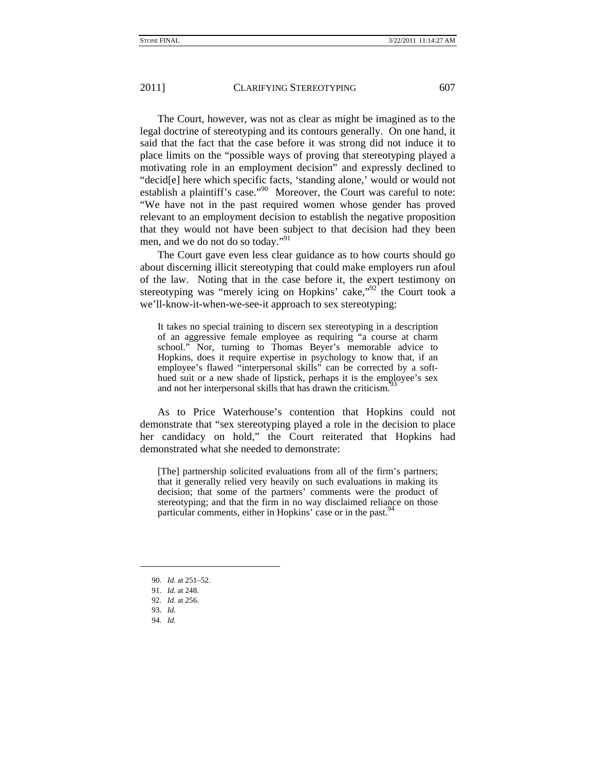The Court, however, was not as clear as might be imagined as to the legal doctrine of stereotyping and its contours generally. On one hand, it said that the fact that the case before it was strong did not induce it to place limits on the "possible ways of proving that stereotyping played a motivating role in an employment decision" and expressly declined to "decid[e] here which specific facts, 'standing alone,' would or would not establish a plaintiff's case."<sup>90</sup> Moreover, the Court was careful to note: "We have not in the past required women whose gender has proved relevant to an employment decision to establish the negative proposition that they would not have been subject to that decision had they been men, and we do not do so today."<sup>91</sup>

The Court gave even less clear guidance as to how courts should go about discerning illicit stereotyping that could make employers run afoul of the law. Noting that in the case before it, the expert testimony on stereotyping was "merely icing on Hopkins' cake, $^{92}$  the Court took a we'll-know-it-when-we-see-it approach to sex stereotyping:

It takes no special training to discern sex stereotyping in a description of an aggressive female employee as requiring "a course at charm school." Nor, turning to Thomas Beyer's memorable advice to Hopkins, does it require expertise in psychology to know that, if an employee's flawed "interpersonal skills" can be corrected by a softhued suit or a new shade of lipstick, perhaps it is the employee's sex and not her interpersonal skills that has drawn the criticism.<sup>5</sup>

As to Price Waterhouse's contention that Hopkins could not demonstrate that "sex stereotyping played a role in the decision to place her candidacy on hold," the Court reiterated that Hopkins had demonstrated what she needed to demonstrate:

[The] partnership solicited evaluations from all of the firm's partners; that it generally relied very heavily on such evaluations in making its decision; that some of the partners' comments were the product of stereotyping; and that the firm in no way disclaimed reliance on those particular comments, either in Hopkins' case or in the past.<sup>94</sup>

- 90. *Id.* at 251–52.
- 91. *Id.* at 248.

93. *Id.*

l

94. *Id.*

<sup>92.</sup> *Id.* at 256.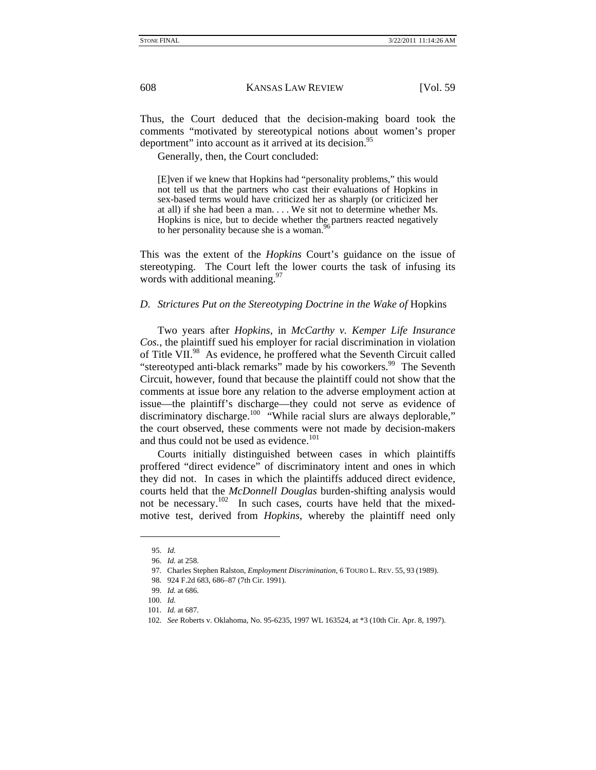Thus, the Court deduced that the decision-making board took the comments "motivated by stereotypical notions about women's proper deportment" into account as it arrived at its decision.<sup>95</sup>

Generally, then, the Court concluded:

[E]ven if we knew that Hopkins had "personality problems," this would not tell us that the partners who cast their evaluations of Hopkins in sex-based terms would have criticized her as sharply (or criticized her at all) if she had been a man. . . . We sit not to determine whether Ms. Hopkins is nice, but to decide whether the partners reacted negatively to her personality because she is a woman.<sup>9</sup>

This was the extent of the *Hopkins* Court's guidance on the issue of stereotyping. The Court left the lower courts the task of infusing its words with additional meaning.<sup>97</sup>

#### *D. Strictures Put on the Stereotyping Doctrine in the Wake of* Hopkins

Two years after *Hopkins*, in *McCarthy v. Kemper Life Insurance Cos.*, the plaintiff sued his employer for racial discrimination in violation of Title VII.<sup>98</sup> As evidence, he proffered what the Seventh Circuit called "stereotyped anti-black remarks" made by his coworkers.<sup>99</sup> The Seventh Circuit, however, found that because the plaintiff could not show that the comments at issue bore any relation to the adverse employment action at issue—the plaintiff's discharge—they could not serve as evidence of discriminatory discharge.<sup>100</sup> "While racial slurs are always deplorable," the court observed, these comments were not made by decision-makers and thus could not be used as evidence.<sup>101</sup>

Courts initially distinguished between cases in which plaintiffs proffered "direct evidence" of discriminatory intent and ones in which they did not. In cases in which the plaintiffs adduced direct evidence, courts held that the *McDonnell Douglas* burden-shifting analysis would not be necessary.<sup>102</sup> In such cases, courts have held that the mixedmotive test, derived from *Hopkins*, whereby the plaintiff need only

 $\overline{\phantom{a}}$ 

<sup>95.</sup> *Id.*

<sup>96.</sup> *Id.* at 258.

 <sup>97.</sup> Charles Stephen Ralston, *Employment Discrimination*, 6 TOURO L. REV. 55, 93 (1989).

 <sup>98. 924</sup> F.2d 683, 686–87 (7th Cir. 1991).

<sup>99.</sup> *Id.* at 686.

<sup>100.</sup> *Id.*

<sup>101.</sup> *Id.* at 687.

<sup>102.</sup> *See* Roberts v. Oklahoma, No. 95-6235, 1997 WL 163524, at \*3 (10th Cir. Apr. 8, 1997).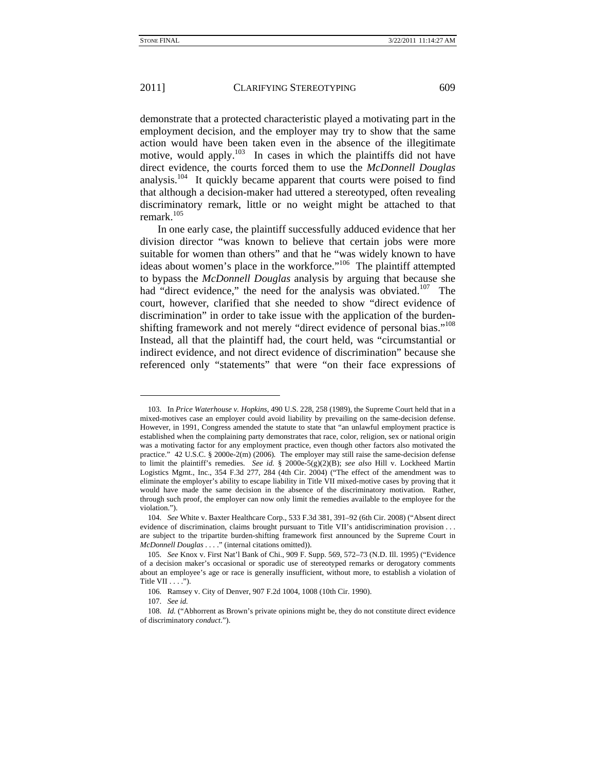demonstrate that a protected characteristic played a motivating part in the employment decision, and the employer may try to show that the same action would have been taken even in the absence of the illegitimate motive, would apply.<sup>103</sup> In cases in which the plaintiffs did not have direct evidence, the courts forced them to use the *McDonnell Douglas* analysis.104 It quickly became apparent that courts were poised to find that although a decision-maker had uttered a stereotyped, often revealing discriminatory remark, little or no weight might be attached to that remark.<sup>105</sup>

In one early case, the plaintiff successfully adduced evidence that her division director "was known to believe that certain jobs were more suitable for women than others" and that he "was widely known to have ideas about women's place in the workforce."<sup>106</sup> The plaintiff attempted to bypass the *McDonnell Douglas* analysis by arguing that because she had "direct evidence," the need for the analysis was obviated.<sup>107</sup> The court, however, clarified that she needed to show "direct evidence of discrimination" in order to take issue with the application of the burdenshifting framework and not merely "direct evidence of personal bias."<sup>108</sup> Instead, all that the plaintiff had, the court held, was "circumstantial or indirect evidence, and not direct evidence of discrimination" because she referenced only "statements" that were "on their face expressions of

 <sup>103.</sup> In *Price Waterhouse v. Hopkins*, 490 U.S. 228, 258 (1989), the Supreme Court held that in a mixed-motives case an employer could avoid liability by prevailing on the same-decision defense. However, in 1991, Congress amended the statute to state that "an unlawful employment practice is established when the complaining party demonstrates that race, color, religion, sex or national origin was a motivating factor for any employment practice, even though other factors also motivated the practice." 42 U.S.C. § 2000e-2(m) (2006)*.* The employer may still raise the same-decision defense to limit the plaintiff's remedies. *See id.* § 2000e-5(g)(2)(B); *see also* Hill v. Lockheed Martin Logistics Mgmt., Inc., 354 F.3d 277, 284 (4th Cir. 2004) ("The effect of the amendment was to eliminate the employer's ability to escape liability in Title VII mixed-motive cases by proving that it would have made the same decision in the absence of the discriminatory motivation. Rather, through such proof, the employer can now only limit the remedies available to the employee for the violation.").

<sup>104.</sup> *See* White v. Baxter Healthcare Corp., 533 F.3d 381, 391–92 (6th Cir. 2008) ("Absent direct evidence of discrimination, claims brought pursuant to Title VII's antidiscrimination provision . . . are subject to the tripartite burden-shifting framework first announced by the Supreme Court in *McDonnell Douglas . . .* ." (internal citations omitted)).

<sup>105.</sup> *See* Knox v. First Nat'l Bank of Chi., 909 F. Supp. 569, 572–73 (N.D. Ill. 1995) ("Evidence of a decision maker's occasional or sporadic use of stereotyped remarks or derogatory comments about an employee's age or race is generally insufficient, without more, to establish a violation of Title VII  $\ldots$ .").

 <sup>106.</sup> Ramsey v. City of Denver, 907 F.2d 1004, 1008 (10th Cir. 1990).

<sup>107.</sup> *See id.*

<sup>108.</sup> *Id.* ("Abhorrent as Brown's private opinions might be, they do not constitute direct evidence of discriminatory *conduct*.").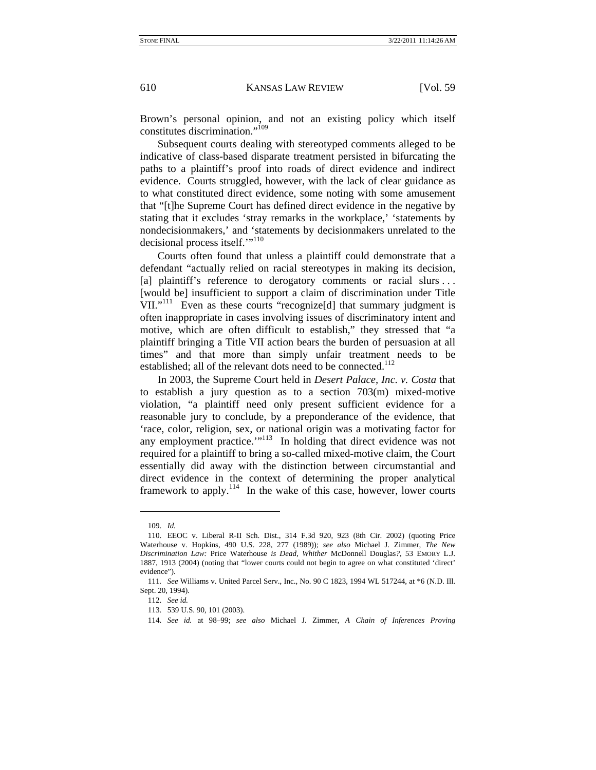Brown's personal opinion, and not an existing policy which itself constitutes discrimination."109

Subsequent courts dealing with stereotyped comments alleged to be indicative of class-based disparate treatment persisted in bifurcating the paths to a plaintiff's proof into roads of direct evidence and indirect evidence. Courts struggled, however, with the lack of clear guidance as to what constituted direct evidence, some noting with some amusement that "[t]he Supreme Court has defined direct evidence in the negative by stating that it excludes 'stray remarks in the workplace,' 'statements by nondecisionmakers,' and 'statements by decisionmakers unrelated to the decisional process itself."<sup>110</sup>

Courts often found that unless a plaintiff could demonstrate that a defendant "actually relied on racial stereotypes in making its decision, [a] plaintiff's reference to derogatory comments or racial slurs ... [would be] insufficient to support a claim of discrimination under Title VII."<sup>111</sup> Even as these courts "recognize[d] that summary judgment is often inappropriate in cases involving issues of discriminatory intent and motive, which are often difficult to establish," they stressed that "a plaintiff bringing a Title VII action bears the burden of persuasion at all times" and that more than simply unfair treatment needs to be established; all of the relevant dots need to be connected.<sup>112</sup>

In 2003, the Supreme Court held in *Desert Palace, Inc. v. Costa* that to establish a jury question as to a section 703(m) mixed-motive violation, "a plaintiff need only present sufficient evidence for a reasonable jury to conclude, by a preponderance of the evidence, that 'race, color, religion, sex, or national origin was a motivating factor for any employment practice.'"<sup>113</sup> In holding that direct evidence was not required for a plaintiff to bring a so-called mixed-motive claim, the Court essentially did away with the distinction between circumstantial and direct evidence in the context of determining the proper analytical framework to apply.<sup>114</sup> In the wake of this case, however, lower courts

<sup>109.</sup> *Id.*

 <sup>110.</sup> EEOC v. Liberal R-II Sch. Dist., 314 F.3d 920, 923 (8th Cir. 2002) (quoting Price Waterhouse v. Hopkins, 490 U.S. 228, 277 (1989)); *see also* Michael J. Zimmer, *The New Discrimination Law:* Price Waterhouse *is Dead, Whither* McDonnell Douglas*?*, 53 EMORY L.J. 1887, 1913 (2004) (noting that "lower courts could not begin to agree on what constituted 'direct' evidence").

<sup>111</sup>*. See* Williams v. United Parcel Serv., Inc., No. 90 C 1823, 1994 WL 517244, at \*6 (N.D. Ill. Sept. 20, 1994).

<sup>112.</sup> *See id.*

 <sup>113. 539</sup> U.S. 90, 101 (2003).

<sup>114.</sup> *See id.* at 98–99; *see also* Michael J. Zimmer, *A Chain of Inferences Proving*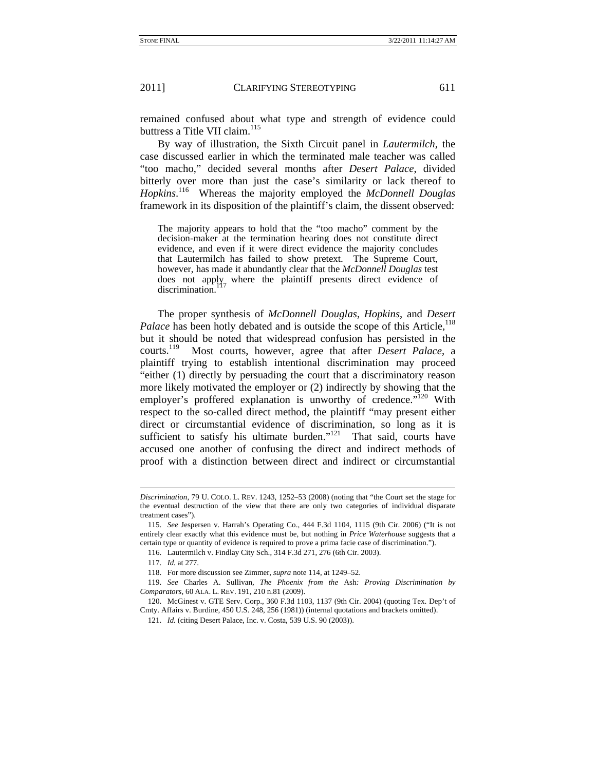remained confused about what type and strength of evidence could buttress a Title VII claim.<sup>115</sup>

By way of illustration, the Sixth Circuit panel in *Lautermilch*, the case discussed earlier in which the terminated male teacher was called "too macho," decided several months after *Desert Palace*, divided bitterly over more than just the case's similarity or lack thereof to *Hopkins*. 116 Whereas the majority employed the *McDonnell Douglas* framework in its disposition of the plaintiff's claim, the dissent observed:

The majority appears to hold that the "too macho" comment by the decision-maker at the termination hearing does not constitute direct evidence, and even if it were direct evidence the majority concludes that Lautermilch has failed to show pretext. The Supreme Court, however, has made it abundantly clear that the *McDonnell Douglas* test does not apply where the plaintiff presents direct evidence of discrimination.<sup>1</sup>

The proper synthesis of *McDonnell Douglas*, *Hopkins*, and *Desert*  Palace has been hotly debated and is outside the scope of this Article,<sup>118</sup> but it should be noted that widespread confusion has persisted in the courts.119 Most courts, however, agree that after *Desert Palace*, a plaintiff trying to establish intentional discrimination may proceed "either (1) directly by persuading the court that a discriminatory reason more likely motivated the employer or (2) indirectly by showing that the employer's proffered explanation is unworthy of credence."<sup>120</sup> With respect to the so-called direct method, the plaintiff "may present either direct or circumstantial evidence of discrimination, so long as it is sufficient to satisfy his ultimate burden." $121$  That said, courts have accused one another of confusing the direct and indirect methods of proof with a distinction between direct and indirect or circumstantial

-

*Discrimination*, 79 U. COLO. L. REV. 1243, 1252–53 (2008) (noting that "the Court set the stage for the eventual destruction of the view that there are only two categories of individual disparate treatment cases").

<sup>115.</sup> *See* Jespersen v. Harrah's Operating Co., 444 F.3d 1104, 1115 (9th Cir. 2006) ("It is not entirely clear exactly what this evidence must be, but nothing in *Price Waterhouse* suggests that a certain type or quantity of evidence is required to prove a prima facie case of discrimination.").

 <sup>116.</sup> Lautermilch v. Findlay City Sch., 314 F.3d 271, 276 (6th Cir. 2003).

<sup>117.</sup> *Id.* at 277.

 <sup>118.</sup> For more discussion see Zimmer, *supra* note 114, at 1249–52.

<sup>119.</sup> *See* Charles A. Sullivan, *The Phoenix from the* Ash*: Proving Discrimination by Comparators*, 60 ALA. L. REV. 191, 210 n.81 (2009).

 <sup>120.</sup> McGinest v. GTE Serv. Corp., 360 F.3d 1103, 1137 (9th Cir. 2004) (quoting Tex. Dep't of Cmty. Affairs v. Burdine, 450 U.S. 248, 256 (1981)) (internal quotations and brackets omitted).

<sup>121.</sup> *Id.* (citing Desert Palace, Inc. v. Costa, 539 U.S. 90 (2003)).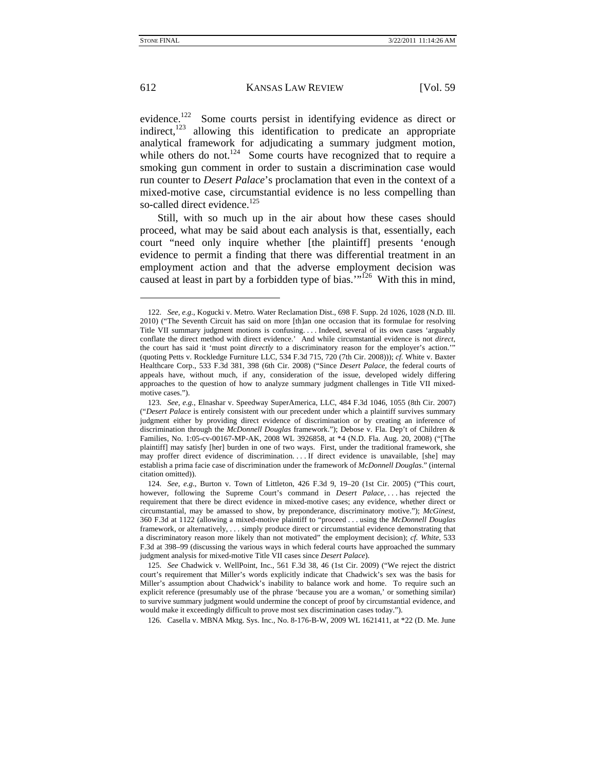1

612 KANSAS LAW REVIEW [Vol. 59

evidence.<sup>122</sup> Some courts persist in identifying evidence as direct or indirect.<sup>123</sup> allowing this identification to predicate an appropriate analytical framework for adjudicating a summary judgment motion, while others do not.<sup>124</sup> Some courts have recognized that to require a smoking gun comment in order to sustain a discrimination case would run counter to *Desert Palace*'s proclamation that even in the context of a mixed-motive case, circumstantial evidence is no less compelling than so-called direct evidence.<sup>125</sup>

Still, with so much up in the air about how these cases should proceed, what may be said about each analysis is that, essentially, each court "need only inquire whether [the plaintiff] presents 'enough evidence to permit a finding that there was differential treatment in an employment action and that the adverse employment decision was caused at least in part by a forbidden type of bias.<sup> $\cdot$ "126</sup> With this in mind,

126. Casella v. MBNA Mktg. Sys. Inc., No. 8-176-B-W, 2009 WL 1621411, at \*22 (D. Me. June

<sup>122.</sup> *See, e.g.*, Kogucki v. Metro. Water Reclamation Dist., 698 F. Supp. 2d 1026, 1028 (N.D. Ill. 2010) ("The Seventh Circuit has said on more [th]an one occasion that its formulae for resolving Title VII summary judgment motions is confusing. . . . Indeed, several of its own cases 'arguably conflate the direct method with direct evidence.' And while circumstantial evidence is not *direct*, the court has said it 'must point *directly* to a discriminatory reason for the employer's action.'" (quoting Petts v. Rockledge Furniture LLC, 534 F.3d 715, 720 (7th Cir. 2008))); *cf.* White v. Baxter Healthcare Corp., 533 F.3d 381, 398 (6th Cir. 2008) ("Since *Desert Palace*, the federal courts of appeals have, without much, if any, consideration of the issue, developed widely differing approaches to the question of how to analyze summary judgment challenges in Title VII mixedmotive cases.").

<sup>123.</sup> *See, e.g.*, Elnashar v. Speedway SuperAmerica, LLC, 484 F.3d 1046, 1055 (8th Cir. 2007) ("*Desert Palace* is entirely consistent with our precedent under which a plaintiff survives summary judgment either by providing direct evidence of discrimination or by creating an inference of discrimination through the *McDonnell Douglas* framework."); Debose v. Fla. Dep't of Children & Families, No. 1:05-cv-00167-MP-AK, 2008 WL 3926858, at \*4 (N.D. Fla. Aug. 20, 2008) ("[The plaintiff] may satisfy [her] burden in one of two ways. First, under the traditional framework, she may proffer direct evidence of discrimination. . . . If direct evidence is unavailable, [she] may establish a prima facie case of discrimination under the framework of *McDonnell Douglas*." (internal citation omitted)).

<sup>124.</sup> *See, e.g.*, Burton v. Town of Littleton, 426 F.3d 9, 19–20 (1st Cir. 2005) ("This court, however, following the Supreme Court's command in *Desert Palace*, . . . has rejected the requirement that there be direct evidence in mixed-motive cases; any evidence, whether direct or circumstantial, may be amassed to show, by preponderance, discriminatory motive."); *McGinest*, 360 F.3d at 1122 (allowing a mixed-motive plaintiff to "proceed . . . using the *McDonnell Douglas* framework, or alternatively, . . . simply produce direct or circumstantial evidence demonstrating that a discriminatory reason more likely than not motivated" the employment decision); *cf. White*, 533 F.3d at 398–99 (discussing the various ways in which federal courts have approached the summary judgment analysis for mixed-motive Title VII cases since *Desert Palace*).

<sup>125.</sup> *See* Chadwick v. WellPoint, Inc., 561 F.3d 38, 46 (1st Cir. 2009) ("We reject the district court's requirement that Miller's words explicitly indicate that Chadwick's sex was the basis for Miller's assumption about Chadwick's inability to balance work and home. To require such an explicit reference (presumably use of the phrase 'because you are a woman,' or something similar) to survive summary judgment would undermine the concept of proof by circumstantial evidence, and would make it exceedingly difficult to prove most sex discrimination cases today.").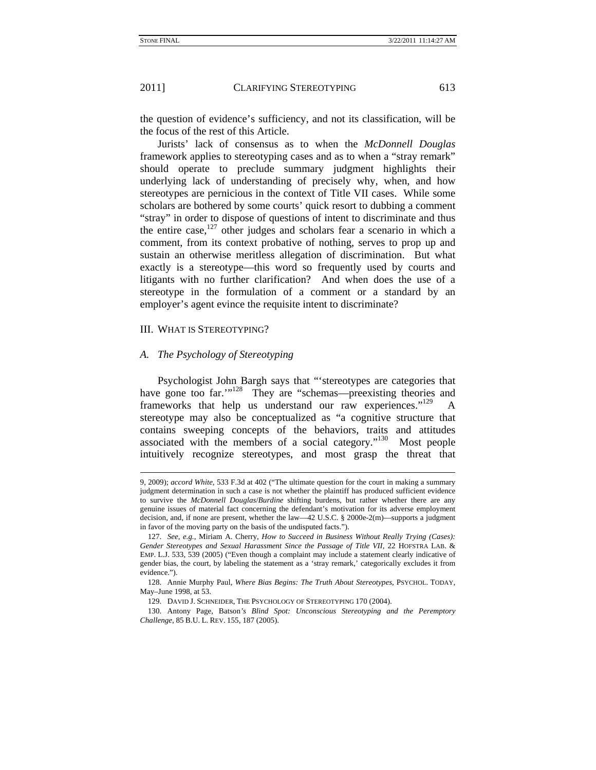$\overline{\phantom{a}}$ 

2011] **CLARIFYING STEREOTYPING** 613

the question of evidence's sufficiency, and not its classification, will be the focus of the rest of this Article.

Jurists' lack of consensus as to when the *McDonnell Douglas* framework applies to stereotyping cases and as to when a "stray remark" should operate to preclude summary judgment highlights their underlying lack of understanding of precisely why, when, and how stereotypes are pernicious in the context of Title VII cases. While some scholars are bothered by some courts' quick resort to dubbing a comment "stray" in order to dispose of questions of intent to discriminate and thus the entire case, $127$  other judges and scholars fear a scenario in which a comment, from its context probative of nothing, serves to prop up and sustain an otherwise meritless allegation of discrimination. But what exactly is a stereotype—this word so frequently used by courts and litigants with no further clarification? And when does the use of a stereotype in the formulation of a comment or a standard by an employer's agent evince the requisite intent to discriminate?

#### III. WHAT IS STEREOTYPING?

#### *A. The Psychology of Stereotyping*

Psychologist John Bargh says that "'stereotypes are categories that have gone too far."<sup>128</sup> They are "schemas—preexisting theories and frameworks that help us understand our raw experiences."<sup>129</sup> A stereotype may also be conceptualized as "a cognitive structure that contains sweeping concepts of the behaviors, traits and attitudes associated with the members of a social category."130 Most people intuitively recognize stereotypes, and most grasp the threat that

<sup>9, 2009);</sup> *accord White*, 533 F.3d at 402 ("The ultimate question for the court in making a summary judgment determination in such a case is not whether the plaintiff has produced sufficient evidence to survive the *McDonnell Douglas*/*Burdine* shifting burdens, but rather whether there are any genuine issues of material fact concerning the defendant's motivation for its adverse employment decision, and, if none are present, whether the law—42 U.S.C. § 2000e-2(m)—supports a judgment in favor of the moving party on the basis of the undisputed facts.").

<sup>127.</sup> *See, e.g.*, Miriam A. Cherry, *How to Succeed in Business Without Really Trying (Cases): Gender Stereotypes and Sexual Harassment Since the Passage of Title VII*, 22 HOFSTRA LAB. & EMP. L.J. 533, 539 (2005) ("Even though a complaint may include a statement clearly indicative of gender bias, the court, by labeling the statement as a 'stray remark,' categorically excludes it from evidence.").

 <sup>128.</sup> Annie Murphy Paul, *Where Bias Begins: The Truth About Stereotypes*, PSYCHOL. TODAY, May–June 1998, at 53.

 <sup>129.</sup> DAVID J. SCHNEIDER, THE PSYCHOLOGY OF STEREOTYPING 170 (2004).

 <sup>130.</sup> Antony Page, Batson*'s Blind Spot: Unconscious Stereotyping and the Peremptory Challenge*, 85 B.U. L. REV. 155, 187 (2005).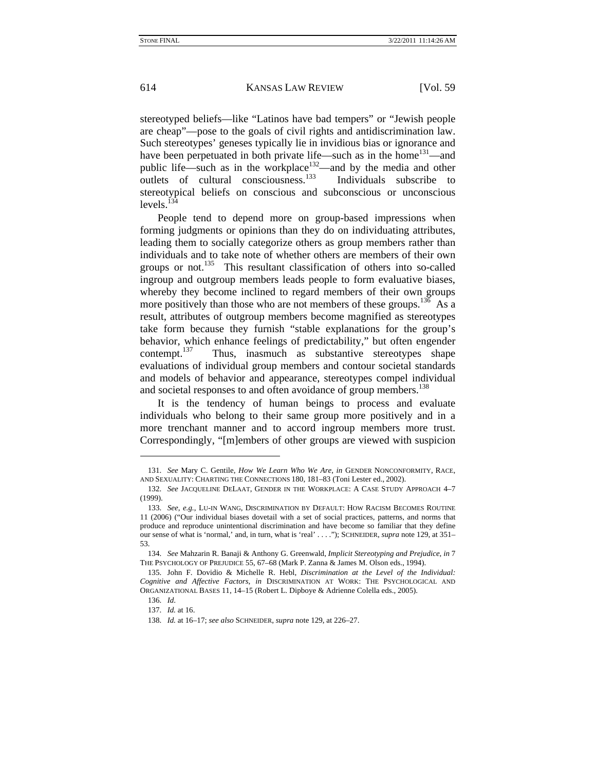stereotyped beliefs—like "Latinos have bad tempers" or "Jewish people are cheap"—pose to the goals of civil rights and antidiscrimination law. Such stereotypes' geneses typically lie in invidious bias or ignorance and have been perpetuated in both private life—such as in the home<sup>131</sup>—and public life—such as in the workplace<sup>132</sup>—and by the media and other outlets of cultural consciousness.<sup>133</sup> Individuals subscribe to stereotypical beliefs on conscious and subconscious or unconscious levels. $^{13}$ 

People tend to depend more on group-based impressions when forming judgments or opinions than they do on individuating attributes, leading them to socially categorize others as group members rather than individuals and to take note of whether others are members of their own groups or not.<sup>135</sup> This resultant classification of others into so-called ingroup and outgroup members leads people to form evaluative biases, whereby they become inclined to regard members of their own groups more positively than those who are not members of these groups.<sup>136</sup> As a result, attributes of outgroup members become magnified as stereotypes take form because they furnish "stable explanations for the group's behavior, which enhance feelings of predictability," but often engender  $content<sup>137</sup>$  Thus, inasmuch as substantive stereotypes shape evaluations of individual group members and contour societal standards and models of behavior and appearance, stereotypes compel individual and societal responses to and often avoidance of group members.<sup>138</sup>

It is the tendency of human beings to process and evaluate individuals who belong to their same group more positively and in a more trenchant manner and to accord ingroup members more trust. Correspondingly, "[m]embers of other groups are viewed with suspicion

<sup>131.</sup> *See* Mary C. Gentile, *How We Learn Who We Are*, *in* GENDER NONCONFORMITY, RACE, AND SEXUALITY: CHARTING THE CONNECTIONS 180, 181–83 (Toni Lester ed., 2002).

<sup>132.</sup> *See* JACQUELINE DELAAT, GENDER IN THE WORKPLACE: A CASE STUDY APPROACH 4–7 (1999).

<sup>133.</sup> *See, e.g.*, LU-IN WANG, DISCRIMINATION BY DEFAULT: HOW RACISM BECOMES ROUTINE 11 (2006) ("Our individual biases dovetail with a set of social practices, patterns, and norms that produce and reproduce unintentional discrimination and have become so familiar that they define our sense of what is 'normal,' and, in turn, what is 'real' . . . ."); SCHNEIDER, *supra* note 129, at 351– 53.

<sup>134.</sup> *See* Mahzarin R. Banaji & Anthony G. Greenwald, *Implicit Stereotyping and Prejudice*, *in* 7 THE PSYCHOLOGY OF PREJUDICE 55, 67–68 (Mark P. Zanna & James M. Olson eds., 1994).

 <sup>135.</sup> John F. Dovidio & Michelle R. Hebl, *Discrimination at the Level of the Individual: Cognitive and Affective Factors*, *in* DISCRIMINATION AT WORK: THE PSYCHOLOGICAL AND ORGANIZATIONAL BASES 11, 14–15 (Robert L. Dipboye & Adrienne Colella eds., 2005).

<sup>136.</sup> *Id*.

<sup>137.</sup> *Id.* at 16.

<sup>138.</sup> *Id.* at 16–17; *see also* SCHNEIDER, *supra* note 129, at 226–27.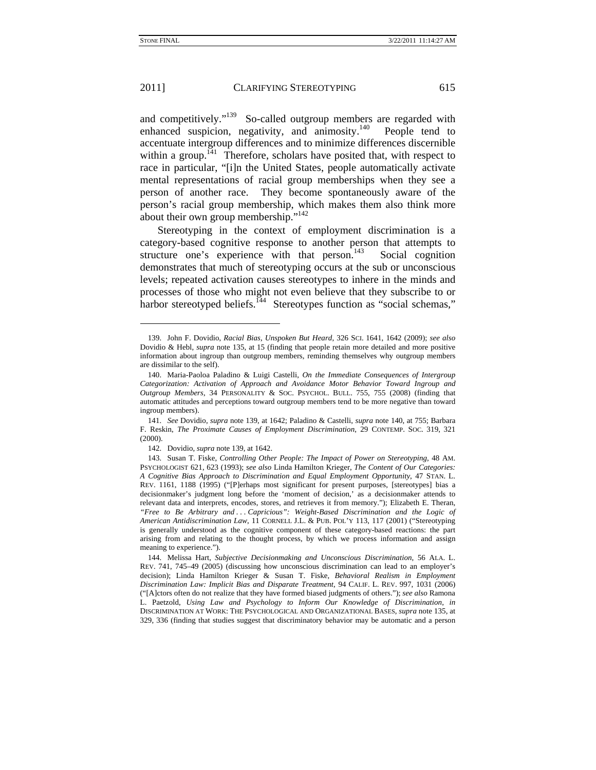l

2011] CLARIFYING STEREOTYPING 615

and competitively."<sup>139</sup> So-called outgroup members are regarded with enhanced suspicion, negativity, and animosity.<sup>140</sup> People tend to accentuate intergroup differences and to minimize differences discernible within a group.<sup> $141$ </sup> Therefore, scholars have posited that, with respect to race in particular, "[i]n the United States, people automatically activate mental representations of racial group memberships when they see a person of another race. They become spontaneously aware of the person's racial group membership, which makes them also think more about their own group membership."<sup>142</sup>

Stereotyping in the context of employment discrimination is a category-based cognitive response to another person that attempts to structure one's experience with that person. $143$  Social cognition demonstrates that much of stereotyping occurs at the sub or unconscious levels; repeated activation causes stereotypes to inhere in the minds and processes of those who might not even believe that they subscribe to or harbor stereotyped beliefs.<sup>144</sup> Stereotypes function as "social schemas,"

 <sup>139.</sup> John F. Dovidio, *Racial Bias, Unspoken But Heard*, 326 SCI. 1641, 1642 (2009); *see also*  Dovidio & Hebl, *supra* note 135, at 15 (finding that people retain more detailed and more positive information about ingroup than outgroup members, reminding themselves why outgroup members are dissimilar to the self).

 <sup>140.</sup> Maria-Paoloa Paladino & Luigi Castelli, *On the Immediate Consequences of Intergroup Categorization: Activation of Approach and Avoidance Motor Behavior Toward Ingroup and Outgroup Members*, 34 PERSONALITY & SOC. PSYCHOL. BULL. 755, 755 (2008) (finding that automatic attitudes and perceptions toward outgroup members tend to be more negative than toward ingroup members).

<sup>141.</sup> *See* Dovidio, *supra* note 139, at 1642; Paladino & Castelli, *supra* note 140, at 755; Barbara F. Reskin, *The Proximate Causes of Employment Discrimination*, 29 CONTEMP. SOC. 319, 321 (2000).

 <sup>142.</sup> Dovidio, *supra* note 139, at 1642.

 <sup>143.</sup> Susan T. Fiske, *Controlling Other People: The Impact of Power on Stereotyping*, 48 AM. PSYCHOLOGIST 621, 623 (1993); *see also* Linda Hamilton Krieger, *The Content of Our Categories: A Cognitive Bias Approach to Discrimination and Equal Employment Opportunity*, 47 STAN. L. REV. 1161, 1188 (1995) ("[P]erhaps most significant for present purposes, [stereotypes] bias a decisionmaker's judgment long before the 'moment of decision,' as a decisionmaker attends to relevant data and interprets, encodes, stores, and retrieves it from memory."); Elizabeth E. Theran, *"Free to Be Arbitrary and . . . Capricious": Weight-Based Discrimination and the Logic of American Antidiscrimination Law*, 11 CORNELL J.L. & PUB. POL'Y 113, 117 (2001) ("Stereotyping is generally understood as the cognitive component of these category-based reactions: the part arising from and relating to the thought process, by which we process information and assign meaning to experience.").

 <sup>144.</sup> Melissa Hart, *Subjective Decisionmaking and Unconscious Discrimination*, 56 ALA. L. REV. 741, 745–49 (2005) (discussing how unconscious discrimination can lead to an employer's decision); Linda Hamilton Krieger & Susan T. Fiske, *Behavioral Realism in Employment Discrimination Law: Implicit Bias and Disparate Treatment*, 94 CALIF. L. REV. 997, 1031 (2006) ("[A]ctors often do not realize that they have formed biased judgments of others."); *see also* Ramona L. Paetzold, *Using Law and Psychology to Inform Our Knowledge of Discrimination*, *in*  DISCRIMINATION AT WORK: THE PSYCHOLOGICAL AND ORGANIZATIONAL BASES, *supra* note 135, at 329, 336 (finding that studies suggest that discriminatory behavior may be automatic and a person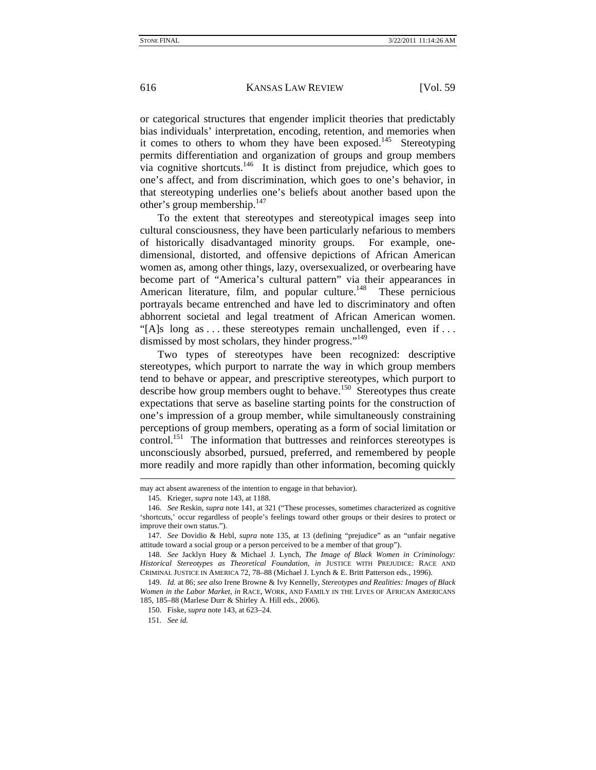or categorical structures that engender implicit theories that predictably bias individuals' interpretation, encoding, retention, and memories when it comes to others to whom they have been exposed.<sup>145</sup> Stereotyping permits differentiation and organization of groups and group members via cognitive shortcuts. $146$  It is distinct from prejudice, which goes to one's affect, and from discrimination, which goes to one's behavior, in that stereotyping underlies one's beliefs about another based upon the other's group membership.<sup>147</sup>

To the extent that stereotypes and stereotypical images seep into cultural consciousness, they have been particularly nefarious to members of historically disadvantaged minority groups. For example, onedimensional, distorted, and offensive depictions of African American women as, among other things, lazy, oversexualized, or overbearing have become part of "America's cultural pattern" via their appearances in American literature, film, and popular culture.<sup>148</sup> These pernicious portrayals became entrenched and have led to discriminatory and often abhorrent societal and legal treatment of African American women. "[A]s long as . . . these stereotypes remain unchallenged, even if . . . dismissed by most scholars, they hinder progress."<sup>149</sup>

Two types of stereotypes have been recognized: descriptive stereotypes, which purport to narrate the way in which group members tend to behave or appear, and prescriptive stereotypes, which purport to describe how group members ought to behave.<sup>150</sup> Stereotypes thus create expectations that serve as baseline starting points for the construction of one's impression of a group member, while simultaneously constraining perceptions of group members, operating as a form of social limitation or control.<sup>151</sup> The information that buttresses and reinforces stereotypes is unconsciously absorbed, pursued, preferred, and remembered by people more readily and more rapidly than other information, becoming quickly

may act absent awareness of the intention to engage in that behavior).

 <sup>145.</sup> Krieger, *supra* note 143, at 1188.

<sup>146.</sup> *See* Reskin, *supra* note 141, at 321 ("These processes, sometimes characterized as cognitive 'shortcuts,' occur regardless of people's feelings toward other groups or their desires to protect or improve their own status.").

<sup>147.</sup> *See* Dovidio & Hebl, *supra* note 135, at 13 (defining "prejudice" as an "unfair negative attitude toward a social group or a person perceived to be a member of that group").

<sup>148.</sup> *See* Jacklyn Huey & Michael J. Lynch, *The Image of Black Women in Criminology: Historical Stereotypes as Theoretical Foundation*, *in* JUSTICE WITH PREJUDICE: RACE AND CRIMINAL JUSTICE IN AMERICA 72, 78–88 (Michael J. Lynch & E. Britt Patterson eds., 1996).

<sup>149.</sup> *Id.* at 86; *see also* Irene Browne & Ivy Kennelly, *Stereotypes and Realities: Images of Black Women in the Labor Market*, *in* RACE, WORK, AND FAMILY IN THE LIVES OF AFRICAN AMERICANS 185, 185–88 (Marlese Durr & Shirley A. Hill eds., 2006).

 <sup>150.</sup> Fiske, *supra* note 143, at 623–24.

<sup>151.</sup> *See id.*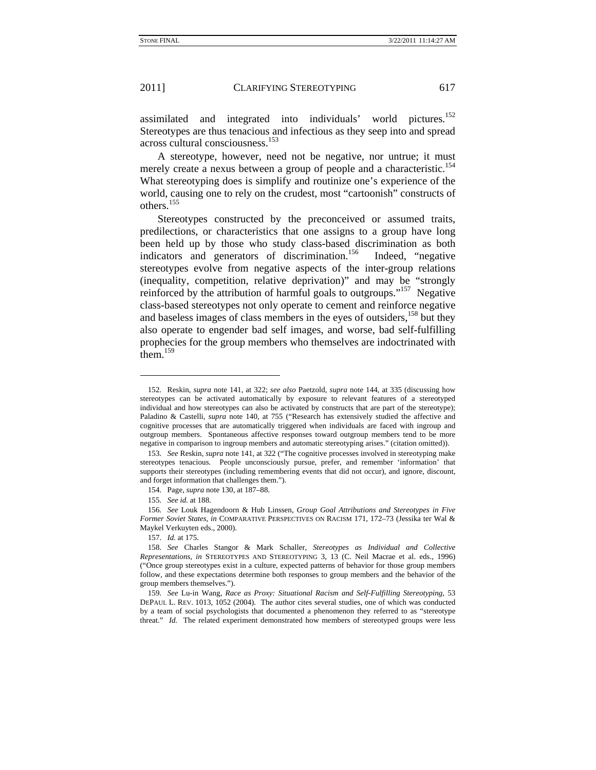assimilated and integrated into individuals' world pictures.<sup>152</sup> Stereotypes are thus tenacious and infectious as they seep into and spread across cultural consciousness.<sup>153</sup>

A stereotype, however, need not be negative, nor untrue; it must merely create a nexus between a group of people and a characteristic.<sup>154</sup> What stereotyping does is simplify and routinize one's experience of the world, causing one to rely on the crudest, most "cartoonish" constructs of others.<sup>155</sup>

Stereotypes constructed by the preconceived or assumed traits, predilections, or characteristics that one assigns to a group have long been held up by those who study class-based discrimination as both indicators and generators of discrimination.<sup>156</sup> Indeed, "negative stereotypes evolve from negative aspects of the inter-group relations (inequality, competition, relative deprivation)" and may be "strongly reinforced by the attribution of harmful goals to outgroups."157 Negative class-based stereotypes not only operate to cement and reinforce negative and baseless images of class members in the eyes of outsiders,<sup>158</sup> but they also operate to engender bad self images, and worse, bad self-fulfilling prophecies for the group members who themselves are indoctrinated with  $\text{them.}^{159}$ 

 <sup>152.</sup> Reskin, *supra* note 141, at 322; *see also* Paetzold, *supra* note 144, at 335 (discussing how stereotypes can be activated automatically by exposure to relevant features of a stereotyped individual and how stereotypes can also be activated by constructs that are part of the stereotype); Paladino & Castelli, *supra* note 140, at 755 ("Research has extensively studied the affective and cognitive processes that are automatically triggered when individuals are faced with ingroup and outgroup members. Spontaneous affective responses toward outgroup members tend to be more negative in comparison to ingroup members and automatic stereotyping arises." (citation omitted)).

<sup>153.</sup> *See* Reskin, *supra* note 141, at 322 ("The cognitive processes involved in stereotyping make stereotypes tenacious. People unconsciously pursue, prefer, and remember 'information' that supports their stereotypes (including remembering events that did not occur), and ignore, discount, and forget information that challenges them.").

 <sup>154.</sup> Page, *supra* note 130, at 187–88.

<sup>155.</sup> *See id.* at 188.

<sup>156.</sup> *See* Louk Hagendoorn & Hub Linssen, *Group Goal Attributions and Stereotypes in Five Former Soviet States*, *in* COMPARATIVE PERSPECTIVES ON RACISM 171, 172–73 (Jessika ter Wal & Maykel Verkuyten eds., 2000).

<sup>157.</sup> *Id.* at 175.

<sup>158.</sup> *See* Charles Stangor & Mark Schaller, *Stereotypes as Individual and Collective Representations*, *in* STEREOTYPES AND STEREOTYPING 3, 13 (C. Neil Macrae et al. eds., 1996) ("Once group stereotypes exist in a culture, expected patterns of behavior for those group members follow, and these expectations determine both responses to group members and the behavior of the group members themselves.").

<sup>159.</sup> *See* Lu-in Wang, *Race as Proxy: Situational Racism and Self-Fulfilling Stereotyping*, 53 DEPAUL L. REV. 1013, 1052 (2004). The author cites several studies, one of which was conducted by a team of social psychologists that documented a phenomenon they referred to as "stereotype threat." *Id.* The related experiment demonstrated how members of stereotyped groups were less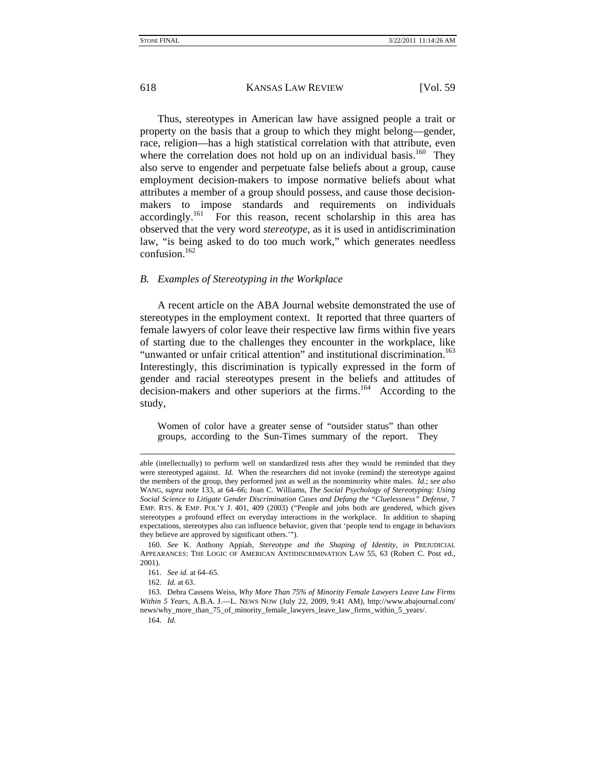Thus, stereotypes in American law have assigned people a trait or property on the basis that a group to which they might belong—gender, race, religion—has a high statistical correlation with that attribute, even where the correlation does not hold up on an individual basis.<sup>160</sup> They also serve to engender and perpetuate false beliefs about a group, cause employment decision-makers to impose normative beliefs about what attributes a member of a group should possess, and cause those decisionmakers to impose standards and requirements on individuals accordingly.<sup>161</sup> For this reason, recent scholarship in this area has observed that the very word *stereotype*, as it is used in antidiscrimination law, "is being asked to do too much work," which generates needless confusion.<sup>162</sup>

#### *B. Examples of Stereotyping in the Workplace*

A recent article on the ABA Journal website demonstrated the use of stereotypes in the employment context. It reported that three quarters of female lawyers of color leave their respective law firms within five years of starting due to the challenges they encounter in the workplace, like "unwanted or unfair critical attention" and institutional discrimination.<sup>163</sup> Interestingly, this discrimination is typically expressed in the form of gender and racial stereotypes present in the beliefs and attitudes of decision-makers and other superiors at the firms.<sup>164</sup> According to the study,

Women of color have a greater sense of "outsider status" than other groups, according to the Sun-Times summary of the report. They

able (intellectually) to perform well on standardized tests after they would be reminded that they were stereotyped against. *Id.* When the researchers did not invoke (remind) the stereotype against the members of the group, they performed just as well as the nonminority white males. *Id.*; *see also*  WANG, *supra* note 133, at 64–66; Joan C. Williams, *The Social Psychology of Stereotyping: Using Social Science to Litigate Gender Discrimination Cases and Defang the "Cluelessness" Defense*, 7 EMP. RTS. & EMP. POL'Y J. 401, 409 (2003) ("People and jobs both are gendered, which gives stereotypes a profound effect on everyday interactions in the workplace. In addition to shaping expectations, stereotypes also can influence behavior, given that 'people tend to engage in behaviors they believe are approved by significant others.'").

<sup>160.</sup> *See* K. Anthony Appiah, *Stereotype and the Shaping of Identity*, *in* PREJUDICIAL APPEARANCES: THE LOGIC OF AMERICAN ANTIDISCRIMINATION LAW 55, 63 (Robert C. Post ed., 2001).

<sup>161.</sup> *See id.* at 64–65.

<sup>162.</sup> *Id.* at 63.

 <sup>163.</sup> Debra Cassens Weiss, *Why More Than 75% of Minority Female Lawyers Leave Law Firms Within 5 Years*, A.B.A. J.—L. NEWS NOW (July 22, 2009, 9:41 AM), http://www.abajournal.com/ news/why\_more\_than\_75\_of\_minority\_female\_lawyers\_leave\_law\_firms\_within\_5\_years/. 164. *Id.*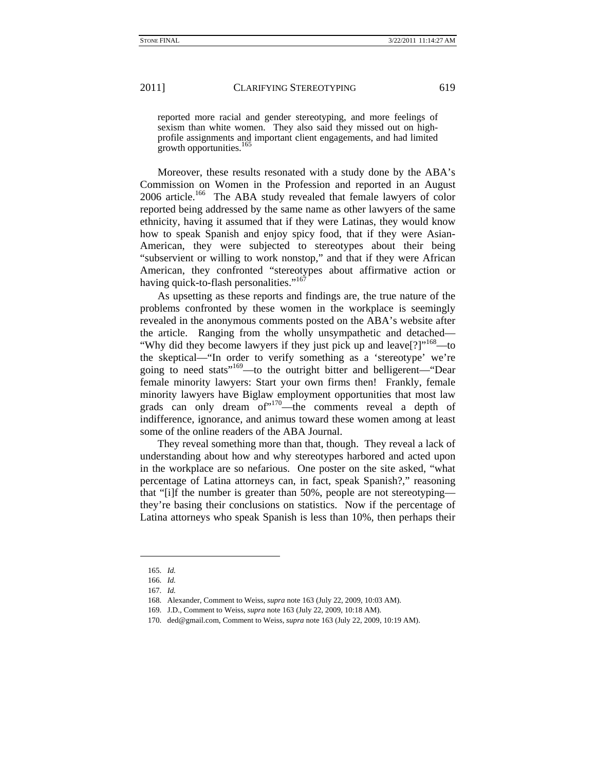reported more racial and gender stereotyping, and more feelings of sexism than white women. They also said they missed out on highprofile assignments and important client engagements, and had limited growth opportunities.<sup>165</sup>

Moreover, these results resonated with a study done by the ABA's Commission on Women in the Profession and reported in an August 2006 article.<sup>166</sup> The ABA study revealed that female lawyers of color reported being addressed by the same name as other lawyers of the same ethnicity, having it assumed that if they were Latinas, they would know how to speak Spanish and enjoy spicy food, that if they were Asian-American, they were subjected to stereotypes about their being "subservient or willing to work nonstop," and that if they were African American, they confronted "stereotypes about affirmative action or having quick-to-flash personalities."<sup>167</sup>

As upsetting as these reports and findings are, the true nature of the problems confronted by these women in the workplace is seemingly revealed in the anonymous comments posted on the ABA's website after the article. Ranging from the wholly unsympathetic and detached— "Why did they become lawyers if they just pick up and leave[?]"<sup>168</sup>—to the skeptical—"In order to verify something as a 'stereotype' we're going to need stats"169—to the outright bitter and belligerent—"Dear female minority lawyers: Start your own firms then! Frankly, female minority lawyers have Biglaw employment opportunities that most law grads can only dream of <sup>170</sup>—the comments reveal a depth of indifference, ignorance, and animus toward these women among at least some of the online readers of the ABA Journal.

They reveal something more than that, though. They reveal a lack of understanding about how and why stereotypes harbored and acted upon in the workplace are so nefarious. One poster on the site asked, "what percentage of Latina attorneys can, in fact, speak Spanish?," reasoning that "[i]f the number is greater than 50%, people are not stereotyping they're basing their conclusions on statistics. Now if the percentage of Latina attorneys who speak Spanish is less than 10%, then perhaps their

<sup>165.</sup> *Id.*

<sup>166.</sup> *Id.*

<sup>167.</sup> *Id.*

 <sup>168.</sup> Alexander, Comment to Weiss, *supra* note 163 (July 22, 2009, 10:03 AM).

 <sup>169.</sup> J.D., Comment to Weiss, *supra* note 163 (July 22, 2009, 10:18 AM).

 <sup>170.</sup> ded@gmail.com, Comment to Weiss, *supra* note 163 (July 22, 2009, 10:19 AM).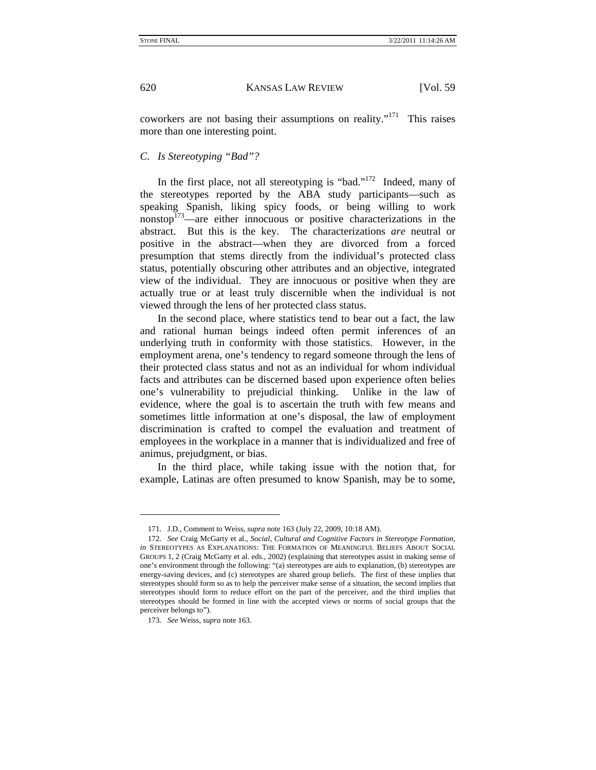coworkers are not basing their assumptions on reality."<sup>171</sup> This raises more than one interesting point.

#### *C. Is Stereotyping "Bad"?*

In the first place, not all stereotyping is "bad."172 Indeed, many of the stereotypes reported by the ABA study participants—such as speaking Spanish, liking spicy foods, or being willing to work nonstop $173$ —are either innocuous or positive characterizations in the abstract. But this is the key. The characterizations *are* neutral or positive in the abstract—when they are divorced from a forced presumption that stems directly from the individual's protected class status, potentially obscuring other attributes and an objective, integrated view of the individual. They are innocuous or positive when they are actually true or at least truly discernible when the individual is not viewed through the lens of her protected class status.

In the second place, where statistics tend to bear out a fact, the law and rational human beings indeed often permit inferences of an underlying truth in conformity with those statistics. However, in the employment arena, one's tendency to regard someone through the lens of their protected class status and not as an individual for whom individual facts and attributes can be discerned based upon experience often belies one's vulnerability to prejudicial thinking. Unlike in the law of evidence, where the goal is to ascertain the truth with few means and sometimes little information at one's disposal, the law of employment discrimination is crafted to compel the evaluation and treatment of employees in the workplace in a manner that is individualized and free of animus, prejudgment, or bias.

In the third place, while taking issue with the notion that, for example, Latinas are often presumed to know Spanish, may be to some,

 <sup>171.</sup> J.D., Comment to Weiss, *supra* note 163 (July 22, 2009, 10:18 AM).

<sup>172.</sup> *See* Craig McGarty et al., *Social, Cultural and Cognitive Factors in Stereotype Formation*, *in* STEREOTYPES AS EXPLANATIONS: THE FORMATION OF MEANINGFUL BELIEFS ABOUT SOCIAL GROUPS 1, 2 (Craig McGarty et al. eds., 2002) (explaining that stereotypes assist in making sense of one's environment through the following: "(a) stereotypes are aids to explanation, (b) stereotypes are energy-saving devices, and (c) stereotypes are shared group beliefs. The first of these implies that stereotypes should form so as to help the perceiver make sense of a situation, the second implies that stereotypes should form to reduce effort on the part of the perceiver, and the third implies that stereotypes should be formed in line with the accepted views or norms of social groups that the perceiver belongs to").

<sup>173.</sup> *See* Weiss, *supra* note 163.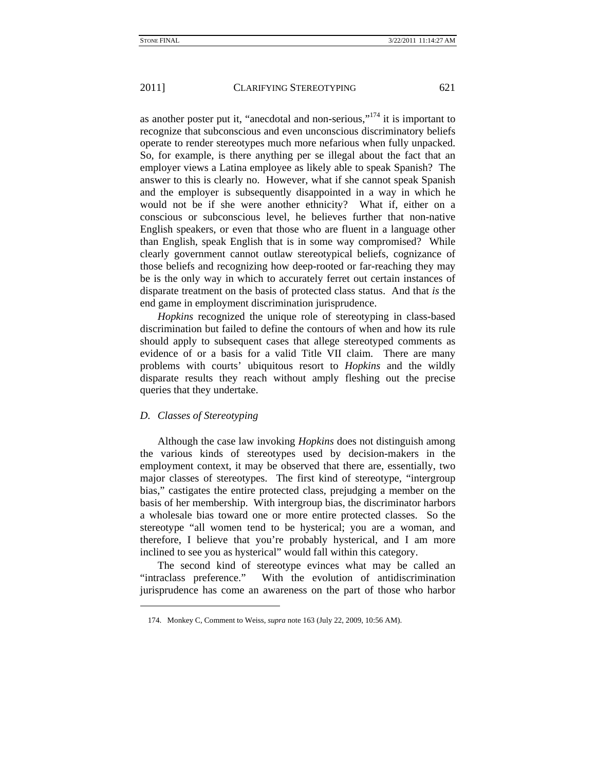as another poster put it, "anecdotal and non-serious,"<sup>174</sup> it is important to recognize that subconscious and even unconscious discriminatory beliefs operate to render stereotypes much more nefarious when fully unpacked. So, for example, is there anything per se illegal about the fact that an employer views a Latina employee as likely able to speak Spanish? The answer to this is clearly no. However, what if she cannot speak Spanish and the employer is subsequently disappointed in a way in which he would not be if she were another ethnicity? What if, either on a conscious or subconscious level, he believes further that non-native English speakers, or even that those who are fluent in a language other than English, speak English that is in some way compromised? While clearly government cannot outlaw stereotypical beliefs, cognizance of those beliefs and recognizing how deep-rooted or far-reaching they may be is the only way in which to accurately ferret out certain instances of disparate treatment on the basis of protected class status. And that *is* the end game in employment discrimination jurisprudence.

*Hopkins* recognized the unique role of stereotyping in class-based discrimination but failed to define the contours of when and how its rule should apply to subsequent cases that allege stereotyped comments as evidence of or a basis for a valid Title VII claim. There are many problems with courts' ubiquitous resort to *Hopkins* and the wildly disparate results they reach without amply fleshing out the precise queries that they undertake.

## *D. Classes of Stereotyping*

1

Although the case law invoking *Hopkins* does not distinguish among the various kinds of stereotypes used by decision-makers in the employment context, it may be observed that there are, essentially, two major classes of stereotypes. The first kind of stereotype, "intergroup bias," castigates the entire protected class, prejudging a member on the basis of her membership. With intergroup bias, the discriminator harbors a wholesale bias toward one or more entire protected classes. So the stereotype "all women tend to be hysterical; you are a woman, and therefore, I believe that you're probably hysterical, and I am more inclined to see you as hysterical" would fall within this category.

The second kind of stereotype evinces what may be called an "intraclass preference." With the evolution of antidiscrimination jurisprudence has come an awareness on the part of those who harbor

 <sup>174.</sup> Monkey C, Comment to Weiss, *supra* note 163 (July 22, 2009, 10:56 AM).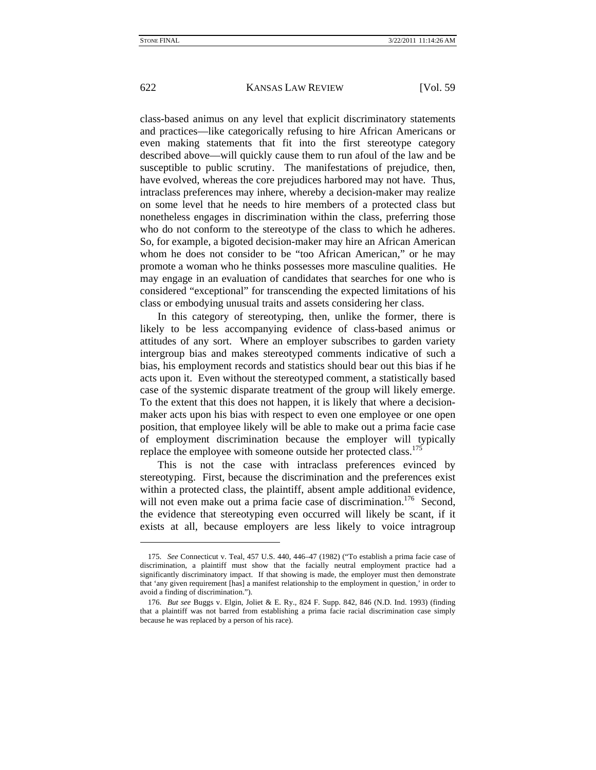$\overline{\phantom{a}}$ 

622 KANSAS LAW REVIEW [Vol. 59

class-based animus on any level that explicit discriminatory statements and practices—like categorically refusing to hire African Americans or even making statements that fit into the first stereotype category described above—will quickly cause them to run afoul of the law and be susceptible to public scrutiny. The manifestations of prejudice, then, have evolved, whereas the core prejudices harbored may not have. Thus, intraclass preferences may inhere, whereby a decision-maker may realize on some level that he needs to hire members of a protected class but nonetheless engages in discrimination within the class, preferring those who do not conform to the stereotype of the class to which he adheres. So, for example, a bigoted decision-maker may hire an African American whom he does not consider to be "too African American," or he may promote a woman who he thinks possesses more masculine qualities. He may engage in an evaluation of candidates that searches for one who is considered "exceptional" for transcending the expected limitations of his class or embodying unusual traits and assets considering her class.

In this category of stereotyping, then, unlike the former, there is likely to be less accompanying evidence of class-based animus or attitudes of any sort. Where an employer subscribes to garden variety intergroup bias and makes stereotyped comments indicative of such a bias, his employment records and statistics should bear out this bias if he acts upon it. Even without the stereotyped comment, a statistically based case of the systemic disparate treatment of the group will likely emerge. To the extent that this does not happen, it is likely that where a decisionmaker acts upon his bias with respect to even one employee or one open position, that employee likely will be able to make out a prima facie case of employment discrimination because the employer will typically replace the employee with someone outside her protected class.<sup>175</sup>

This is not the case with intraclass preferences evinced by stereotyping. First, because the discrimination and the preferences exist within a protected class, the plaintiff, absent ample additional evidence, will not even make out a prima facie case of discrimination.<sup>176</sup> Second, the evidence that stereotyping even occurred will likely be scant, if it exists at all, because employers are less likely to voice intragroup

<sup>175.</sup> *See* Connecticut v. Teal, 457 U.S. 440, 446–47 (1982) ("To establish a prima facie case of discrimination, a plaintiff must show that the facially neutral employment practice had a significantly discriminatory impact. If that showing is made, the employer must then demonstrate that 'any given requirement [has] a manifest relationship to the employment in question,' in order to avoid a finding of discrimination.").

<sup>176.</sup> *But see* Buggs v. Elgin, Joliet & E. Ry., 824 F. Supp. 842, 846 (N.D. Ind. 1993) (finding that a plaintiff was not barred from establishing a prima facie racial discrimination case simply because he was replaced by a person of his race).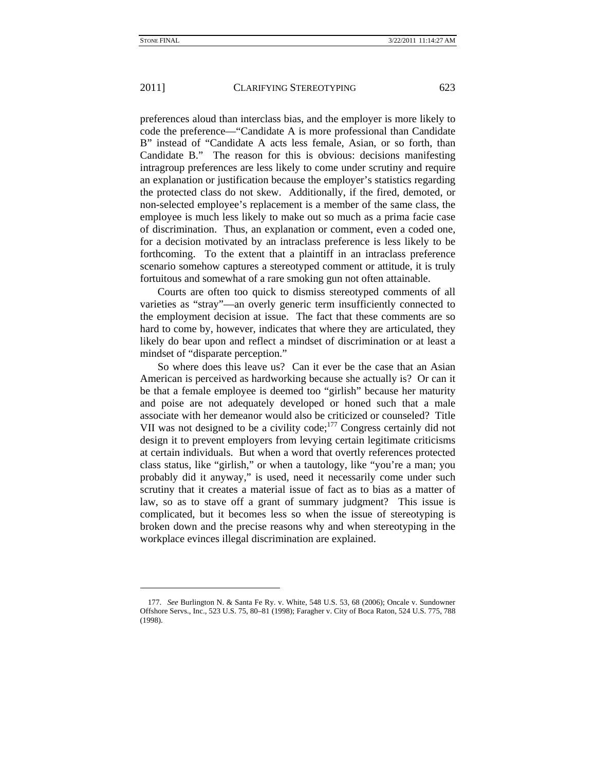1

2011] CLARIFYING STEREOTYPING 623

preferences aloud than interclass bias, and the employer is more likely to code the preference—"Candidate A is more professional than Candidate B" instead of "Candidate A acts less female, Asian, or so forth, than Candidate B." The reason for this is obvious: decisions manifesting intragroup preferences are less likely to come under scrutiny and require an explanation or justification because the employer's statistics regarding the protected class do not skew. Additionally, if the fired, demoted, or non-selected employee's replacement is a member of the same class, the employee is much less likely to make out so much as a prima facie case of discrimination. Thus, an explanation or comment, even a coded one, for a decision motivated by an intraclass preference is less likely to be forthcoming. To the extent that a plaintiff in an intraclass preference scenario somehow captures a stereotyped comment or attitude, it is truly fortuitous and somewhat of a rare smoking gun not often attainable.

Courts are often too quick to dismiss stereotyped comments of all varieties as "stray"—an overly generic term insufficiently connected to the employment decision at issue. The fact that these comments are so hard to come by, however, indicates that where they are articulated, they likely do bear upon and reflect a mindset of discrimination or at least a mindset of "disparate perception."

So where does this leave us? Can it ever be the case that an Asian American is perceived as hardworking because she actually is? Or can it be that a female employee is deemed too "girlish" because her maturity and poise are not adequately developed or honed such that a male associate with her demeanor would also be criticized or counseled? Title VII was not designed to be a civility code; $^{177}$  Congress certainly did not design it to prevent employers from levying certain legitimate criticisms at certain individuals. But when a word that overtly references protected class status, like "girlish," or when a tautology, like "you're a man; you probably did it anyway," is used, need it necessarily come under such scrutiny that it creates a material issue of fact as to bias as a matter of law, so as to stave off a grant of summary judgment? This issue is complicated, but it becomes less so when the issue of stereotyping is broken down and the precise reasons why and when stereotyping in the workplace evinces illegal discrimination are explained.

<sup>177.</sup> *See* Burlington N. & Santa Fe Ry. v. White, 548 U.S. 53, 68 (2006); Oncale v. Sundowner Offshore Servs., Inc., 523 U.S. 75, 80–81 (1998); Faragher v. City of Boca Raton, 524 U.S. 775, 788 (1998).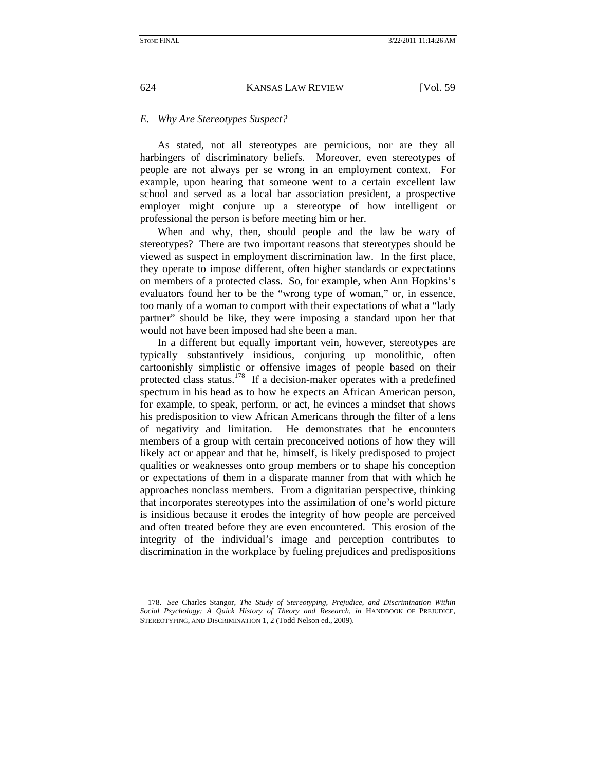### *E. Why Are Stereotypes Suspect?*

As stated, not all stereotypes are pernicious, nor are they all harbingers of discriminatory beliefs. Moreover, even stereotypes of people are not always per se wrong in an employment context. For example, upon hearing that someone went to a certain excellent law school and served as a local bar association president, a prospective employer might conjure up a stereotype of how intelligent or professional the person is before meeting him or her.

When and why, then, should people and the law be wary of stereotypes? There are two important reasons that stereotypes should be viewed as suspect in employment discrimination law. In the first place, they operate to impose different, often higher standards or expectations on members of a protected class. So, for example, when Ann Hopkins's evaluators found her to be the "wrong type of woman," or, in essence, too manly of a woman to comport with their expectations of what a "lady partner" should be like, they were imposing a standard upon her that would not have been imposed had she been a man.

In a different but equally important vein, however, stereotypes are typically substantively insidious, conjuring up monolithic, often cartoonishly simplistic or offensive images of people based on their protected class status.<sup>178</sup> If a decision-maker operates with a predefined spectrum in his head as to how he expects an African American person, for example, to speak, perform, or act, he evinces a mindset that shows his predisposition to view African Americans through the filter of a lens of negativity and limitation. He demonstrates that he encounters members of a group with certain preconceived notions of how they will likely act or appear and that he, himself, is likely predisposed to project qualities or weaknesses onto group members or to shape his conception or expectations of them in a disparate manner from that with which he approaches nonclass members. From a dignitarian perspective, thinking that incorporates stereotypes into the assimilation of one's world picture is insidious because it erodes the integrity of how people are perceived and often treated before they are even encountered. This erosion of the integrity of the individual's image and perception contributes to discrimination in the workplace by fueling prejudices and predispositions

<sup>178.</sup> *See* Charles Stangor, *The Study of Stereotyping, Prejudice, and Discrimination Within Social Psychology: A Quick History of Theory and Research*, *in* HANDBOOK OF PREJUDICE, STEREOTYPING, AND DISCRIMINATION 1, 2 (Todd Nelson ed., 2009).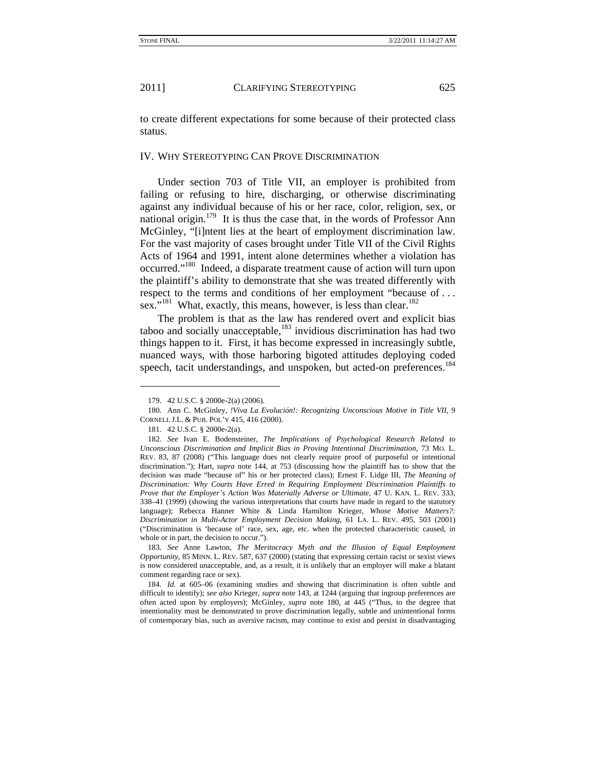to create different expectations for some because of their protected class status.

#### IV. WHY STEREOTYPING CAN PROVE DISCRIMINATION

Under section 703 of Title VII, an employer is prohibited from failing or refusing to hire, discharging, or otherwise discriminating against any individual because of his or her race, color, religion, sex, or national origin.<sup>179</sup> It is thus the case that, in the words of Professor Ann McGinley, "[i]ntent lies at the heart of employment discrimination law. For the vast majority of cases brought under Title VII of the Civil Rights Acts of 1964 and 1991, intent alone determines whether a violation has occurred."180 Indeed, a disparate treatment cause of action will turn upon the plaintiff's ability to demonstrate that she was treated differently with respect to the terms and conditions of her employment "because of . . . sex."<sup>181</sup> What, exactly, this means, however, is less than clear.<sup>182</sup>

The problem is that as the law has rendered overt and explicit bias taboo and socially unacceptable, $183$  invidious discrimination has had two things happen to it. First, it has become expressed in increasingly subtle, nuanced ways, with those harboring bigoted attitudes deploying coded speech, tacit understandings, and unspoken, but acted-on preferences.<sup>184</sup>

1

183. *See* Anne Lawton, *The Meritocracy Myth and the Illusion of Equal Employment Opportunity*, 85 MINN. L. REV. 587, 637 (2000) (stating that expressing certain racist or sexist views is now considered unacceptable, and, as a result, it is unlikely that an employer will make a blatant comment regarding race or sex).

184. *Id.* at 605–06 (examining studies and showing that discrimination is often subtle and difficult to identify); *see also* Krieger, *supra* note 143, at 1244 (arguing that ingroup preferences are often acted upon by employers); McGinley, *supra* note 180, at 445 ("Thus, to the degree that intentionality must be demonstrated to prove discrimination legally, subtle and unintentional forms of contemporary bias, such as aversive racism, may continue to exist and persist in disadvantaging

 <sup>179. 42</sup> U.S.C. § 2000e-2(a) (2006).

 <sup>180.</sup> Ann C. McGinley, *!Viva La Evolución!: Recognizing Unconscious Motive in Title VII*, 9 CORNELL J.L. & PUB. POL'Y 415, 416 (2000).

 <sup>181. 42</sup> U.S.C. § 2000e-2(a).

<sup>182.</sup> *See* Ivan E. Bodensteiner, *The Implications of Psychological Research Related to Unconscious Discrimination and Implicit Bias in Proving Intentional Discrimination*, 73 MO. L. REV. 83, 87 (2008) ("This language does not clearly require proof of purposeful or intentional discrimination."); Hart, *supra* note 144, at 753 (discussing how the plaintiff has to show that the decision was made "because of" his or her protected class); Ernest F. Lidge III, *The Meaning of Discrimination: Why Courts Have Erred in Requiring Employment Discrimination Plaintiffs to Prove that the Employer's Action Was Materially Adverse or Ultimate*, 47 U. KAN. L. REV. 333, 338–41 (1999) (showing the various interpretations that courts have made in regard to the statutory language); Rebecca Hanner White & Linda Hamilton Krieger, *Whose Motive Matters?: Discrimination in Multi-Actor Employment Decision Making*, 61 LA. L. REV. 495, 503 (2001) ("Discrimination is 'because of' race, sex, age, etc. when the protected characteristic caused, in whole or in part, the decision to occur.").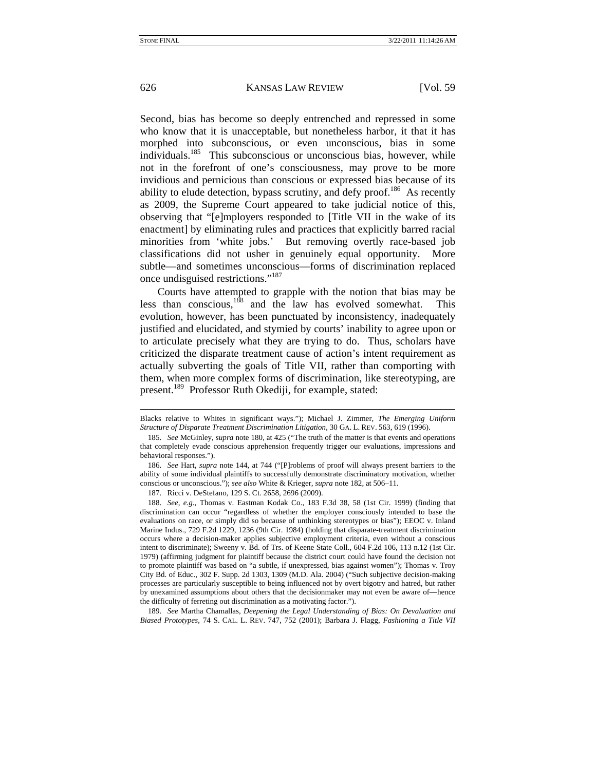1

626 KANSAS LAW REVIEW [Vol. 59

Second, bias has become so deeply entrenched and repressed in some who know that it is unacceptable, but nonetheless harbor, it that it has morphed into subconscious, or even unconscious, bias in some individuals.<sup>185</sup> This subconscious or unconscious bias, however, while not in the forefront of one's consciousness, may prove to be more invidious and pernicious than conscious or expressed bias because of its ability to elude detection, bypass scrutiny, and defy proof.<sup>186</sup> As recently as 2009, the Supreme Court appeared to take judicial notice of this, observing that "[e]mployers responded to [Title VII in the wake of its enactment] by eliminating rules and practices that explicitly barred racial minorities from 'white jobs.' But removing overtly race-based job classifications did not usher in genuinely equal opportunity. More subtle—and sometimes unconscious—forms of discrimination replaced once undisguised restrictions."187

Courts have attempted to grapple with the notion that bias may be less than conscious,188 and the law has evolved somewhat. This evolution, however, has been punctuated by inconsistency, inadequately justified and elucidated, and stymied by courts' inability to agree upon or to articulate precisely what they are trying to do. Thus, scholars have criticized the disparate treatment cause of action's intent requirement as actually subverting the goals of Title VII, rather than comporting with them, when more complex forms of discrimination, like stereotyping, are present.<sup>189</sup> Professor Ruth Okediji, for example, stated:

189. *See* Martha Chamallas, *Deepening the Legal Understanding of Bias: On Devaluation and Biased Prototypes*, 74 S. CAL. L. REV. 747, 752 (2001); Barbara J. Flagg, *Fashioning a Title VII* 

Blacks relative to Whites in significant ways."); Michael J. Zimmer, *The Emerging Uniform Structure of Disparate Treatment Discrimination Litigation*, 30 GA. L. REV. 563, 619 (1996).

<sup>185.</sup> *See* McGinley, *supra* note 180, at 425 ("The truth of the matter is that events and operations that completely evade conscious apprehension frequently trigger our evaluations, impressions and behavioral responses.").

<sup>186.</sup> *See* Hart, *supra* note 144, at 744 ("[P]roblems of proof will always present barriers to the ability of some individual plaintiffs to successfully demonstrate discriminatory motivation, whether conscious or unconscious."); *see also* White & Krieger, *supra* note 182, at 506–11.

 <sup>187.</sup> Ricci v. DeStefano, 129 S. Ct. 2658, 2696 (2009).

<sup>188.</sup> *See, e.g.*, Thomas v. Eastman Kodak Co., 183 F.3d 38, 58 (1st Cir. 1999) (finding that discrimination can occur "regardless of whether the employer consciously intended to base the evaluations on race, or simply did so because of unthinking stereotypes or bias"); EEOC v. Inland Marine Indus., 729 F.2d 1229, 1236 (9th Cir. 1984) (holding that disparate-treatment discrimination occurs where a decision-maker applies subjective employment criteria, even without a conscious intent to discriminate); Sweeny v. Bd. of Trs. of Keene State Coll., 604 F.2d 106, 113 n.12 (1st Cir. 1979) (affirming judgment for plaintiff because the district court could have found the decision not to promote plaintiff was based on "a subtle, if unexpressed, bias against women"); Thomas v. Troy City Bd. of Educ., 302 F. Supp. 2d 1303, 1309 (M.D. Ala. 2004) ("Such subjective decision-making processes are particularly susceptible to being influenced not by overt bigotry and hatred, but rather by unexamined assumptions about others that the decisionmaker may not even be aware of—hence the difficulty of ferreting out discrimination as a motivating factor.").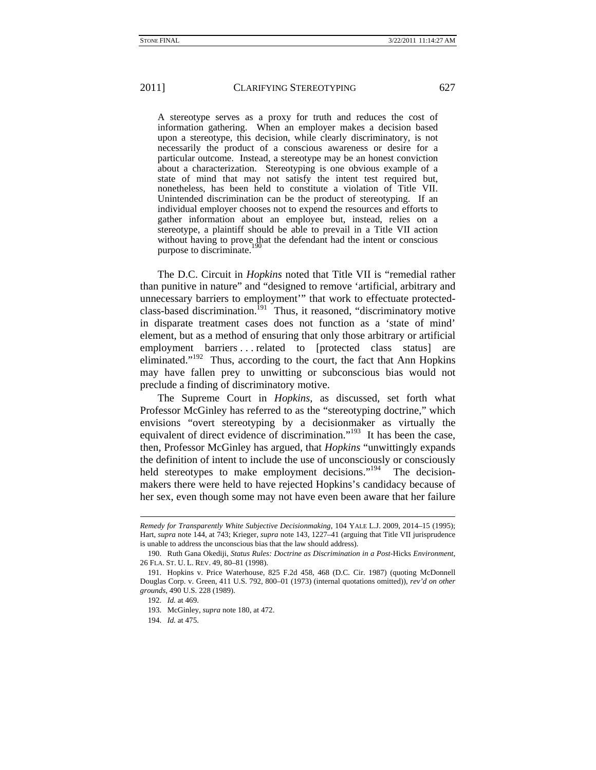A stereotype serves as a proxy for truth and reduces the cost of information gathering. When an employer makes a decision based upon a stereotype, this decision, while clearly discriminatory, is not necessarily the product of a conscious awareness or desire for a particular outcome. Instead, a stereotype may be an honest conviction about a characterization. Stereotyping is one obvious example of a state of mind that may not satisfy the intent test required but, nonetheless, has been held to constitute a violation of Title VII. Unintended discrimination can be the product of stereotyping. If an individual employer chooses not to expend the resources and efforts to gather information about an employee but, instead, relies on a stereotype, a plaintiff should be able to prevail in a Title VII action without having to prove that the defendant had the intent or conscious purpose to discriminate.<sup>190</sup>

The D.C. Circuit in *Hopkins* noted that Title VII is "remedial rather than punitive in nature" and "designed to remove 'artificial, arbitrary and unnecessary barriers to employment'" that work to effectuate protectedclass-based discrimination.<sup>191</sup> Thus, it reasoned, "discriminatory motive in disparate treatment cases does not function as a 'state of mind' element, but as a method of ensuring that only those arbitrary or artificial employment barriers . . . related to [protected class status] are eliminated."<sup>192</sup> Thus, according to the court, the fact that Ann Hopkins may have fallen prey to unwitting or subconscious bias would not preclude a finding of discriminatory motive.

The Supreme Court in *Hopkins*, as discussed, set forth what Professor McGinley has referred to as the "stereotyping doctrine," which envisions "overt stereotyping by a decisionmaker as virtually the equivalent of direct evidence of discrimination."<sup>193</sup> It has been the case, then, Professor McGinley has argued, that *Hopkins* "unwittingly expands the definition of intent to include the use of unconsciously or consciously held stereotypes to make employment decisions."<sup>194</sup> The decisionmakers there were held to have rejected Hopkins's candidacy because of her sex, even though some may not have even been aware that her failure

 $\overline{\phantom{a}}$ 

*Remedy for Transparently White Subjective Decisionmaking*, 104 YALE L.J. 2009, 2014–15 (1995); Hart, *supra* note 144, at 743; Krieger, *supra* note 143, 1227–41 (arguing that Title VII jurisprudence is unable to address the unconscious bias that the law should address).

 <sup>190.</sup> Ruth Gana Okediji, *Status Rules: Doctrine as Discrimination in a Post-*Hicks *Environment*, 26 FLA. ST. U. L. REV. 49, 80–81 (1998).

 <sup>191.</sup> Hopkins v. Price Waterhouse, 825 F.2d 458, 468 (D.C. Cir. 1987) (quoting McDonnell Douglas Corp. v. Green, 411 U.S. 792, 800–01 (1973) (internal quotations omitted)), *rev'd on other grounds*, 490 U.S. 228 (1989).

<sup>192.</sup> *Id.* at 469.

 <sup>193.</sup> McGinley, *supra* note 180, at 472.

<sup>194.</sup> *Id.* at 475.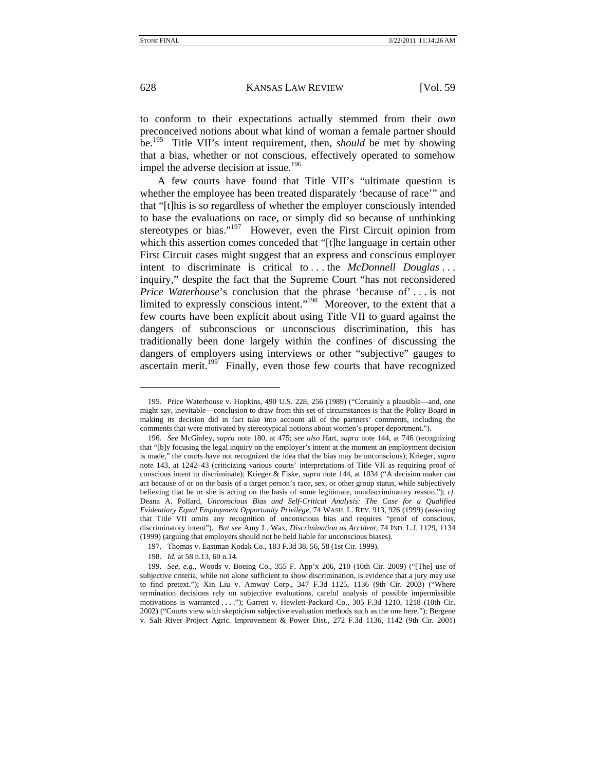$\overline{\phantom{a}}$ 

628 KANSAS LAW REVIEW [Vol. 59

to conform to their expectations actually stemmed from their *own* preconceived notions about what kind of woman a female partner should be.195 Title VII's intent requirement, then, *should* be met by showing that a bias, whether or not conscious, effectively operated to somehow impel the adverse decision at issue.<sup>196</sup>

A few courts have found that Title VII's "ultimate question is whether the employee has been treated disparately 'because of race'" and that "[t]his is so regardless of whether the employer consciously intended to base the evaluations on race, or simply did so because of unthinking stereotypes or bias."<sup>197</sup> However, even the First Circuit opinion from which this assertion comes conceded that "[t]he language in certain other First Circuit cases might suggest that an express and conscious employer intent to discriminate is critical to . . . the *McDonnell Douglas* . . . inquiry," despite the fact that the Supreme Court "has not reconsidered *Price Waterhouse's* conclusion that the phrase 'because of' . . . is not limited to expressly conscious intent."<sup>198</sup> Moreover, to the extent that a few courts have been explicit about using Title VII to guard against the dangers of subconscious or unconscious discrimination, this has traditionally been done largely within the confines of discussing the dangers of employers using interviews or other "subjective" gauges to ascertain merit.<sup>199</sup> Finally, even those few courts that have recognized

 <sup>195.</sup> Price Waterhouse v. Hopkins, 490 U.S. 228, 256 (1989) ("Certainly a plausible—and, one might say, inevitable—conclusion to draw from this set of circumstances is that the Policy Board in making its decision did in fact take into account all of the partners' comments, including the comments that were motivated by stereotypical notions about women's proper deportment.").

<sup>196.</sup> *See* McGinley, *supra* note 180, at 475; *see also* Hart, *supra* note 144, at 746 (recognizing that "[b]y focusing the legal inquiry on the employer's intent at the moment an employment decision is made," the courts have not recognized the idea that the bias may be unconscious); Krieger, *supra*  note 143, at 1242–43 (criticizing various courts' interpretations of Title VII as requiring proof of conscious intent to discriminate); Krieger & Fiske, *supra* note 144, at 1034 ("A decision maker can act because of or on the basis of a target person's race, sex, or other group status, while subjectively believing that he or she is acting on the basis of some legitimate, nondiscriminatory reason."); *cf.*  Deana A. Pollard, *Unconscious Bias and Self-Critical Analysis: The Case for a Qualified Evidentiary Equal Employment Opportunity Privilege*, 74 WASH. L. REV. 913, 926 (1999) (asserting that Title VII omits any recognition of unconscious bias and requires "proof of conscious, discriminatory intent"). *But see* Amy L. Wax, *Discrimination as Accident*, 74 IND. L.J. 1129, 1134 (1999) (arguing that employers should not be held liable for unconscious biases).

 <sup>197.</sup> Thomas v. Eastman Kodak Co., 183 F.3d 38, 56, 58 (1st Cir. 1999).

<sup>198.</sup> *Id.* at 58 n.13, 60 n.14.

<sup>199.</sup> *See, e.g.*, Woods v. Boeing Co., 355 F. App'x 206, 210 (10th Cir. 2009) ("[The] use of subjective criteria, while not alone sufficient to show discrimination, is evidence that a jury may use to find pretext."); Xin Liu v. Amway Corp., 347 F.3d 1125, 1136 (9th Cir. 2003) ("Where termination decisions rely on subjective evaluations, careful analysis of possible impermissible motivations is warranted . . . ."); Garrett v. Hewlett-Packard Co., 305 F.3d 1210, 1218 (10th Cir. 2002) ("Courts view with skepticism subjective evaluation methods such as the one here."); Bergene v. Salt River Project Agric. Improvement & Power Dist., 272 F.3d 1136, 1142 (9th Cir. 2001)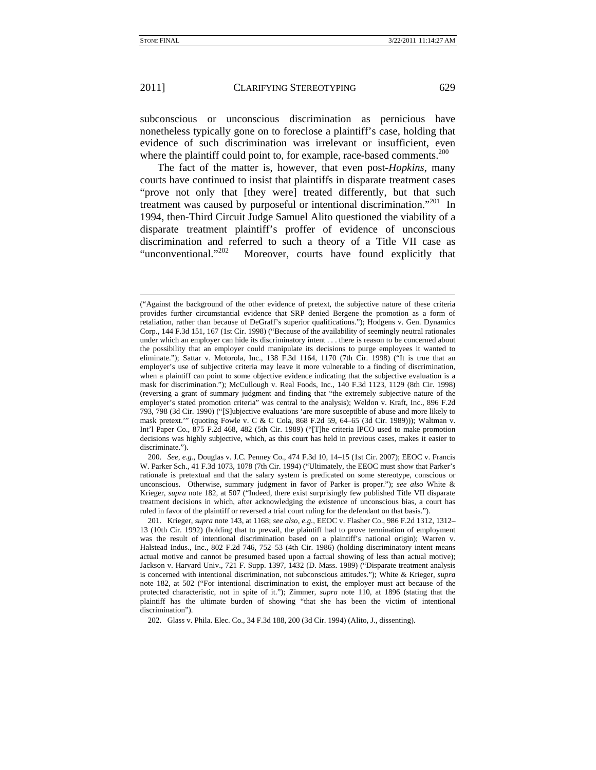-

2011] CLARIFYING STEREOTYPING 629

subconscious or unconscious discrimination as pernicious have nonetheless typically gone on to foreclose a plaintiff's case, holding that evidence of such discrimination was irrelevant or insufficient, even where the plaintiff could point to, for example, race-based comments.<sup>200</sup>

The fact of the matter is, however, that even post-*Hopkins*, many courts have continued to insist that plaintiffs in disparate treatment cases "prove not only that [they were] treated differently, but that such treatment was caused by purposeful or intentional discrimination."<sup>201</sup> In 1994, then-Third Circuit Judge Samuel Alito questioned the viability of a disparate treatment plaintiff's proffer of evidence of unconscious discrimination and referred to such a theory of a Title VII case as "unconventional."<sup>202</sup> Moreover, courts have found explicitly that Moreover, courts have found explicitly that

200. *See, e.g.*, Douglas v. J.C. Penney Co., 474 F.3d 10, 14–15 (1st Cir. 2007); EEOC v. Francis W. Parker Sch., 41 F.3d 1073, 1078 (7th Cir. 1994) ("Ultimately, the EEOC must show that Parker's rationale is pretextual and that the salary system is predicated on some stereotype, conscious or unconscious. Otherwise, summary judgment in favor of Parker is proper."); *see also* White & Krieger, *supra* note 182, at 507 ("Indeed, there exist surprisingly few published Title VII disparate treatment decisions in which, after acknowledging the existence of unconscious bias, a court has ruled in favor of the plaintiff or reversed a trial court ruling for the defendant on that basis.").

202. Glass v. Phila. Elec. Co., 34 F.3d 188, 200 (3d Cir. 1994) (Alito, J., dissenting).

<sup>(&</sup>quot;Against the background of the other evidence of pretext, the subjective nature of these criteria provides further circumstantial evidence that SRP denied Bergene the promotion as a form of retaliation, rather than because of DeGraff's superior qualifications."); Hodgens v. Gen. Dynamics Corp., 144 F.3d 151, 167 (1st Cir. 1998) ("Because of the availability of seemingly neutral rationales under which an employer can hide its discriminatory intent . . . there is reason to be concerned about the possibility that an employer could manipulate its decisions to purge employees it wanted to eliminate."); Sattar v. Motorola, Inc., 138 F.3d 1164, 1170 (7th Cir. 1998) ("It is true that an employer's use of subjective criteria may leave it more vulnerable to a finding of discrimination, when a plaintiff can point to some objective evidence indicating that the subjective evaluation is a mask for discrimination."); McCullough v. Real Foods, Inc., 140 F.3d 1123, 1129 (8th Cir. 1998) (reversing a grant of summary judgment and finding that "the extremely subjective nature of the employer's stated promotion criteria" was central to the analysis); Weldon v. Kraft, Inc., 896 F.2d 793, 798 (3d Cir. 1990) ("[S]ubjective evaluations 'are more susceptible of abuse and more likely to mask pretext.'" (quoting Fowle v. C & C Cola, 868 F.2d 59, 64–65 (3d Cir. 1989))); Waltman v. Int'l Paper Co., 875 F.2d 468, 482 (5th Cir. 1989) ("[T]he criteria IPCO used to make promotion decisions was highly subjective, which, as this court has held in previous cases, makes it easier to discriminate.").

 <sup>201.</sup> Krieger, *supra* note 143, at 1168; *see also, e.g.*, EEOC v. Flasher Co., 986 F.2d 1312, 1312– 13 (10th Cir. 1992) (holding that to prevail, the plaintiff had to prove termination of employment was the result of intentional discrimination based on a plaintiff's national origin); Warren v. Halstead Indus., Inc., 802 F.2d 746, 752–53 (4th Cir. 1986) (holding discriminatory intent means actual motive and cannot be presumed based upon a factual showing of less than actual motive); Jackson v. Harvard Univ., 721 F. Supp. 1397, 1432 (D. Mass. 1989) ("Disparate treatment analysis is concerned with intentional discrimination, not subconscious attitudes."); White & Krieger, *supra*  note 182, at 502 ("For intentional discrimination to exist, the employer must act because of the protected characteristic, not in spite of it."); Zimmer, *supra* note 110, at 1896 (stating that the plaintiff has the ultimate burden of showing "that she has been the victim of intentional discrimination").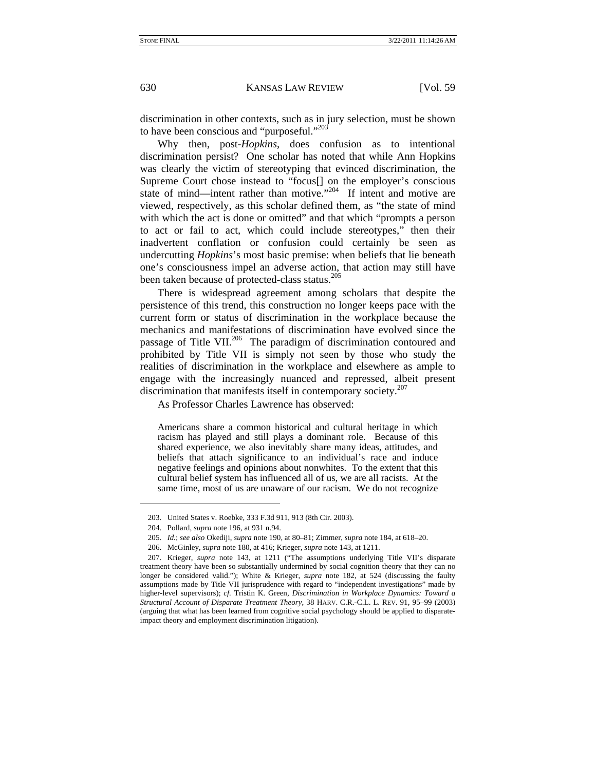discrimination in other contexts, such as in jury selection, must be shown to have been conscious and "purposeful."<sup>203</sup>

Why then, post-*Hopkins*, does confusion as to intentional discrimination persist? One scholar has noted that while Ann Hopkins was clearly the victim of stereotyping that evinced discrimination, the Supreme Court chose instead to "focus[] on the employer's conscious state of mind—intent rather than motive."<sup>204</sup> If intent and motive are viewed, respectively, as this scholar defined them, as "the state of mind with which the act is done or omitted" and that which "prompts a person to act or fail to act, which could include stereotypes," then their inadvertent conflation or confusion could certainly be seen as undercutting *Hopkins*'s most basic premise: when beliefs that lie beneath one's consciousness impel an adverse action, that action may still have been taken because of protected-class status.<sup>205</sup>

There is widespread agreement among scholars that despite the persistence of this trend, this construction no longer keeps pace with the current form or status of discrimination in the workplace because the mechanics and manifestations of discrimination have evolved since the passage of Title VII.<sup>206</sup> The paradigm of discrimination contoured and prohibited by Title VII is simply not seen by those who study the realities of discrimination in the workplace and elsewhere as ample to engage with the increasingly nuanced and repressed, albeit present discrimination that manifests itself in contemporary society. $207$ 

As Professor Charles Lawrence has observed:

Americans share a common historical and cultural heritage in which racism has played and still plays a dominant role. Because of this shared experience, we also inevitably share many ideas, attitudes, and beliefs that attach significance to an individual's race and induce negative feelings and opinions about nonwhites. To the extent that this cultural belief system has influenced all of us, we are all racists. At the same time, most of us are unaware of our racism. We do not recognize

 $\overline{\phantom{a}}$ 

 <sup>203.</sup> United States v. Roebke, 333 F.3d 911, 913 (8th Cir. 2003).

 <sup>204.</sup> Pollard, *supra* note 196, at 931 n.94.

<sup>205.</sup> *Id.*; *see also* Okediji, *supra* note 190, at 80–81; Zimmer, *supra* note 184, at 618–20.

 <sup>206.</sup> McGinley, *supra* note 180, at 416; Krieger, *supra* note 143, at 1211.

 <sup>207.</sup> Krieger, *supra* note 143, at 1211 ("The assumptions underlying Title VII's disparate treatment theory have been so substantially undermined by social cognition theory that they can no longer be considered valid."); White & Krieger, *supra* note 182, at 524 (discussing the faulty assumptions made by Title VII jurisprudence with regard to "independent investigations" made by higher-level supervisors); *cf.* Tristin K. Green, *Discrimination in Workplace Dynamics: Toward a Structural Account of Disparate Treatment Theory*, 38 HARV. C.R.-C.L. L. REV. 91, 95–99 (2003) (arguing that what has been learned from cognitive social psychology should be applied to disparateimpact theory and employment discrimination litigation).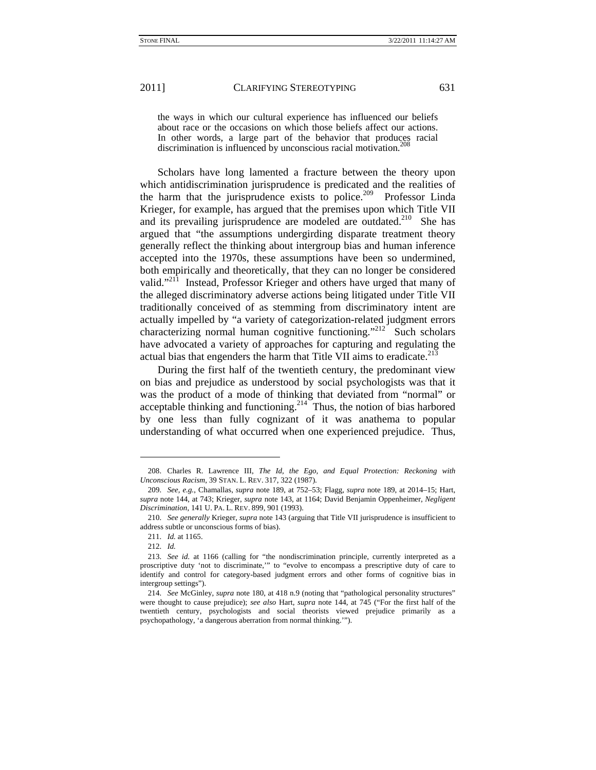the ways in which our cultural experience has influenced our beliefs about race or the occasions on which those beliefs affect our actions. In other words, a large part of the behavior that produces racial discrimination is influenced by unconscious racial motivation.<sup>208</sup>

Scholars have long lamented a fracture between the theory upon which antidiscrimination jurisprudence is predicated and the realities of the harm that the jurisprudence exists to police.<sup>209</sup> Professor Linda Krieger, for example, has argued that the premises upon which Title VII and its prevailing jurisprudence are modeled are outdated.<sup>210</sup> She has argued that "the assumptions undergirding disparate treatment theory generally reflect the thinking about intergroup bias and human inference accepted into the 1970s, these assumptions have been so undermined, both empirically and theoretically, that they can no longer be considered valid."<sup>211</sup> Instead, Professor Krieger and others have urged that many of the alleged discriminatory adverse actions being litigated under Title VII traditionally conceived of as stemming from discriminatory intent are actually impelled by "a variety of categorization-related judgment errors characterizing normal human cognitive functioning."<sup>212</sup> Such scholars have advocated a variety of approaches for capturing and regulating the actual bias that engenders the harm that Title VII aims to eradicate.<sup>213</sup>

During the first half of the twentieth century, the predominant view on bias and prejudice as understood by social psychologists was that it was the product of a mode of thinking that deviated from "normal" or acceptable thinking and functioning.<sup>214</sup> Thus, the notion of bias harbored by one less than fully cognizant of it was anathema to popular understanding of what occurred when one experienced prejudice. Thus,

 $\overline{\phantom{a}}$ 

 <sup>208.</sup> Charles R. Lawrence III, *The Id, the Ego, and Equal Protection: Reckoning with Unconscious Racism*, 39 STAN. L. REV. 317, 322 (1987).

<sup>209.</sup> *See, e.g.*, Chamallas, *supra* note 189, at 752–53; Flagg, *supra* note 189, at 2014–15; Hart, *supra* note 144, at 743; Krieger, *supra* note 143, at 1164; David Benjamin Oppenheimer, *Negligent Discrimination*, 141 U. PA. L. REV. 899, 901 (1993).

<sup>210.</sup> *See generally* Krieger, *supra* note 143 (arguing that Title VII jurisprudence is insufficient to address subtle or unconscious forms of bias).

<sup>211.</sup> *Id.* at 1165.

<sup>212.</sup> *Id.*

<sup>213.</sup> *See id.* at 1166 (calling for "the nondiscrimination principle, currently interpreted as a proscriptive duty 'not to discriminate,'" to "evolve to encompass a prescriptive duty of care to identify and control for category-based judgment errors and other forms of cognitive bias in intergroup settings").

<sup>214.</sup> *See* McGinley, *supra* note 180, at 418 n.9 (noting that "pathological personality structures" were thought to cause prejudice); *see also* Hart, *supra* note 144, at 745 ("For the first half of the twentieth century, psychologists and social theorists viewed prejudice primarily as a psychopathology, 'a dangerous aberration from normal thinking.'").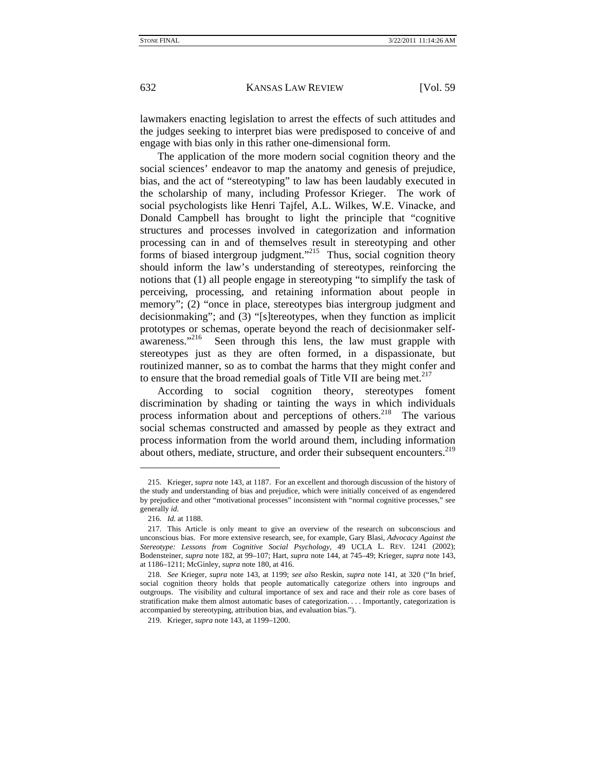lawmakers enacting legislation to arrest the effects of such attitudes and the judges seeking to interpret bias were predisposed to conceive of and engage with bias only in this rather one-dimensional form.

The application of the more modern social cognition theory and the social sciences' endeavor to map the anatomy and genesis of prejudice, bias, and the act of "stereotyping" to law has been laudably executed in the scholarship of many, including Professor Krieger. The work of social psychologists like Henri Tajfel, A.L. Wilkes, W.E. Vinacke, and Donald Campbell has brought to light the principle that "cognitive structures and processes involved in categorization and information processing can in and of themselves result in stereotyping and other forms of biased intergroup judgment."<sup>215</sup> Thus, social cognition theory should inform the law's understanding of stereotypes, reinforcing the notions that (1) all people engage in stereotyping "to simplify the task of perceiving, processing, and retaining information about people in memory"; (2) "once in place, stereotypes bias intergroup judgment and decisionmaking"; and (3) "[s]tereotypes, when they function as implicit prototypes or schemas, operate beyond the reach of decisionmaker selfawareness."<sup>216</sup> Seen through this lens, the law must grapple with stereotypes just as they are often formed, in a dispassionate, but routinized manner, so as to combat the harms that they might confer and to ensure that the broad remedial goals of Title VII are being met. $217$ 

According to social cognition theory, stereotypes foment discrimination by shading or tainting the ways in which individuals process information about and perceptions of others.<sup>218</sup> The various social schemas constructed and amassed by people as they extract and process information from the world around them, including information about others, mediate, structure, and order their subsequent encounters.<sup>219</sup>

 <sup>215.</sup> Krieger, *supra* note 143, at 1187. For an excellent and thorough discussion of the history of the study and understanding of bias and prejudice, which were initially conceived of as engendered by prejudice and other "motivational processes" inconsistent with "normal cognitive processes," see generally *id.*

 <sup>216.</sup> *Id.* at 1188.

 <sup>217.</sup> This Article is only meant to give an overview of the research on subconscious and unconscious bias. For more extensive research, see, for example, Gary Blasi, *Advocacy Against the Stereotype: Lessons from Cognitive Social Psychology*, 49 UCLA L. REV. 1241 (2002); Bodensteiner, *supra* note 182, at 99–107; Hart, *supra* note 144, at 745–49; Krieger, *supra* note 143, at 1186–1211; McGinley, *supra* note 180, at 416.

<sup>218.</sup> *See* Krieger, *supra* note 143, at 1199; *see also* Reskin, *supra* note 141, at 320 ("In brief, social cognition theory holds that people automatically categorize others into ingroups and outgroups. The visibility and cultural importance of sex and race and their role as core bases of stratification make them almost automatic bases of categorization. . . . Importantly, categorization is accompanied by stereotyping, attribution bias, and evaluation bias.").

 <sup>219.</sup> Krieger, *supra* note 143, at 1199–1200.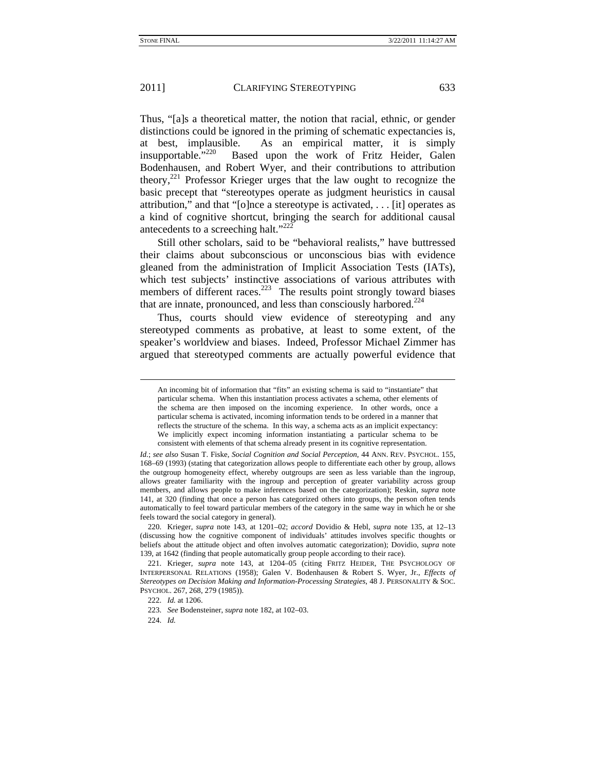Thus, "[a]s a theoretical matter, the notion that racial, ethnic, or gender distinctions could be ignored in the priming of schematic expectancies is, at best, implausible. As an empirical matter, it is simply<br>insupportable.<sup>220</sup> Based upon the work of Fritz Heider, Galen Based upon the work of Fritz Heider, Galen Bodenhausen, and Robert Wyer, and their contributions to attribution theory, $2^{21}$  Professor Krieger urges that the law ought to recognize the basic precept that "stereotypes operate as judgment heuristics in causal attribution," and that "[o]nce a stereotype is activated, . . . [it] operates as a kind of cognitive shortcut, bringing the search for additional causal antecedents to a screeching halt." $222$ 

Still other scholars, said to be "behavioral realists," have buttressed their claims about subconscious or unconscious bias with evidence gleaned from the administration of Implicit Association Tests (IATs), which test subjects' instinctive associations of various attributes with members of different races. $223$  The results point strongly toward biases that are innate, pronounced, and less than consciously harbored. $224$ 

Thus, courts should view evidence of stereotyping and any stereotyped comments as probative, at least to some extent, of the speaker's worldview and biases. Indeed, Professor Michael Zimmer has argued that stereotyped comments are actually powerful evidence that

 220. Krieger, *supra* note 143, at 1201–02; *accord* Dovidio & Hebl, *supra* note 135, at 12–13 (discussing how the cognitive component of individuals' attitudes involves specific thoughts or beliefs about the attitude object and often involves automatic categorization); Dovidio, *supra* note 139, at 1642 (finding that people automatically group people according to their race).

 221. Krieger, *supra* note 143, at 1204–05 (citing FRITZ HEIDER, THE PSYCHOLOGY OF INTERPERSONAL RELATIONS (1958); Galen V. Bodenhausen & Robert S. Wyer, Jr., *Effects of Stereotypes on Decision Making and Information-Processing Strategies*, 48 J. PERSONALITY & SOC. PSYCHOL. 267, 268, 279 (1985)).

224. *Id.*

An incoming bit of information that "fits" an existing schema is said to "instantiate" that particular schema. When this instantiation process activates a schema, other elements of the schema are then imposed on the incoming experience. In other words, once a particular schema is activated, incoming information tends to be ordered in a manner that reflects the structure of the schema. In this way, a schema acts as an implicit expectancy: We implicitly expect incoming information instantiating a particular schema to be consistent with elements of that schema already present in its cognitive representation.

*Id.*; *see also* Susan T. Fiske, *Social Cognition and Social Perception*, 44 ANN. REV. PSYCHOL. 155, 168–69 (1993) (stating that categorization allows people to differentiate each other by group, allows the outgroup homogeneity effect, whereby outgroups are seen as less variable than the ingroup, allows greater familiarity with the ingroup and perception of greater variability across group members, and allows people to make inferences based on the categorization); Reskin, *supra* note 141, at 320 (finding that once a person has categorized others into groups, the person often tends automatically to feel toward particular members of the category in the same way in which he or she feels toward the social category in general).

<sup>222.</sup> *Id.* at 1206.

<sup>223.</sup> *See* Bodensteiner, *supra* note 182, at 102–03.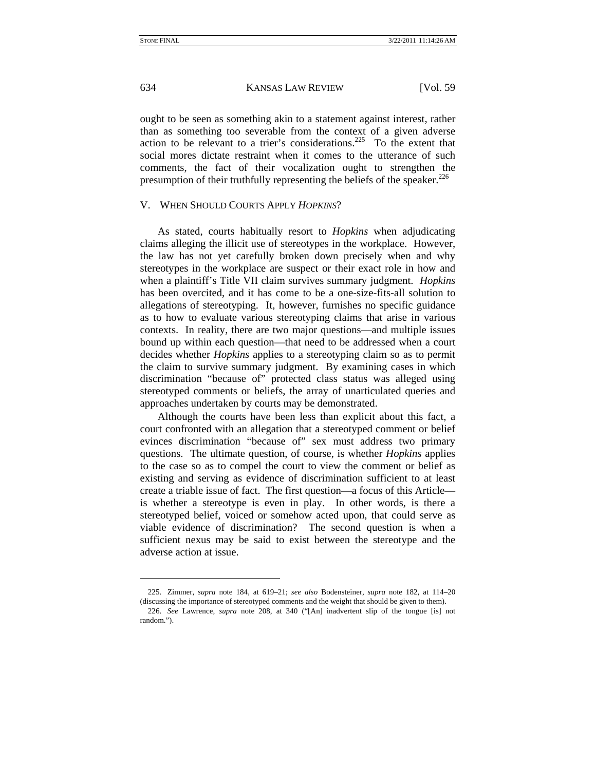-

634 KANSAS LAW REVIEW [Vol. 59

ought to be seen as something akin to a statement against interest, rather than as something too severable from the context of a given adverse action to be relevant to a trier's considerations.<sup>225</sup> To the extent that social mores dictate restraint when it comes to the utterance of such comments, the fact of their vocalization ought to strengthen the presumption of their truthfully representing the beliefs of the speaker.<sup>226</sup>

#### V. WHEN SHOULD COURTS APPLY *HOPKINS*?

As stated, courts habitually resort to *Hopkins* when adjudicating claims alleging the illicit use of stereotypes in the workplace. However, the law has not yet carefully broken down precisely when and why stereotypes in the workplace are suspect or their exact role in how and when a plaintiff's Title VII claim survives summary judgment. *Hopkins* has been overcited, and it has come to be a one-size-fits-all solution to allegations of stereotyping. It, however, furnishes no specific guidance as to how to evaluate various stereotyping claims that arise in various contexts. In reality, there are two major questions—and multiple issues bound up within each question—that need to be addressed when a court decides whether *Hopkins* applies to a stereotyping claim so as to permit the claim to survive summary judgment. By examining cases in which discrimination "because of" protected class status was alleged using stereotyped comments or beliefs, the array of unarticulated queries and approaches undertaken by courts may be demonstrated.

Although the courts have been less than explicit about this fact, a court confronted with an allegation that a stereotyped comment or belief evinces discrimination "because of" sex must address two primary questions. The ultimate question, of course, is whether *Hopkins* applies to the case so as to compel the court to view the comment or belief as existing and serving as evidence of discrimination sufficient to at least create a triable issue of fact. The first question—a focus of this Article is whether a stereotype is even in play. In other words, is there a stereotyped belief, voiced or somehow acted upon, that could serve as viable evidence of discrimination? The second question is when a sufficient nexus may be said to exist between the stereotype and the adverse action at issue.

 <sup>225.</sup> Zimmer, *supra* note 184, at 619–21; *see also* Bodensteiner, *supra* note 182, at 114–20 (discussing the importance of stereotyped comments and the weight that should be given to them).

<sup>226.</sup> *See* Lawrence, *supra* note 208, at 340 ("[An] inadvertent slip of the tongue [is] not random.").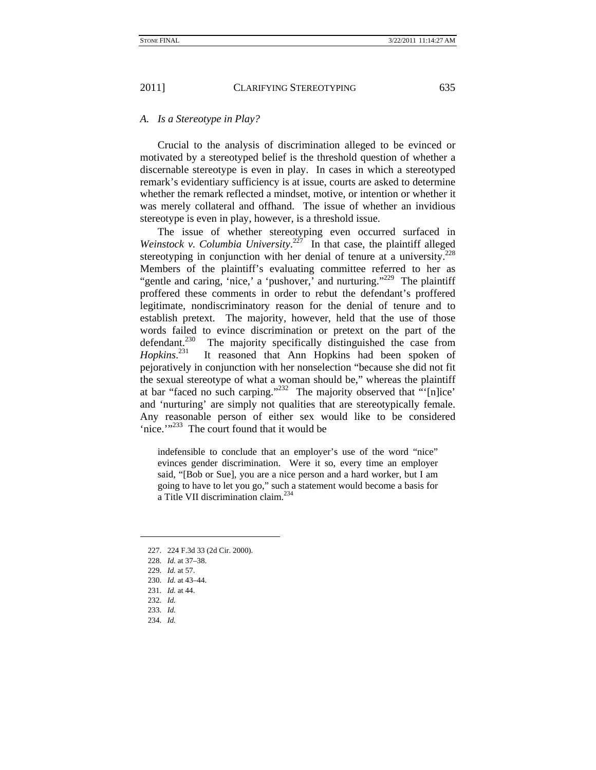## *A. Is a Stereotype in Play?*

Crucial to the analysis of discrimination alleged to be evinced or motivated by a stereotyped belief is the threshold question of whether a discernable stereotype is even in play. In cases in which a stereotyped remark's evidentiary sufficiency is at issue, courts are asked to determine whether the remark reflected a mindset, motive, or intention or whether it was merely collateral and offhand. The issue of whether an invidious stereotype is even in play, however, is a threshold issue.

The issue of whether stereotyping even occurred surfaced in Weinstock v. Columbia University.<sup>227</sup> In that case, the plaintiff alleged stereotyping in conjunction with her denial of tenure at a university.<sup>228</sup> Members of the plaintiff's evaluating committee referred to her as "gentle and caring, 'nice,' a 'pushover,' and nurturing."<sup>229</sup> The plaintiff proffered these comments in order to rebut the defendant's proffered legitimate, nondiscriminatory reason for the denial of tenure and to establish pretext. The majority, however, held that the use of those words failed to evince discrimination or pretext on the part of the defendant.<sup>230</sup> The majority specifically distinguished the case from *Hopkins*. It reasoned that Ann Hopkins had been spoken of pejoratively in conjunction with her nonselection "because she did not fit the sexual stereotype of what a woman should be," whereas the plaintiff at bar "faced no such carping."232 The majority observed that "'[n]ice' and 'nurturing' are simply not qualities that are stereotypically female. Any reasonable person of either sex would like to be considered 'nice.'"<sup>233</sup> The court found that it would be

indefensible to conclude that an employer's use of the word "nice" evinces gender discrimination. Were it so, every time an employer said, "[Bob or Sue], you are a nice person and a hard worker, but I am going to have to let you go," such a statement would become a basis for a Title VII discrimination claim.234

229. *Id.* at 57.

232. *Id.*

 $\overline{\phantom{a}}$ 

- 233. *Id.*
- 234. *Id.*

 <sup>227. 224</sup> F.3d 33 (2d Cir. 2000).

<sup>228.</sup> *Id.* at 37–38.

<sup>230.</sup> *Id.* at 43–44.

<sup>231.</sup> *Id.* at 44.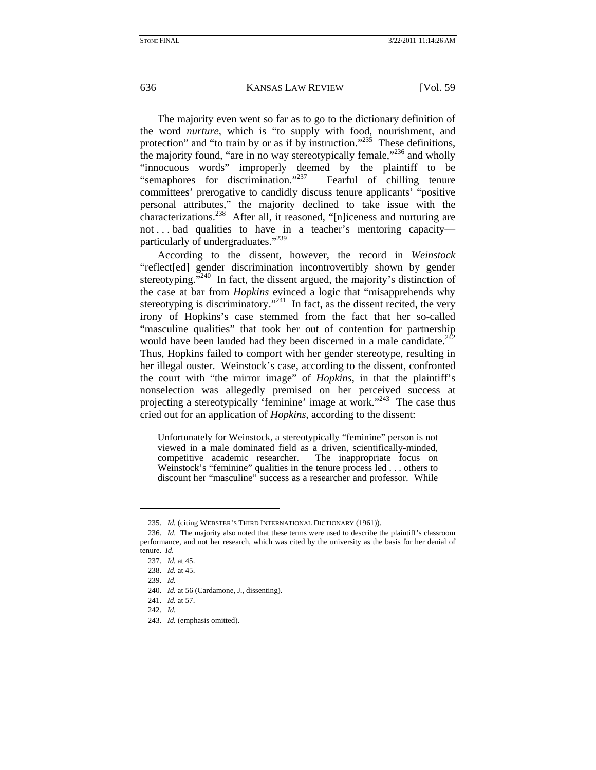The majority even went so far as to go to the dictionary definition of the word *nurture*, which is "to supply with food, nourishment, and protection" and "to train by or as if by instruction."<sup>235</sup> These definitions, the majority found, "are in no way stereotypically female,"<sup>236</sup> and wholly "innocuous words" improperly deemed by the plaintiff to be "semaphores for discrimination."<sup>237</sup> Fearful of chilling tenure committees' prerogative to candidly discuss tenure applicants' "positive personal attributes," the majority declined to take issue with the characterizations.<sup>238</sup> After all, it reasoned, "[n]iceness and nurturing are not . . . bad qualities to have in a teacher's mentoring capacity particularly of undergraduates."<sup>239</sup>

According to the dissent, however, the record in *Weinstock*  "reflect[ed] gender discrimination incontrovertibly shown by gender stereotyping."<sup>240</sup> In fact, the dissent argued, the majority's distinction of the case at bar from *Hopkins* evinced a logic that "misapprehends why stereotyping is discriminatory."<sup>241</sup> In fact, as the dissent recited, the very irony of Hopkins's case stemmed from the fact that her so-called "masculine qualities" that took her out of contention for partnership would have been lauded had they been discerned in a male candidate.  $242$ Thus, Hopkins failed to comport with her gender stereotype, resulting in her illegal ouster. Weinstock's case, according to the dissent, confronted the court with "the mirror image" of *Hopkins*, in that the plaintiff's nonselection was allegedly premised on her perceived success at projecting a stereotypically 'feminine' image at work."<sup>243</sup> The case thus cried out for an application of *Hopkins*, according to the dissent:

Unfortunately for Weinstock, a stereotypically "feminine" person is not viewed in a male dominated field as a driven, scientifically-minded, competitive academic researcher. The inappropriate focus on Weinstock's "feminine" qualities in the tenure process led . . . others to discount her "masculine" success as a researcher and professor. While

<sup>235.</sup> *Id.* (citing WEBSTER'S THIRD INTERNATIONAL DICTIONARY (1961)).

<sup>236.</sup> *Id*. The majority also noted that these terms were used to describe the plaintiff's classroom performance, and not her research, which was cited by the university as the basis for her denial of tenure. *Id.*

<sup>237.</sup> *Id.* at 45.

<sup>238.</sup> *Id.* at 45.

<sup>239.</sup> *Id.*

<sup>240.</sup> *Id.* at 56 (Cardamone, J., dissenting).

<sup>241.</sup> *Id.* at 57.

<sup>242.</sup> *Id.*

<sup>243.</sup> *Id.* (emphasis omitted).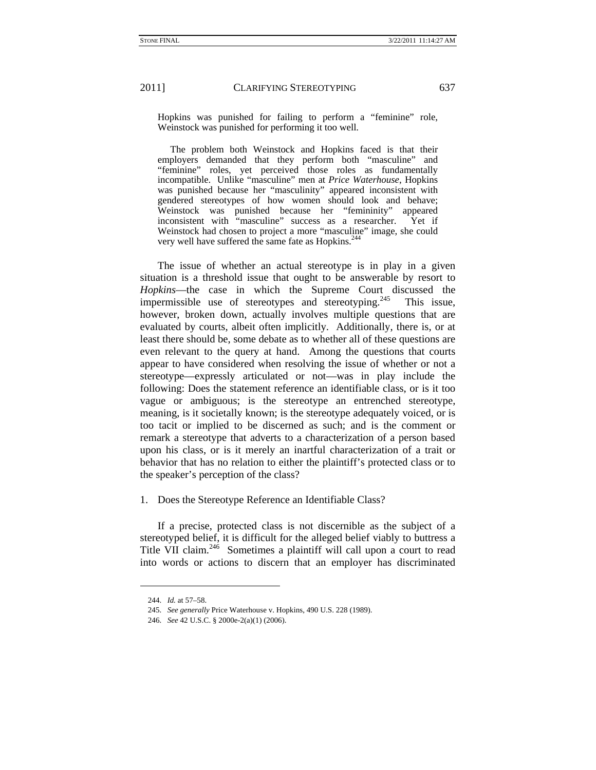Hopkins was punished for failing to perform a "feminine" role, Weinstock was punished for performing it too well.

 The problem both Weinstock and Hopkins faced is that their employers demanded that they perform both "masculine" and "feminine" roles, yet perceived those roles as fundamentally incompatible. Unlike "masculine" men at *Price Waterhouse*, Hopkins was punished because her "masculinity" appeared inconsistent with gendered stereotypes of how women should look and behave; Weinstock was punished because her "femininity" appeared inconsistent with "masculine" success as a researcher. Yet if Weinstock had chosen to project a more "masculine" image, she could very well have suffered the same fate as Hopkins.<sup>2</sup>

The issue of whether an actual stereotype is in play in a given situation is a threshold issue that ought to be answerable by resort to *Hopkins*—the case in which the Supreme Court discussed the impermissible use of stereotypes and stereotyping.<sup>245</sup> This issue, however, broken down, actually involves multiple questions that are evaluated by courts, albeit often implicitly. Additionally, there is, or at least there should be, some debate as to whether all of these questions are even relevant to the query at hand. Among the questions that courts appear to have considered when resolving the issue of whether or not a stereotype—expressly articulated or not—was in play include the following: Does the statement reference an identifiable class, or is it too vague or ambiguous; is the stereotype an entrenched stereotype, meaning, is it societally known; is the stereotype adequately voiced, or is too tacit or implied to be discerned as such; and is the comment or remark a stereotype that adverts to a characterization of a person based upon his class, or is it merely an inartful characterization of a trait or behavior that has no relation to either the plaintiff's protected class or to the speaker's perception of the class?

1. Does the Stereotype Reference an Identifiable Class?

If a precise, protected class is not discernible as the subject of a stereotyped belief, it is difficult for the alleged belief viably to buttress a Title VII claim.<sup>246</sup> Sometimes a plaintiff will call upon a court to read into words or actions to discern that an employer has discriminated

-

<sup>244.</sup> *Id.* at 57–58.

 <sup>245.</sup> *See generally* Price Waterhouse v. Hopkins, 490 U.S. 228 (1989).

<sup>246.</sup> *See* 42 U.S.C. § 2000e-2(a)(1) (2006).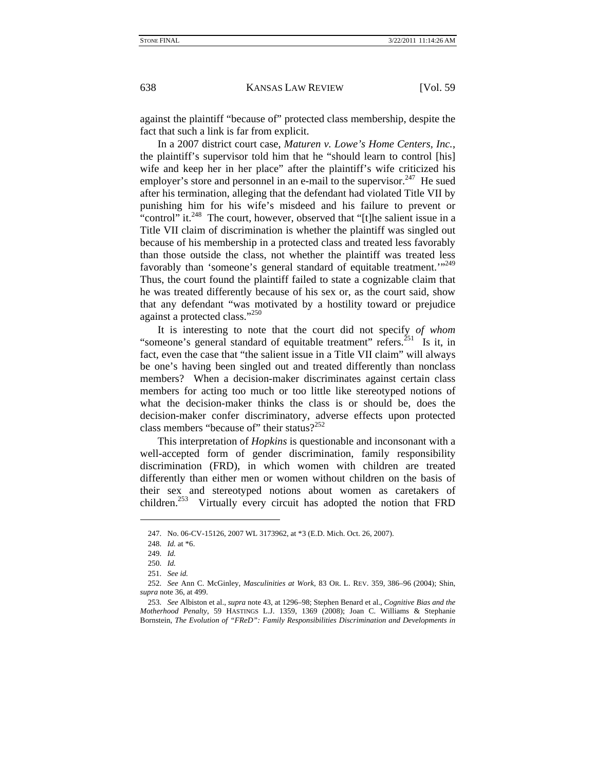against the plaintiff "because of" protected class membership, despite the fact that such a link is far from explicit.

In a 2007 district court case, *Maturen v. Lowe's Home Centers, Inc.*, the plaintiff's supervisor told him that he "should learn to control [his] wife and keep her in her place" after the plaintiff's wife criticized his employer's store and personnel in an e-mail to the supervisor. $247$  He sued after his termination, alleging that the defendant had violated Title VII by punishing him for his wife's misdeed and his failure to prevent or "control" it.<sup>248</sup> The court, however, observed that "[t]he salient issue in a Title VII claim of discrimination is whether the plaintiff was singled out because of his membership in a protected class and treated less favorably than those outside the class, not whether the plaintiff was treated less favorably than 'someone's general standard of equitable treatment."<sup>249</sup> Thus, the court found the plaintiff failed to state a cognizable claim that he was treated differently because of his sex or, as the court said, show that any defendant "was motivated by a hostility toward or prejudice against a protected class."<sup>250</sup>

It is interesting to note that the court did not specify *of whom* "someone's general standard of equitable treatment" refers.<sup>251</sup> Is it, in fact, even the case that "the salient issue in a Title VII claim" will always be one's having been singled out and treated differently than nonclass members? When a decision-maker discriminates against certain class members for acting too much or too little like stereotyped notions of what the decision-maker thinks the class is or should be, does the decision-maker confer discriminatory, adverse effects upon protected class members "because of" their status?<sup>252</sup>

This interpretation of *Hopkins* is questionable and inconsonant with a well-accepted form of gender discrimination, family responsibility discrimination (FRD), in which women with children are treated differently than either men or women without children on the basis of their sex and stereotyped notions about women as caretakers of children.<sup>253</sup> Virtually every circuit has adopted the notion that FRD

 <sup>247.</sup> No. 06-CV-15126, 2007 WL 3173962, at \*3 (E.D. Mich. Oct. 26, 2007).

<sup>248.</sup> *Id.* at \*6.

<sup>249.</sup> *Id.*

<sup>250.</sup> *Id.*

<sup>251.</sup> *See id.*

<sup>252.</sup> *See* Ann C. McGinley, *Masculinities at Work*, 83 OR. L. REV. 359, 386–96 (2004); Shin, *supra* note 36, at 499.

<sup>253.</sup> *See* Albiston et al., *supra* note 43, at 1296–98; Stephen Benard et al., *Cognitive Bias and the Motherhood Penalty*, 59 HASTINGS L.J. 1359, 1369 (2008); Joan C. Williams & Stephanie Bornstein, *The Evolution of "FReD": Family Responsibilities Discrimination and Developments in*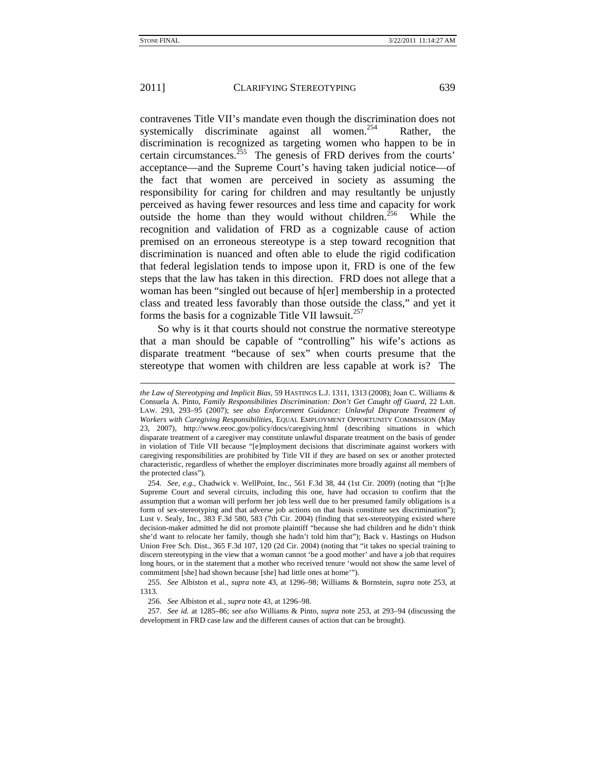l

#### 2011] CLARIFYING STEREOTYPING 639

contravenes Title VII's mandate even though the discrimination does not systemically discriminate against all women.<sup>254</sup> Rather, the discrimination is recognized as targeting women who happen to be in certain circumstances. $255$  The genesis of FRD derives from the courts' acceptance—and the Supreme Court's having taken judicial notice—of the fact that women are perceived in society as assuming the responsibility for caring for children and may resultantly be unjustly perceived as having fewer resources and less time and capacity for work outside the home than they would without children.<sup>256</sup> While the recognition and validation of FRD as a cognizable cause of action premised on an erroneous stereotype is a step toward recognition that discrimination is nuanced and often able to elude the rigid codification that federal legislation tends to impose upon it, FRD is one of the few steps that the law has taken in this direction. FRD does not allege that a woman has been "singled out because of h[er] membership in a protected class and treated less favorably than those outside the class," and yet it forms the basis for a cognizable Title VII lawsuit.<sup>257</sup>

So why is it that courts should not construe the normative stereotype that a man should be capable of "controlling" his wife's actions as disparate treatment "because of sex" when courts presume that the stereotype that women with children are less capable at work is? The

*the Law of Stereotyping and Implicit Bias*, 59 HASTINGS L.J. 1311, 1313 (2008); Joan C. Williams & Consuela A. Pinto, *Family Responsibilities Discrimination: Don't Get Caught off Guard*, 22 LAB. LAW. 293, 293–95 (2007); *see also Enforcement Guidance: Unlawful Disparate Treatment of Workers with Caregiving Responsibilities*, EQUAL EMPLOYMENT OPPORTUNITY COMMISSION (May 23, 2007), http://www.eeoc.gov/policy/docs/caregiving.html (describing situations in which disparate treatment of a caregiver may constitute unlawful disparate treatment on the basis of gender in violation of Title VII because "[e]mployment decisions that discriminate against workers with caregiving responsibilities are prohibited by Title VII if they are based on sex or another protected characteristic, regardless of whether the employer discriminates more broadly against all members of the protected class").

<sup>254.</sup> *See, e.g.*, Chadwick v. WellPoint, Inc., 561 F.3d 38, 44 (1st Cir. 2009) (noting that "[t]he Supreme Court and several circuits, including this one, have had occasion to confirm that the assumption that a woman will perform her job less well due to her presumed family obligations is a form of sex-stereotyping and that adverse job actions on that basis constitute sex discrimination"); Lust v. Sealy, Inc., 383 F.3d 580, 583 (7th Cir. 2004) (finding that sex-stereotyping existed where decision-maker admitted he did not promote plaintiff "because she had children and he didn't think she'd want to relocate her family, though she hadn't told him that"); Back v. Hastings on Hudson Union Free Sch. Dist., 365 F.3d 107, 120 (2d Cir. 2004) (noting that "it takes no special training to discern stereotyping in the view that a woman cannot 'be a good mother' and have a job that requires long hours, or in the statement that a mother who received tenure 'would not show the same level of commitment [she] had shown because [she] had little ones at home'").

<sup>255.</sup> *See* Albiston et al., *supra* note 43, at 1296–98; Williams & Bornstein, *supra* note 253, at 1313.

<sup>256.</sup> *See* Albiston et al., *supra* note 43, at 1296–98.

<sup>257.</sup> *See id.* at 1285–86; *see also* Williams & Pinto, *supra* note 253, at 293–94 (discussing the development in FRD case law and the different causes of action that can be brought).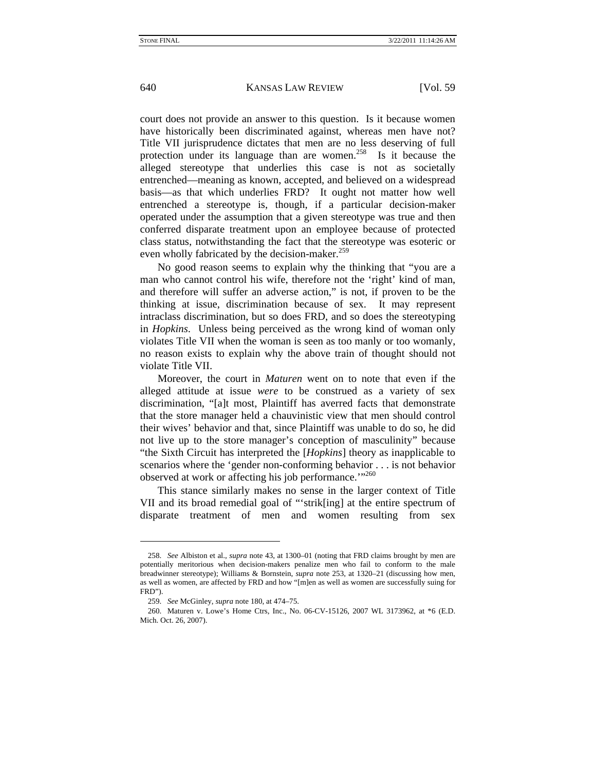court does not provide an answer to this question. Is it because women have historically been discriminated against, whereas men have not? Title VII jurisprudence dictates that men are no less deserving of full protection under its language than are women.<sup>258</sup> Is it because the alleged stereotype that underlies this case is not as societally entrenched—meaning as known, accepted, and believed on a widespread basis—as that which underlies FRD? It ought not matter how well entrenched a stereotype is, though, if a particular decision-maker operated under the assumption that a given stereotype was true and then conferred disparate treatment upon an employee because of protected class status, notwithstanding the fact that the stereotype was esoteric or even wholly fabricated by the decision-maker.<sup>259</sup>

No good reason seems to explain why the thinking that "you are a man who cannot control his wife, therefore not the 'right' kind of man, and therefore will suffer an adverse action," is not, if proven to be the thinking at issue, discrimination because of sex. It may represent intraclass discrimination, but so does FRD, and so does the stereotyping in *Hopkins*. Unless being perceived as the wrong kind of woman only violates Title VII when the woman is seen as too manly or too womanly, no reason exists to explain why the above train of thought should not violate Title VII.

Moreover, the court in *Maturen* went on to note that even if the alleged attitude at issue *were* to be construed as a variety of sex discrimination, "[a]t most, Plaintiff has averred facts that demonstrate that the store manager held a chauvinistic view that men should control their wives' behavior and that, since Plaintiff was unable to do so, he did not live up to the store manager's conception of masculinity" because "the Sixth Circuit has interpreted the [*Hopkins*] theory as inapplicable to scenarios where the 'gender non-conforming behavior . . . is not behavior observed at work or affecting his job performance."<sup>260</sup>

This stance similarly makes no sense in the larger context of Title VII and its broad remedial goal of "'strik[ing] at the entire spectrum of disparate treatment of men and women resulting from sex

<sup>258.</sup> *See* Albiston et al., *supra* note 43, at 1300–01 (noting that FRD claims brought by men are potentially meritorious when decision-makers penalize men who fail to conform to the male breadwinner stereotype); Williams & Bornstein, *supra* note 253, at 1320–21 (discussing how men, as well as women, are affected by FRD and how "[m]en as well as women are successfully suing for FRD").

<sup>259.</sup> *See* McGinley, *supra* note 180, at 474–75.

 <sup>260.</sup> Maturen v. Lowe's Home Ctrs, Inc., No. 06-CV-15126, 2007 WL 3173962, at \*6 (E.D. Mich. Oct. 26, 2007).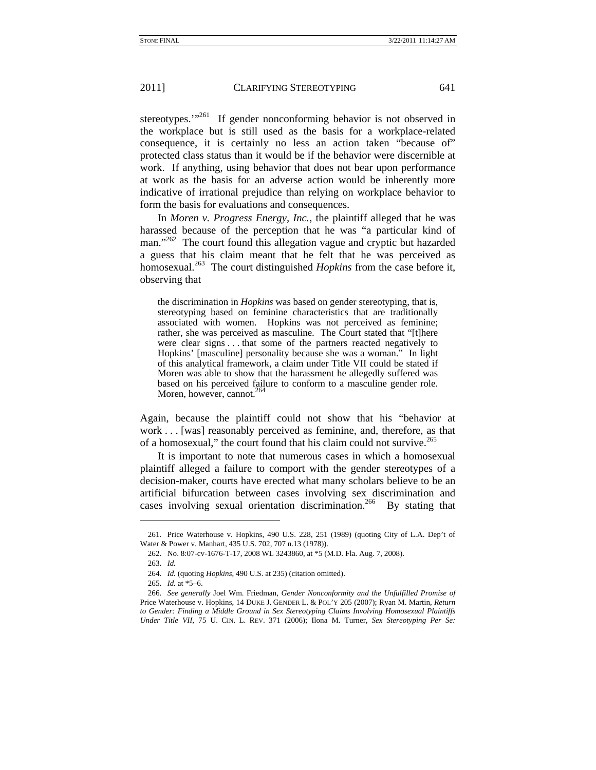stereotypes."<sup>261</sup> If gender nonconforming behavior is not observed in the workplace but is still used as the basis for a workplace-related consequence, it is certainly no less an action taken "because of" protected class status than it would be if the behavior were discernible at work. If anything, using behavior that does not bear upon performance at work as the basis for an adverse action would be inherently more indicative of irrational prejudice than relying on workplace behavior to form the basis for evaluations and consequences.

In *Moren v. Progress Energy, Inc.*, the plaintiff alleged that he was harassed because of the perception that he was "a particular kind of man."<sup>262</sup> The court found this allegation vague and cryptic but hazarded a guess that his claim meant that he felt that he was perceived as homosexual.<sup>263</sup> The court distinguished *Hopkins* from the case before it, observing that

the discrimination in *Hopkins* was based on gender stereotyping, that is, stereotyping based on feminine characteristics that are traditionally associated with women. Hopkins was not perceived as feminine; rather, she was perceived as masculine. The Court stated that "[t]here were clear signs . . . that some of the partners reacted negatively to Hopkins' [masculine] personality because she was a woman." In light of this analytical framework, a claim under Title VII could be stated if Moren was able to show that the harassment he allegedly suffered was based on his perceived failure to conform to a masculine gender role. Moren, however, cannot.

Again, because the plaintiff could not show that his "behavior at work . . . [was] reasonably perceived as feminine, and, therefore, as that of a homosexual," the court found that his claim could not survive.<sup>265</sup>

It is important to note that numerous cases in which a homosexual plaintiff alleged a failure to comport with the gender stereotypes of a decision-maker, courts have erected what many scholars believe to be an artificial bifurcation between cases involving sex discrimination and cases involving sexual orientation discrimination.<sup>266</sup> By stating that

 <sup>261.</sup> Price Waterhouse v. Hopkins, 490 U.S. 228, 251 (1989) (quoting City of L.A. Dep't of Water & Power v. Manhart, 435 U.S. 702, 707 n.13 (1978)).

 <sup>262.</sup> No. 8:07-cv-1676-T-17, 2008 WL 3243860, at \*5 (M.D. Fla. Aug. 7, 2008).

<sup>263.</sup> *Id.*

<sup>264.</sup> *Id.* (quoting *Hopkins*, 490 U.S. at 235) (citation omitted).

<sup>265.</sup> *Id.* at \*5–6.

<sup>266.</sup> *See generally* Joel Wm. Friedman, *Gender Nonconformity and the Unfulfilled Promise of*  Price Waterhouse v. Hopkins, 14 DUKE J. GENDER L. & POL'Y 205 (2007); Ryan M. Martin, *Return to Gender: Finding a Middle Ground in Sex Stereotyping Claims Involving Homosexual Plaintiffs Under Title VII*, 75 U. CIN. L. REV. 371 (2006); Ilona M. Turner, *Sex Stereotyping Per Se:*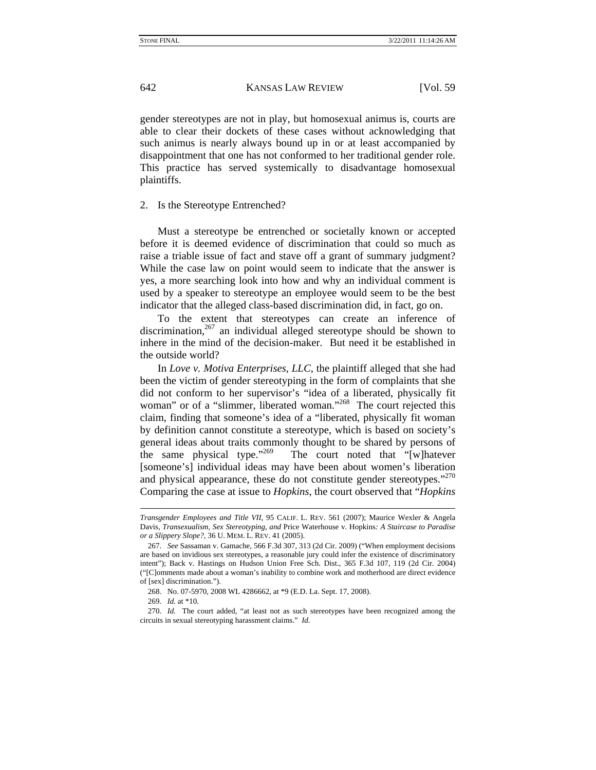gender stereotypes are not in play, but homosexual animus is, courts are able to clear their dockets of these cases without acknowledging that such animus is nearly always bound up in or at least accompanied by disappointment that one has not conformed to her traditional gender role. This practice has served systemically to disadvantage homosexual plaintiffs.

2. Is the Stereotype Entrenched?

Must a stereotype be entrenched or societally known or accepted before it is deemed evidence of discrimination that could so much as raise a triable issue of fact and stave off a grant of summary judgment? While the case law on point would seem to indicate that the answer is yes, a more searching look into how and why an individual comment is used by a speaker to stereotype an employee would seem to be the best indicator that the alleged class-based discrimination did, in fact, go on.

To the extent that stereotypes can create an inference of discrimination, $267$  an individual alleged stereotype should be shown to inhere in the mind of the decision-maker. But need it be established in the outside world?

In *Love v. Motiva Enterprises, LLC*, the plaintiff alleged that she had been the victim of gender stereotyping in the form of complaints that she did not conform to her supervisor's "idea of a liberated, physically fit woman" or of a "slimmer, liberated woman."<sup>268</sup> The court rejected this claim, finding that someone's idea of a "liberated, physically fit woman by definition cannot constitute a stereotype, which is based on society's general ideas about traits commonly thought to be shared by persons of the same physical type."<sup>269</sup> The court noted that "[w]hatever [someone's] individual ideas may have been about women's liberation and physical appearance, these do not constitute gender stereotypes."<sup>270</sup> Comparing the case at issue to *Hopkins*, the court observed that "*Hopkins*

*Transgender Employees and Title VII*, 95 CALIF. L. REV. 561 (2007); Maurice Wexler & Angela Davis, *Transexualism, Sex Stereotyping, and* Price Waterhouse v. Hopkins*: A Staircase to Paradise or a Slippery Slope?*, 36 U. MEM. L. REV. 41 (2005).

<sup>267.</sup> *See* Sassaman v. Gamache, 566 F.3d 307, 313 (2d Cir. 2009) ("When employment decisions are based on invidious sex stereotypes, a reasonable jury could infer the existence of discriminatory intent"); Back v. Hastings on Hudson Union Free Sch. Dist., 365 F.3d 107, 119 (2d Cir. 2004) ("[C]omments made about a woman's inability to combine work and motherhood are direct evidence of [sex] discrimination.").

 <sup>268.</sup> No. 07-5970, 2008 WL 4286662, at \*9 (E.D. La. Sept. 17, 2008).

<sup>269.</sup> *Id.* at \*10.

<sup>270.</sup> *Id.* The court added, "at least not as such stereotypes have been recognized among the circuits in sexual stereotyping harassment claims." *Id.*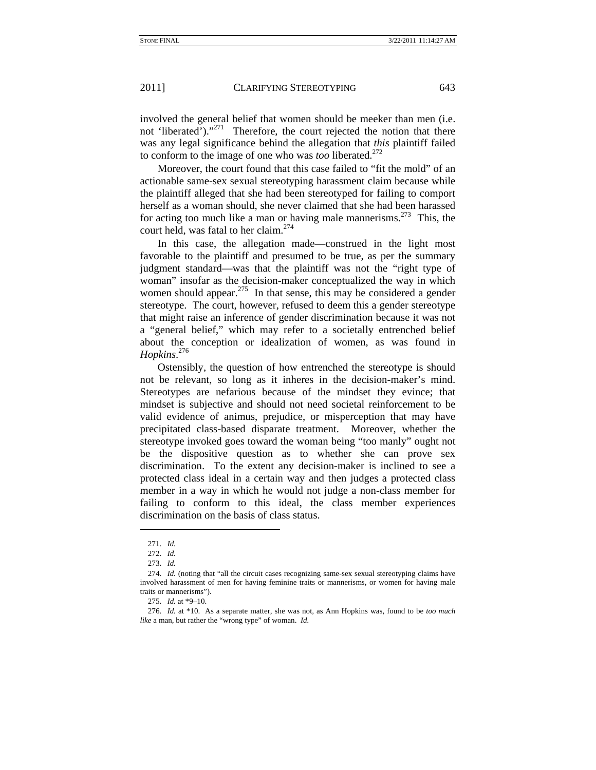involved the general belief that women should be meeker than men (i.e. not 'liberated')."<sup>271</sup> Therefore, the court rejected the notion that there was any legal significance behind the allegation that *this* plaintiff failed to conform to the image of one who was *too* liberated.<sup>272</sup>

Moreover, the court found that this case failed to "fit the mold" of an actionable same-sex sexual stereotyping harassment claim because while the plaintiff alleged that she had been stereotyped for failing to comport herself as a woman should, she never claimed that she had been harassed for acting too much like a man or having male mannerisms.<sup>273</sup> This, the court held, was fatal to her claim.<sup>274</sup>

In this case, the allegation made—construed in the light most favorable to the plaintiff and presumed to be true, as per the summary judgment standard—was that the plaintiff was not the "right type of woman" insofar as the decision-maker conceptualized the way in which women should appear.<sup>275</sup> In that sense, this may be considered a gender stereotype. The court, however, refused to deem this a gender stereotype that might raise an inference of gender discrimination because it was not a "general belief," which may refer to a societally entrenched belief about the conception or idealization of women, as was found in *Hopkins*. 276

Ostensibly, the question of how entrenched the stereotype is should not be relevant, so long as it inheres in the decision-maker's mind. Stereotypes are nefarious because of the mindset they evince; that mindset is subjective and should not need societal reinforcement to be valid evidence of animus, prejudice, or misperception that may have precipitated class-based disparate treatment. Moreover, whether the stereotype invoked goes toward the woman being "too manly" ought not be the dispositive question as to whether she can prove sex discrimination. To the extent any decision-maker is inclined to see a protected class ideal in a certain way and then judges a protected class member in a way in which he would not judge a non-class member for failing to conform to this ideal, the class member experiences discrimination on the basis of class status.

<sup>271.</sup> *Id.*

<sup>272.</sup> *Id.*

<sup>273.</sup> *Id.*

<sup>274.</sup> *Id.* (noting that "all the circuit cases recognizing same-sex sexual stereotyping claims have involved harassment of men for having feminine traits or mannerisms, or women for having male traits or mannerisms").

<sup>275.</sup> *Id.* at \*9–10.

<sup>276.</sup> *Id.* at \*10. As a separate matter, she was not, as Ann Hopkins was, found to be *too much like* a man, but rather the "wrong type" of woman. *Id.*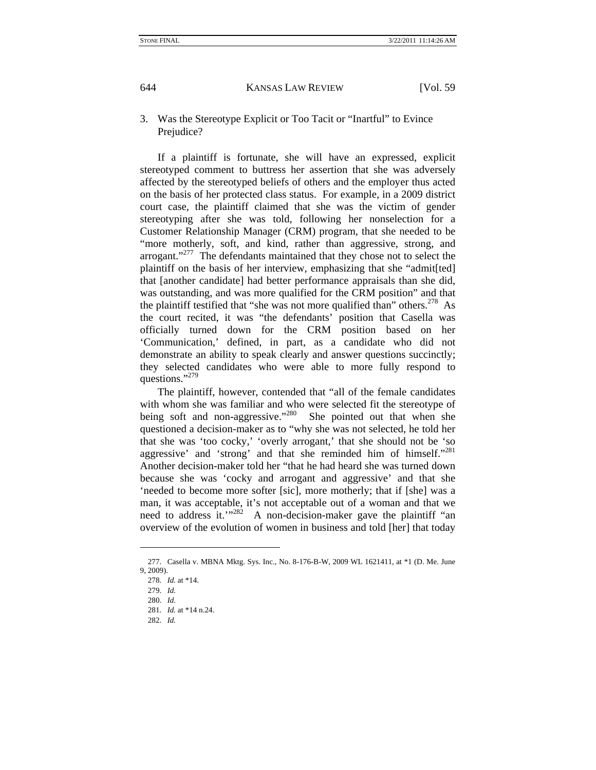## 3. Was the Stereotype Explicit or Too Tacit or "Inartful" to Evince Prejudice?

If a plaintiff is fortunate, she will have an expressed, explicit stereotyped comment to buttress her assertion that she was adversely affected by the stereotyped beliefs of others and the employer thus acted on the basis of her protected class status. For example, in a 2009 district court case, the plaintiff claimed that she was the victim of gender stereotyping after she was told, following her nonselection for a Customer Relationship Manager (CRM) program, that she needed to be "more motherly, soft, and kind, rather than aggressive, strong, and arrogant."<sup>277</sup> The defendants maintained that they chose not to select the plaintiff on the basis of her interview, emphasizing that she "admit[ted] that [another candidate] had better performance appraisals than she did, was outstanding, and was more qualified for the CRM position" and that the plaintiff testified that "she was not more qualified than" others.<sup>278</sup> As the court recited, it was "the defendants' position that Casella was officially turned down for the CRM position based on her 'Communication,' defined, in part, as a candidate who did not demonstrate an ability to speak clearly and answer questions succinctly; they selected candidates who were able to more fully respond to questions."<sup>279</sup>

The plaintiff, however, contended that "all of the female candidates with whom she was familiar and who were selected fit the stereotype of being soft and non-aggressive."<sup>280</sup> She pointed out that when she questioned a decision-maker as to "why she was not selected, he told her that she was 'too cocky,' 'overly arrogant,' that she should not be 'so aggressive' and 'strong' and that she reminded him of himself."<sup>281</sup> Another decision-maker told her "that he had heard she was turned down because she was 'cocky and arrogant and aggressive' and that she 'needed to become more softer [sic], more motherly; that if [she] was a man, it was acceptable, it's not acceptable out of a woman and that we need to address it."<sup>282</sup> A non-decision-maker gave the plaintiff "an overview of the evolution of women in business and told [her] that today

 $\overline{\phantom{a}}$ 

 <sup>277.</sup> Casella v. MBNA Mktg. Sys. Inc., No. 8-176-B-W, 2009 WL 1621411, at \*1 (D. Me. June 9, 2009).

<sup>278.</sup> *Id.* at \*14.

<sup>279.</sup> *Id.*

<sup>280.</sup> *Id.*

<sup>281.</sup> *Id.* at \*14 n.24.

<sup>282.</sup> *Id.*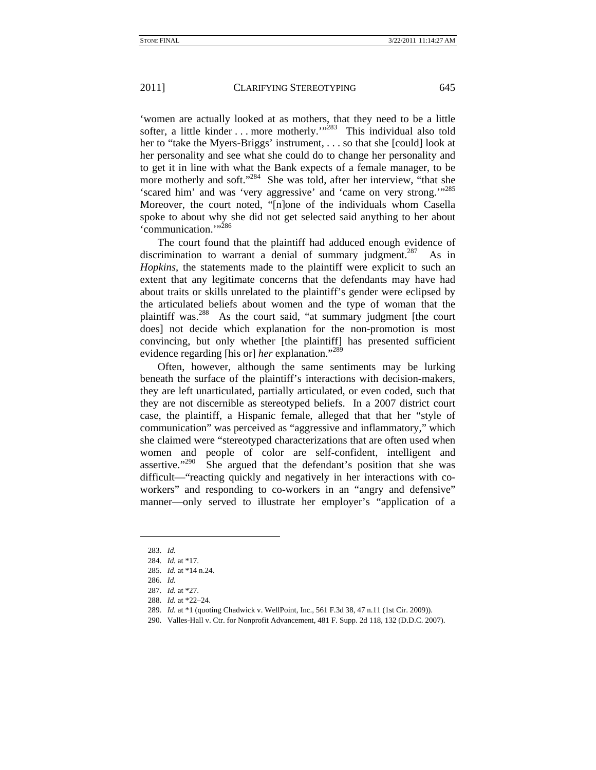'women are actually looked at as mothers, that they need to be a little softer, a little kinder  $\dots$  more motherly.<sup>'"283</sup> This individual also told her to "take the Myers-Briggs' instrument, . . . so that she [could] look at her personality and see what she could do to change her personality and to get it in line with what the Bank expects of a female manager, to be more motherly and soft."<sup>284</sup> She was told, after her interview, "that she 'scared him' and was 'very aggressive' and 'came on very strong.'"<sup>285</sup> Moreover, the court noted, "[n]one of the individuals whom Casella spoke to about why she did not get selected said anything to her about 'communication."<sup>286</sup>

The court found that the plaintiff had adduced enough evidence of discrimination to warrant a denial of summary judgment.<sup>287</sup> As in *Hopkins*, the statements made to the plaintiff were explicit to such an extent that any legitimate concerns that the defendants may have had about traits or skills unrelated to the plaintiff's gender were eclipsed by the articulated beliefs about women and the type of woman that the plaintiff was.<sup>288</sup> As the court said, "at summary judgment [the court does] not decide which explanation for the non-promotion is most convincing, but only whether [the plaintiff] has presented sufficient evidence regarding [his or] *her* explanation."<sup>289</sup>

Often, however, although the same sentiments may be lurking beneath the surface of the plaintiff's interactions with decision-makers, they are left unarticulated, partially articulated, or even coded, such that they are not discernible as stereotyped beliefs. In a 2007 district court case, the plaintiff, a Hispanic female, alleged that that her "style of communication" was perceived as "aggressive and inflammatory," which she claimed were "stereotyped characterizations that are often used when women and people of color are self-confident, intelligent and assertive."<sup>290</sup> She argued that the defendant's position that she was difficult—"reacting quickly and negatively in her interactions with coworkers" and responding to co-workers in an "angry and defensive" manner—only served to illustrate her employer's "application of a

 $\overline{\phantom{a}}$ 

<sup>283.</sup> *Id.*

<sup>284.</sup> *Id.* at \*17.

<sup>285.</sup> *Id.* at \*14 n.24.

<sup>286.</sup> *Id.*

<sup>287.</sup> *Id.* at \*27.

<sup>288.</sup> *Id.* at \*22–24.

<sup>289.</sup> *Id.* at \*1 (quoting Chadwick v. WellPoint, Inc., 561 F.3d 38, 47 n.11 (1st Cir. 2009)).

 <sup>290.</sup> Valles-Hall v. Ctr. for Nonprofit Advancement, 481 F. Supp. 2d 118, 132 (D.D.C. 2007).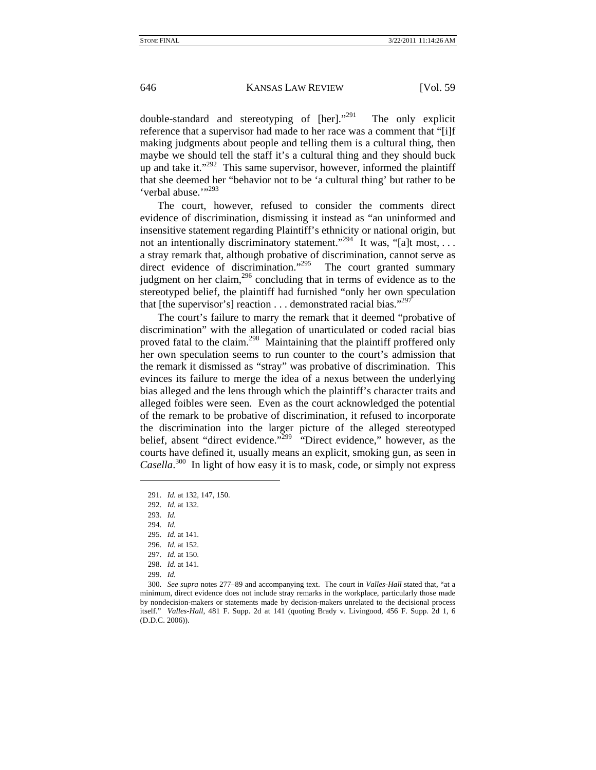double-standard and stereotyping of [her]."<sup>291</sup> The only explicit reference that a supervisor had made to her race was a comment that "[i]f making judgments about people and telling them is a cultural thing, then maybe we should tell the staff it's a cultural thing and they should buck up and take it." $292$  This same supervisor, however, informed the plaintiff that she deemed her "behavior not to be 'a cultural thing' but rather to be 'verbal abuse."<sup>3293</sup>

The court, however, refused to consider the comments direct evidence of discrimination, dismissing it instead as "an uninformed and insensitive statement regarding Plaintiff's ethnicity or national origin, but not an intentionally discriminatory statement."<sup>294</sup> It was, "[a]t most, ... a stray remark that, although probative of discrimination, cannot serve as direct evidence of discrimination."<sup>295</sup> The court granted summary judgment on her claim,<sup>296</sup> concluding that in terms of evidence as to the stereotyped belief, the plaintiff had furnished "only her own speculation that [the supervisor's] reaction  $\dots$  demonstrated racial bias."<sup>297</sup>

The court's failure to marry the remark that it deemed "probative of discrimination" with the allegation of unarticulated or coded racial bias proved fatal to the claim.<sup>298</sup> Maintaining that the plaintiff proffered only her own speculation seems to run counter to the court's admission that the remark it dismissed as "stray" was probative of discrimination. This evinces its failure to merge the idea of a nexus between the underlying bias alleged and the lens through which the plaintiff's character traits and alleged foibles were seen. Even as the court acknowledged the potential of the remark to be probative of discrimination, it refused to incorporate the discrimination into the larger picture of the alleged stereotyped belief, absent "direct evidence."<sup>299</sup> "Direct evidence," however, as the courts have defined it, usually means an explicit, smoking gun, as seen in *Casella*. 300 In light of how easy it is to mask, code, or simply not express

<sup>291.</sup> *Id.* at 132, 147, 150.

<sup>292.</sup> *Id.* at 132.

<sup>293.</sup> *Id.*

<sup>294.</sup> *Id.*

<sup>295.</sup> *Id.* at 141.

<sup>296.</sup> *Id.* at 152.

<sup>297.</sup> *Id.* at 150.

<sup>298.</sup> *Id.* at 141.

<sup>299.</sup> *Id.*

 <sup>300.</sup> *See supra* notes 277–89 and accompanying text. The court in *Valles-Hall* stated that, "at a minimum, direct evidence does not include stray remarks in the workplace, particularly those made by nondecision-makers or statements made by decision-makers unrelated to the decisional process itself." *Valles-Hall*, 481 F. Supp. 2d at 141 (quoting Brady v. Livingood, 456 F. Supp. 2d 1, 6 (D.D.C. 2006)).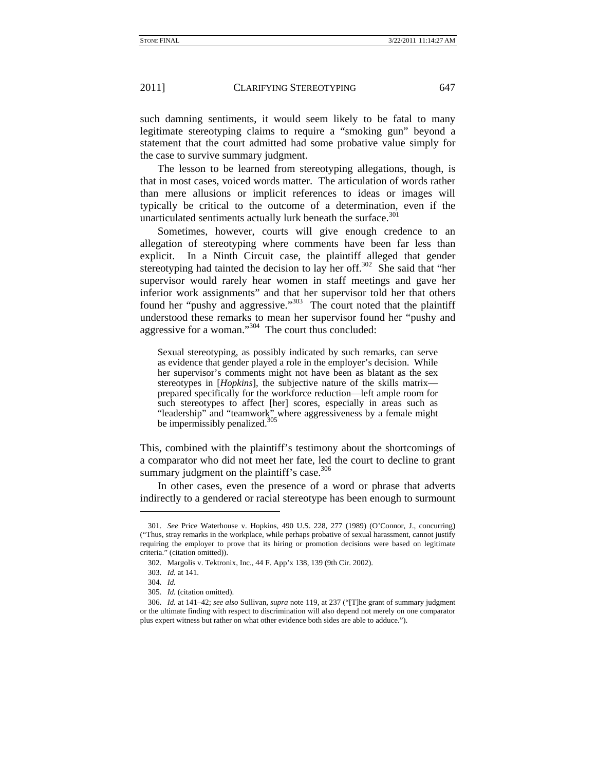such damning sentiments, it would seem likely to be fatal to many legitimate stereotyping claims to require a "smoking gun" beyond a statement that the court admitted had some probative value simply for the case to survive summary judgment.

The lesson to be learned from stereotyping allegations, though, is that in most cases, voiced words matter. The articulation of words rather than mere allusions or implicit references to ideas or images will typically be critical to the outcome of a determination, even if the unarticulated sentiments actually lurk beneath the surface. $301$ 

Sometimes, however, courts will give enough credence to an allegation of stereotyping where comments have been far less than explicit. In a Ninth Circuit case, the plaintiff alleged that gender stereotyping had tainted the decision to lay her off.<sup>302</sup> She said that "her supervisor would rarely hear women in staff meetings and gave her inferior work assignments" and that her supervisor told her that others found her "pushy and aggressive."<sup>303</sup> The court noted that the plaintiff understood these remarks to mean her supervisor found her "pushy and aggressive for a woman."304 The court thus concluded:

Sexual stereotyping, as possibly indicated by such remarks, can serve as evidence that gender played a role in the employer's decision. While her supervisor's comments might not have been as blatant as the sex stereotypes in [*Hopkins*], the subjective nature of the skills matrix prepared specifically for the workforce reduction—left ample room for such stereotypes to affect [her] scores, especially in areas such as "leadership" and "teamwork" where aggressiveness by a female might be impermissibly penalized.<sup>305</sup>

This, combined with the plaintiff's testimony about the shortcomings of a comparator who did not meet her fate, led the court to decline to grant summary judgment on the plaintiff's case.<sup>306</sup>

In other cases, even the presence of a word or phrase that adverts indirectly to a gendered or racial stereotype has been enough to surmount

<sup>301.</sup> *See* Price Waterhouse v. Hopkins, 490 U.S. 228, 277 (1989) (O'Connor, J., concurring) ("Thus, stray remarks in the workplace, while perhaps probative of sexual harassment, cannot justify requiring the employer to prove that its hiring or promotion decisions were based on legitimate criteria." (citation omitted)).

 <sup>302.</sup> Margolis v. Tektronix, Inc., 44 F. App'x 138, 139 (9th Cir. 2002).

<sup>303.</sup> *Id.* at 141.

<sup>304.</sup> *Id.*

<sup>305.</sup> *Id.* (citation omitted).

<sup>306.</sup> *Id.* at 141–42; *see also* Sullivan, *supra* note 119, at 237 ("[T]he grant of summary judgment or the ultimate finding with respect to discrimination will also depend not merely on one comparator plus expert witness but rather on what other evidence both sides are able to adduce.").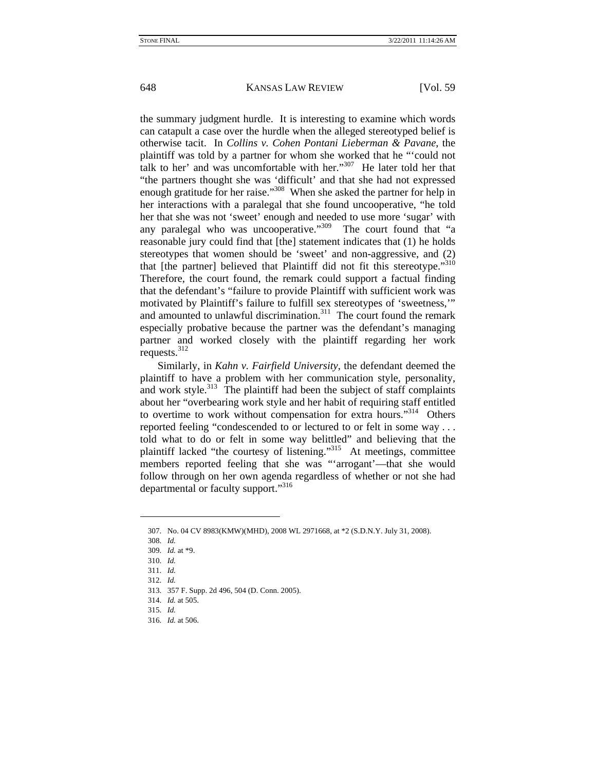the summary judgment hurdle. It is interesting to examine which words can catapult a case over the hurdle when the alleged stereotyped belief is otherwise tacit. In *Collins v. Cohen Pontani Lieberman & Pavane*, the plaintiff was told by a partner for whom she worked that he "'could not talk to her' and was uncomfortable with her."<sup>307</sup> He later told her that "the partners thought she was 'difficult' and that she had not expressed enough gratitude for her raise."<sup>308</sup> When she asked the partner for help in her interactions with a paralegal that she found uncooperative, "he told her that she was not 'sweet' enough and needed to use more 'sugar' with any paralegal who was uncooperative."<sup>309</sup> The court found that "a reasonable jury could find that [the] statement indicates that (1) he holds stereotypes that women should be 'sweet' and non-aggressive, and (2) that [the partner] believed that Plaintiff did not fit this stereotype."<sup>310</sup> Therefore, the court found, the remark could support a factual finding that the defendant's "failure to provide Plaintiff with sufficient work was motivated by Plaintiff's failure to fulfill sex stereotypes of 'sweetness,'" and amounted to unlawful discrimination.<sup>311</sup> The court found the remark especially probative because the partner was the defendant's managing partner and worked closely with the plaintiff regarding her work requests.<sup>312</sup>

Similarly, in *Kahn v. Fairfield University*, the defendant deemed the plaintiff to have a problem with her communication style, personality, and work style.<sup>313</sup> The plaintiff had been the subject of staff complaints about her "overbearing work style and her habit of requiring staff entitled to overtime to work without compensation for extra hours."314 Others reported feeling "condescended to or lectured to or felt in some way . . . told what to do or felt in some way belittled" and believing that the plaintiff lacked "the courtesy of listening."315 At meetings, committee members reported feeling that she was "'arrogant'—that she would follow through on her own agenda regardless of whether or not she had departmental or faculty support."316

 <sup>307.</sup> No. 04 CV 8983(KMW)(MHD), 2008 WL 2971668, at \*2 (S.D.N.Y. July 31, 2008).

<sup>308.</sup> *Id.*

<sup>309.</sup> *Id.* at \*9.

<sup>310.</sup> *Id.* 311. *Id.*

<sup>312.</sup> *Id.*

 <sup>313. 357</sup> F. Supp. 2d 496, 504 (D. Conn. 2005).

<sup>314.</sup> *Id.* at 505.

<sup>315.</sup> *Id.*

<sup>316.</sup> *Id.* at 506.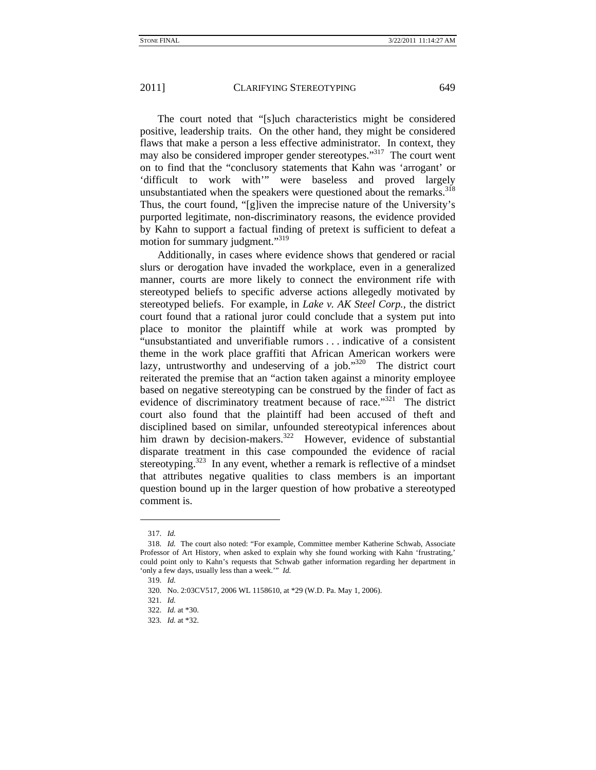The court noted that "[s]uch characteristics might be considered positive, leadership traits. On the other hand, they might be considered flaws that make a person a less effective administrator. In context, they may also be considered improper gender stereotypes."<sup>317</sup> The court went on to find that the "conclusory statements that Kahn was 'arrogant' or 'difficult to work with'" were baseless and proved largely unsubstantiated when the speakers were questioned about the remarks.<sup>318</sup> Thus, the court found, "[g]iven the imprecise nature of the University's purported legitimate, non-discriminatory reasons, the evidence provided by Kahn to support a factual finding of pretext is sufficient to defeat a motion for summary judgment."<sup>319</sup>

Additionally, in cases where evidence shows that gendered or racial slurs or derogation have invaded the workplace, even in a generalized manner, courts are more likely to connect the environment rife with stereotyped beliefs to specific adverse actions allegedly motivated by stereotyped beliefs. For example, in *Lake v. AK Steel Corp.*, the district court found that a rational juror could conclude that a system put into place to monitor the plaintiff while at work was prompted by "unsubstantiated and unverifiable rumors . . . indicative of a consistent theme in the work place graffiti that African American workers were lazy, untrustworthy and undeserving of a job."<sup>320</sup> The district court reiterated the premise that an "action taken against a minority employee based on negative stereotyping can be construed by the finder of fact as evidence of discriminatory treatment because of race."<sup>321</sup> The district court also found that the plaintiff had been accused of theft and disciplined based on similar, unfounded stereotypical inferences about him drawn by decision-makers.<sup>322</sup> However, evidence of substantial disparate treatment in this case compounded the evidence of racial stereotyping.<sup>323</sup> In any event, whether a remark is reflective of a mindset that attributes negative qualities to class members is an important question bound up in the larger question of how probative a stereotyped comment is.

<sup>317.</sup> *Id.*

<sup>318.</sup> *Id.* The court also noted: "For example, Committee member Katherine Schwab, Associate Professor of Art History, when asked to explain why she found working with Kahn 'frustrating,' could point only to Kahn's requests that Schwab gather information regarding her department in 'only a few days, usually less than a week.'" *Id.*

<sup>319.</sup> *Id.*

 <sup>320.</sup> No. 2:03CV517, 2006 WL 1158610, at \*29 (W.D. Pa. May 1, 2006).

<sup>321.</sup> *Id.*

<sup>322.</sup> *Id.* at \*30.

<sup>323.</sup> *Id.* at \*32.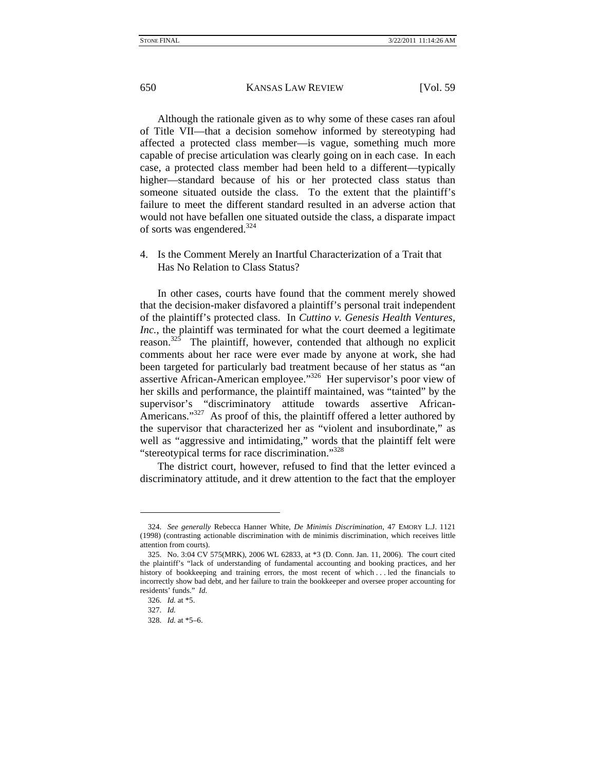Although the rationale given as to why some of these cases ran afoul of Title VII—that a decision somehow informed by stereotyping had affected a protected class member—is vague, something much more capable of precise articulation was clearly going on in each case. In each case, a protected class member had been held to a different—typically higher—standard because of his or her protected class status than someone situated outside the class. To the extent that the plaintiff's failure to meet the different standard resulted in an adverse action that would not have befallen one situated outside the class, a disparate impact of sorts was engendered.<sup>324</sup>

4. Is the Comment Merely an Inartful Characterization of a Trait that Has No Relation to Class Status?

In other cases, courts have found that the comment merely showed that the decision-maker disfavored a plaintiff's personal trait independent of the plaintiff's protected class. In *Cuttino v. Genesis Health Ventures, Inc.*, the plaintiff was terminated for what the court deemed a legitimate reason.<sup>325</sup> The plaintiff, however, contended that although no explicit comments about her race were ever made by anyone at work, she had been targeted for particularly bad treatment because of her status as "an assertive African-American employee.<sup>"326</sup> Her supervisor's poor view of her skills and performance, the plaintiff maintained, was "tainted" by the supervisor's "discriminatory attitude towards assertive African-Americans."<sup>327</sup> As proof of this, the plaintiff offered a letter authored by the supervisor that characterized her as "violent and insubordinate," as well as "aggressive and intimidating," words that the plaintiff felt were "stereotypical terms for race discrimination."<sup>328</sup>

The district court, however, refused to find that the letter evinced a discriminatory attitude, and it drew attention to the fact that the employer

<sup>324.</sup> *See generally* Rebecca Hanner White, *De Minimis Discrimination*, 47 EMORY L.J. 1121 (1998) (contrasting actionable discrimination with de minimis discrimination, which receives little attention from courts).

 <sup>325.</sup> No. 3:04 CV 575(MRK), 2006 WL 62833, at \*3 (D. Conn. Jan. 11, 2006). The court cited the plaintiff's "lack of understanding of fundamental accounting and booking practices, and her history of bookkeeping and training errors, the most recent of which . . . led the financials to incorrectly show bad debt, and her failure to train the bookkeeper and oversee proper accounting for residents' funds." *Id.* 

<sup>326.</sup> *Id.* at \*5.

<sup>327.</sup> *Id.*

<sup>328.</sup> *Id.* at \*5–6.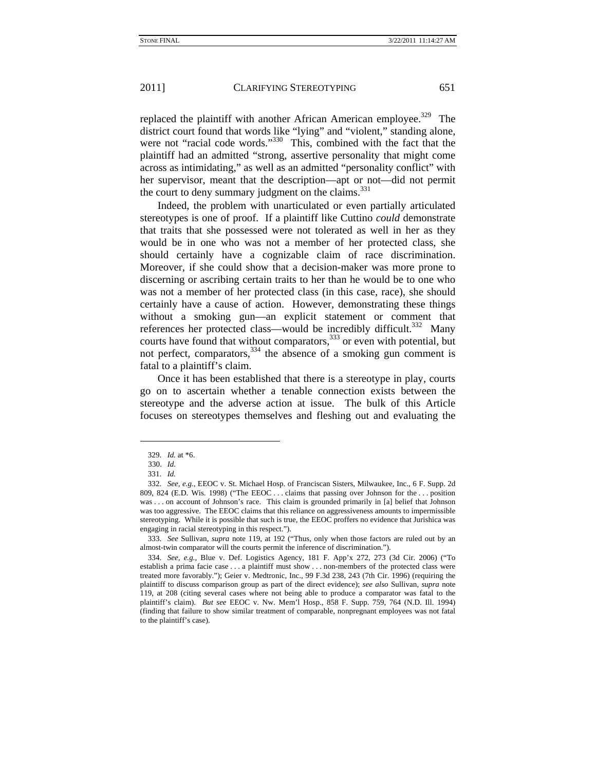replaced the plaintiff with another African American employee.<sup>329</sup> The district court found that words like "lying" and "violent," standing alone, were not "racial code words."<sup>330</sup> This, combined with the fact that the plaintiff had an admitted "strong, assertive personality that might come across as intimidating," as well as an admitted "personality conflict" with her supervisor, meant that the description—apt or not—did not permit the court to deny summary judgment on the claims. $331$ 

Indeed, the problem with unarticulated or even partially articulated stereotypes is one of proof. If a plaintiff like Cuttino *could* demonstrate that traits that she possessed were not tolerated as well in her as they would be in one who was not a member of her protected class, she should certainly have a cognizable claim of race discrimination. Moreover, if she could show that a decision-maker was more prone to discerning or ascribing certain traits to her than he would be to one who was not a member of her protected class (in this case, race), she should certainly have a cause of action. However, demonstrating these things without a smoking gun—an explicit statement or comment that references her protected class—would be incredibly difficult.<sup>332</sup> Many courts have found that without comparators,<sup>333</sup> or even with potential, but not perfect, comparators,  $334$  the absence of a smoking gun comment is fatal to a plaintiff's claim.

Once it has been established that there is a stereotype in play, courts go on to ascertain whether a tenable connection exists between the stereotype and the adverse action at issue. The bulk of this Article focuses on stereotypes themselves and fleshing out and evaluating the

1

333. *See* Sullivan, *supra* note 119, at 192 ("Thus, only when those factors are ruled out by an almost-twin comparator will the courts permit the inference of discrimination.").

<sup>329.</sup> *Id.* at \*6.

 <sup>330.</sup> *Id.* 

<sup>331.</sup> *Id.*

<sup>332.</sup> *See, e.g.*, EEOC v. St. Michael Hosp. of Franciscan Sisters, Milwaukee, Inc., 6 F. Supp. 2d 809, 824 (E.D. Wis. 1998) ("The EEOC . . . claims that passing over Johnson for the . . . position was . . . on account of Johnson's race. This claim is grounded primarily in [a] belief that Johnson was too aggressive. The EEOC claims that this reliance on aggressiveness amounts to impermissible stereotyping. While it is possible that such is true, the EEOC proffers no evidence that Jurishica was engaging in racial stereotyping in this respect.").

<sup>334.</sup> *See, e.g.*, Blue v. Def. Logistics Agency, 181 F. App'x 272, 273 (3d Cir. 2006) ("To establish a prima facie case . . . a plaintiff must show . . . non-members of the protected class were treated more favorably."); Geier v. Medtronic, Inc., 99 F.3d 238, 243 (7th Cir. 1996) (requiring the plaintiff to discuss comparison group as part of the direct evidence); *see also* Sullivan, *supra* note 119, at 208 (citing several cases where not being able to produce a comparator was fatal to the plaintiff's claim). *But see* EEOC v. Nw. Mem'l Hosp., 858 F. Supp. 759, 764 (N.D. Ill. 1994) (finding that failure to show similar treatment of comparable, nonpregnant employees was not fatal to the plaintiff's case).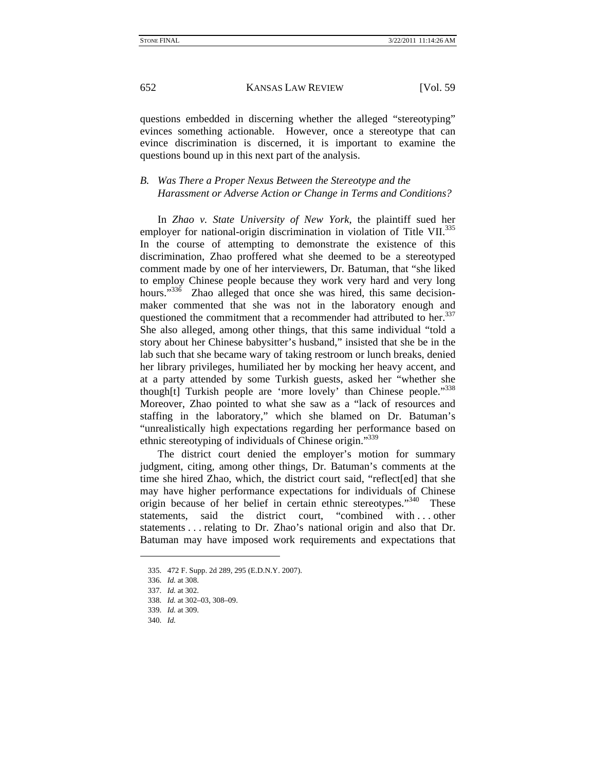questions embedded in discerning whether the alleged "stereotyping" evinces something actionable. However, once a stereotype that can evince discrimination is discerned, it is important to examine the questions bound up in this next part of the analysis.

## *B. Was There a Proper Nexus Between the Stereotype and the Harassment or Adverse Action or Change in Terms and Conditions?*

In *Zhao v. State University of New York*, the plaintiff sued her employer for national-origin discrimination in violation of Title VII.<sup>335</sup> In the course of attempting to demonstrate the existence of this discrimination, Zhao proffered what she deemed to be a stereotyped comment made by one of her interviewers, Dr. Batuman, that "she liked to employ Chinese people because they work very hard and very long hours."<sup>336</sup> Zhao alleged that once she was hired, this same decisionmaker commented that she was not in the laboratory enough and questioned the commitment that a recommender had attributed to her.<sup>337</sup> She also alleged, among other things, that this same individual "told a story about her Chinese babysitter's husband," insisted that she be in the lab such that she became wary of taking restroom or lunch breaks, denied her library privileges, humiliated her by mocking her heavy accent, and at a party attended by some Turkish guests, asked her "whether she though[t] Turkish people are 'more lovely' than Chinese people."<sup>338</sup> Moreover, Zhao pointed to what she saw as a "lack of resources and staffing in the laboratory," which she blamed on Dr. Batuman's "unrealistically high expectations regarding her performance based on ethnic stereotyping of individuals of Chinese origin."<sup>339</sup>

The district court denied the employer's motion for summary judgment, citing, among other things, Dr. Batuman's comments at the time she hired Zhao, which, the district court said, "reflect[ed] that she may have higher performance expectations for individuals of Chinese origin because of her belief in certain ethnic stereotypes."340 These statements, said the district court, "combined with . . . other statements . . . relating to Dr. Zhao's national origin and also that Dr. Batuman may have imposed work requirements and expectations that

 <sup>335. 472</sup> F. Supp. 2d 289, 295 (E.D.N.Y. 2007).

<sup>336.</sup> *Id.* at 308.

<sup>337.</sup> *Id.* at 302.

<sup>338.</sup> *Id.* at 302–03, 308–09.

<sup>339.</sup> *Id.* at 309.

<sup>340.</sup> *Id.*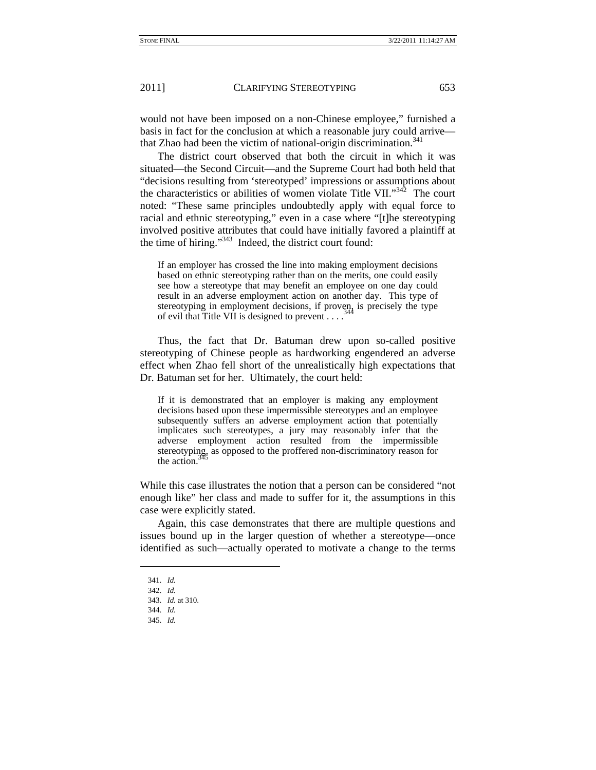would not have been imposed on a non-Chinese employee," furnished a basis in fact for the conclusion at which a reasonable jury could arrive that Zhao had been the victim of national-origin discrimination.<sup>341</sup>

The district court observed that both the circuit in which it was situated—the Second Circuit—and the Supreme Court had both held that "decisions resulting from 'stereotyped' impressions or assumptions about the characteristics or abilities of women violate Title VII."<sup>342</sup> The court noted: "These same principles undoubtedly apply with equal force to racial and ethnic stereotyping," even in a case where "[t]he stereotyping involved positive attributes that could have initially favored a plaintiff at the time of hiring."343 Indeed, the district court found:

If an employer has crossed the line into making employment decisions based on ethnic stereotyping rather than on the merits, one could easily see how a stereotype that may benefit an employee on one day could result in an adverse employment action on another day. This type of stereotyping in employment decisions, if proven, is precisely the type of evil that Title VII is designed to prevent . . . .

Thus, the fact that Dr. Batuman drew upon so-called positive stereotyping of Chinese people as hardworking engendered an adverse effect when Zhao fell short of the unrealistically high expectations that Dr. Batuman set for her. Ultimately, the court held:

If it is demonstrated that an employer is making any employment decisions based upon these impermissible stereotypes and an employee subsequently suffers an adverse employment action that potentially implicates such stereotypes, a jury may reasonably infer that the adverse employment action resulted from the impermissible stereotyping, as opposed to the proffered non-discriminatory reason for the action.

While this case illustrates the notion that a person can be considered "not enough like" her class and made to suffer for it, the assumptions in this case were explicitly stated.

Again, this case demonstrates that there are multiple questions and issues bound up in the larger question of whether a stereotype—once identified as such—actually operated to motivate a change to the terms

<sup>341.</sup> *Id.*

<sup>342.</sup> *Id.* 343. *Id.* at 310.

<sup>344.</sup> *Id.*

<sup>345.</sup> *Id.*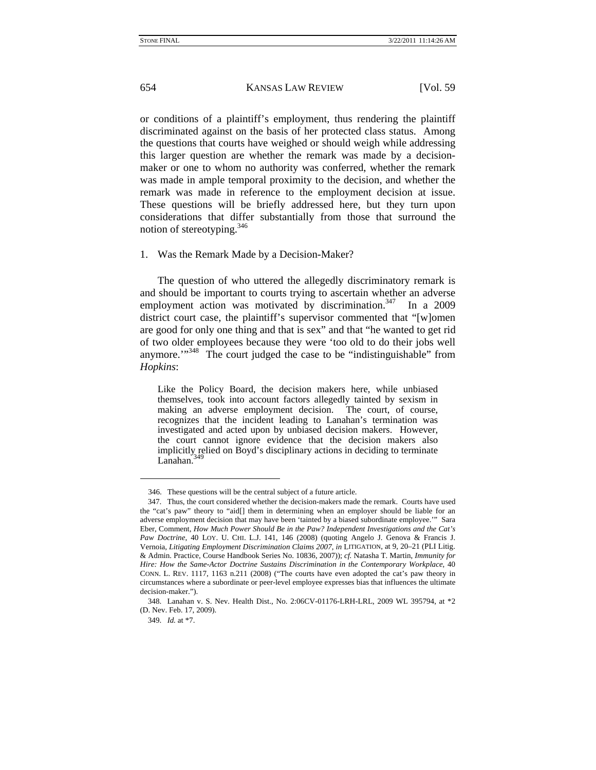or conditions of a plaintiff's employment, thus rendering the plaintiff discriminated against on the basis of her protected class status. Among the questions that courts have weighed or should weigh while addressing this larger question are whether the remark was made by a decisionmaker or one to whom no authority was conferred, whether the remark was made in ample temporal proximity to the decision, and whether the remark was made in reference to the employment decision at issue. These questions will be briefly addressed here, but they turn upon considerations that differ substantially from those that surround the notion of stereotyping.<sup>346</sup>

1. Was the Remark Made by a Decision-Maker?

The question of who uttered the allegedly discriminatory remark is and should be important to courts trying to ascertain whether an adverse employment action was motivated by discrimination.<sup>347</sup> In a 2009 district court case, the plaintiff's supervisor commented that "[w]omen are good for only one thing and that is sex" and that "he wanted to get rid of two older employees because they were 'too old to do their jobs well anymore."<sup>348</sup> The court judged the case to be "indistinguishable" from *Hopkins*:

Like the Policy Board, the decision makers here, while unbiased themselves, took into account factors allegedly tainted by sexism in making an adverse employment decision. The court, of course, recognizes that the incident leading to Lanahan's termination was investigated and acted upon by unbiased decision makers. However, the court cannot ignore evidence that the decision makers also implicitly relied on Boyd's disciplinary actions in deciding to terminate Lanahan. $349$ 

 <sup>346.</sup> These questions will be the central subject of a future article.

 <sup>347.</sup> Thus, the court considered whether the decision-makers made the remark. Courts have used the "cat's paw" theory to "aid[] them in determining when an employer should be liable for an adverse employment decision that may have been 'tainted by a biased subordinate employee.'" Sara Eber, Comment, *How Much Power Should Be in the Paw? Independent Investigations and the Cat's Paw Doctrine*, 40 LOY. U. CHI. L.J. 141, 146 (2008) (quoting Angelo J. Genova & Francis J. Vernoia, *Litigating Employment Discrimination Claims 2007*, *in* LITIGATION, at 9, 20–21 (PLI Litig. & Admin. Practice, Course Handbook Series No. 10836, 2007)); *cf.* Natasha T. Martin, *Immunity for Hire: How the Same-Actor Doctrine Sustains Discrimination in the Contemporary Workplace*, 40 CONN. L. REV. 1117, 1163 n.211 (2008) ("The courts have even adopted the cat's paw theory in circumstances where a subordinate or peer-level employee expresses bias that influences the ultimate decision-maker.").

 <sup>348.</sup> Lanahan v. S. Nev. Health Dist., No. 2:06CV-01176-LRH-LRL, 2009 WL 395794, at \*2 (D. Nev. Feb. 17, 2009).

<sup>349.</sup> *Id.* at \*7.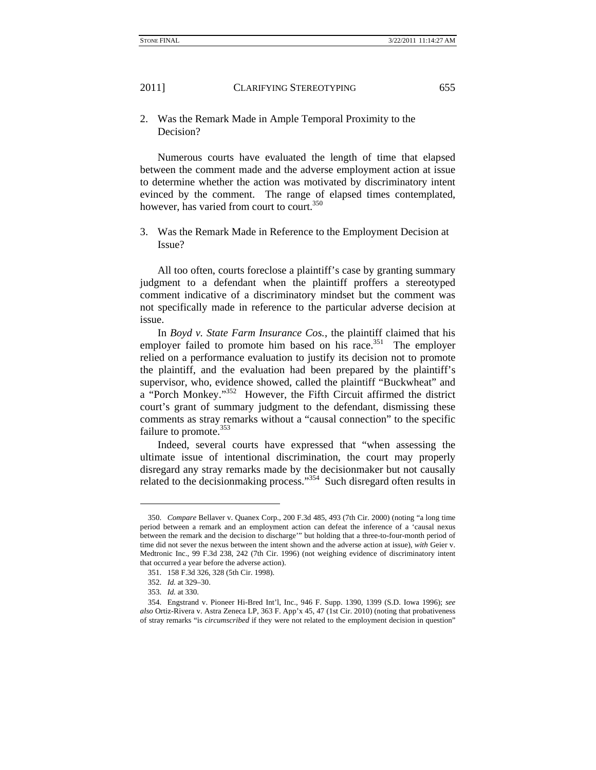2. Was the Remark Made in Ample Temporal Proximity to the Decision?

Numerous courts have evaluated the length of time that elapsed between the comment made and the adverse employment action at issue to determine whether the action was motivated by discriminatory intent evinced by the comment. The range of elapsed times contemplated, however, has varied from court to court.<sup>350</sup>

3. Was the Remark Made in Reference to the Employment Decision at Issue?

All too often, courts foreclose a plaintiff's case by granting summary judgment to a defendant when the plaintiff proffers a stereotyped comment indicative of a discriminatory mindset but the comment was not specifically made in reference to the particular adverse decision at issue.

In *Boyd v. State Farm Insurance Cos.*, the plaintiff claimed that his employer failed to promote him based on his race.<sup>351</sup> The employer relied on a performance evaluation to justify its decision not to promote the plaintiff, and the evaluation had been prepared by the plaintiff's supervisor, who, evidence showed, called the plaintiff "Buckwheat" and a "Porch Monkey."352 However, the Fifth Circuit affirmed the district court's grant of summary judgment to the defendant, dismissing these comments as stray remarks without a "causal connection" to the specific failure to promote.<sup>353</sup>

Indeed, several courts have expressed that "when assessing the ultimate issue of intentional discrimination, the court may properly disregard any stray remarks made by the decisionmaker but not causally related to the decision making process."<sup>354</sup> Such disregard often results in

<sup>350.</sup> *Compare* Bellaver v. Quanex Corp., 200 F.3d 485, 493 (7th Cir. 2000) (noting "a long time period between a remark and an employment action can defeat the inference of a 'causal nexus between the remark and the decision to discharge'" but holding that a three-to-four-month period of time did not sever the nexus between the intent shown and the adverse action at issue), *with* Geier v. Medtronic Inc., 99 F.3d 238, 242 (7th Cir. 1996) (not weighing evidence of discriminatory intent that occurred a year before the adverse action).

 <sup>351. 158</sup> F.3d 326, 328 (5th Cir. 1998).

<sup>352.</sup> *Id.* at 329–30.

<sup>353.</sup> *Id.* at 330.

 <sup>354.</sup> Engstrand v. Pioneer Hi-Bred Int'l, Inc., 946 F. Supp. 1390, 1399 (S.D. Iowa 1996); *see also* Ortiz-Rivera v. Astra Zeneca LP, 363 F. App'x 45, 47 (1st Cir. 2010) (noting that probativeness of stray remarks "is *circumscribed* if they were not related to the employment decision in question"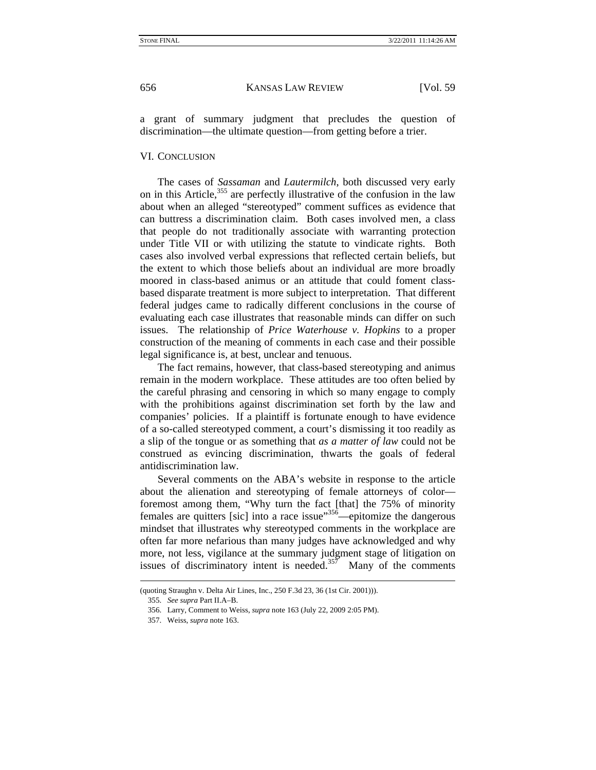a grant of summary judgment that precludes the question of discrimination—the ultimate question—from getting before a trier.

#### VI. CONCLUSION

The cases of *Sassaman* and *Lautermilch*, both discussed very early on in this Article, $355$  are perfectly illustrative of the confusion in the law about when an alleged "stereotyped" comment suffices as evidence that can buttress a discrimination claim. Both cases involved men, a class that people do not traditionally associate with warranting protection under Title VII or with utilizing the statute to vindicate rights. Both cases also involved verbal expressions that reflected certain beliefs, but the extent to which those beliefs about an individual are more broadly moored in class-based animus or an attitude that could foment classbased disparate treatment is more subject to interpretation. That different federal judges came to radically different conclusions in the course of evaluating each case illustrates that reasonable minds can differ on such issues. The relationship of *Price Waterhouse v. Hopkins* to a proper construction of the meaning of comments in each case and their possible legal significance is, at best, unclear and tenuous.

The fact remains, however, that class-based stereotyping and animus remain in the modern workplace. These attitudes are too often belied by the careful phrasing and censoring in which so many engage to comply with the prohibitions against discrimination set forth by the law and companies' policies. If a plaintiff is fortunate enough to have evidence of a so-called stereotyped comment, a court's dismissing it too readily as a slip of the tongue or as something that *as a matter of law* could not be construed as evincing discrimination, thwarts the goals of federal antidiscrimination law.

Several comments on the ABA's website in response to the article about the alienation and stereotyping of female attorneys of color foremost among them, "Why turn the fact [that] the 75% of minority females are quitters [sic] into a race issue $\frac{356}{ }$ —epitomize the dangerous mindset that illustrates why stereotyped comments in the workplace are often far more nefarious than many judges have acknowledged and why more, not less, vigilance at the summary judgment stage of litigation on issues of discriminatory intent is needed. $357$  Many of the comments

<sup>(</sup>quoting Straughn v. Delta Air Lines, Inc., 250 F.3d 23, 36 (1st Cir. 2001))).

<sup>355.</sup> *See supra* Part II.A–B.

 <sup>356.</sup> Larry, Comment to Weiss, *supra* note 163 (July 22, 2009 2:05 PM).

 <sup>357.</sup> Weiss, *supra* note 163.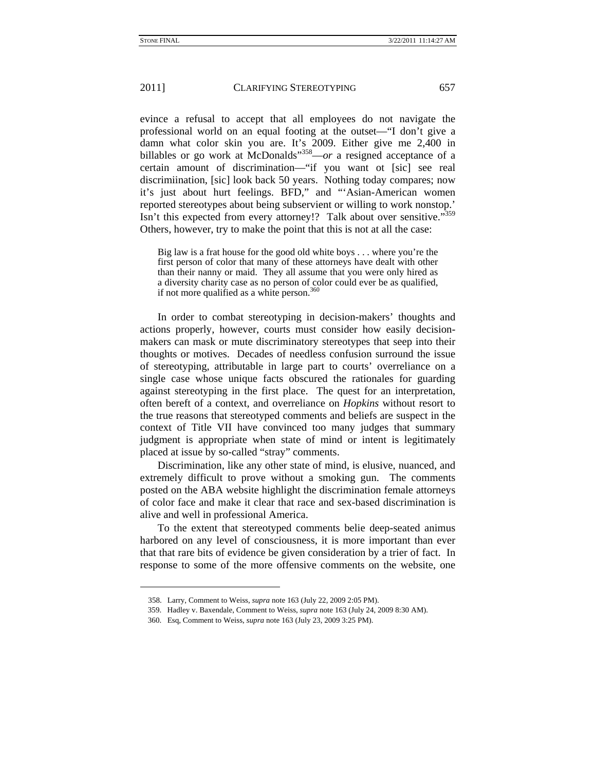l

2011] **CLARIFYING STEREOTYPING** 657

evince a refusal to accept that all employees do not navigate the professional world on an equal footing at the outset—"I don't give a damn what color skin you are. It's 2009. Either give me 2,400 in billables or go work at McDonalds<sup>"358</sup>—or a resigned acceptance of a certain amount of discrimination—"if you want ot [sic] see real discrimiination, [sic] look back 50 years. Nothing today compares; now it's just about hurt feelings. BFD," and "'Asian-American women reported stereotypes about being subservient or willing to work nonstop.' Isn't this expected from every attorney!? Talk about over sensitive."<sup>359</sup> Others, however, try to make the point that this is not at all the case:

Big law is a frat house for the good old white boys . . . where you're the first person of color that many of these attorneys have dealt with other than their nanny or maid. They all assume that you were only hired as a diversity charity case as no person of color could ever be as qualified, if not more qualified as a white person.<sup>360</sup>

In order to combat stereotyping in decision-makers' thoughts and actions properly, however, courts must consider how easily decisionmakers can mask or mute discriminatory stereotypes that seep into their thoughts or motives. Decades of needless confusion surround the issue of stereotyping, attributable in large part to courts' overreliance on a single case whose unique facts obscured the rationales for guarding against stereotyping in the first place. The quest for an interpretation, often bereft of a context, and overreliance on *Hopkins* without resort to the true reasons that stereotyped comments and beliefs are suspect in the context of Title VII have convinced too many judges that summary judgment is appropriate when state of mind or intent is legitimately placed at issue by so-called "stray" comments.

Discrimination, like any other state of mind, is elusive, nuanced, and extremely difficult to prove without a smoking gun. The comments posted on the ABA website highlight the discrimination female attorneys of color face and make it clear that race and sex-based discrimination is alive and well in professional America.

To the extent that stereotyped comments belie deep-seated animus harbored on any level of consciousness, it is more important than ever that that rare bits of evidence be given consideration by a trier of fact. In response to some of the more offensive comments on the website, one

 <sup>358.</sup> Larry, Comment to Weiss, *supra* note 163 (July 22, 2009 2:05 PM).

 <sup>359.</sup> Hadley v. Baxendale, Comment to Weiss, *supra* note 163 (July 24, 2009 8:30 AM).

 <sup>360.</sup> Esq, Comment to Weiss, *supra* note 163 (July 23, 2009 3:25 PM).